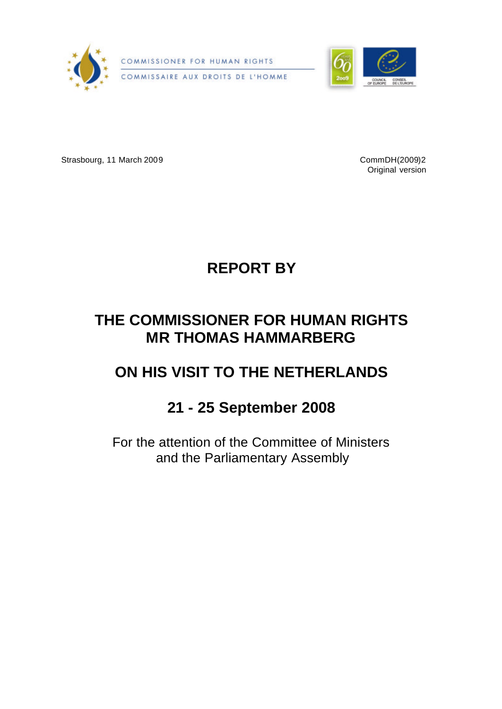



Strasbourg, 11 March 2009 CommDH(2009)2

Original version



# **THE COMMISSIONER FOR HUMAN RIGHTS MR THOMAS HAMMARBERG**

# **ON HIS VISIT TO THE NETHERLANDS**

# **21 - 25 September 2008**

For the attention of the Committee of Ministers and the Parliamentary Assembly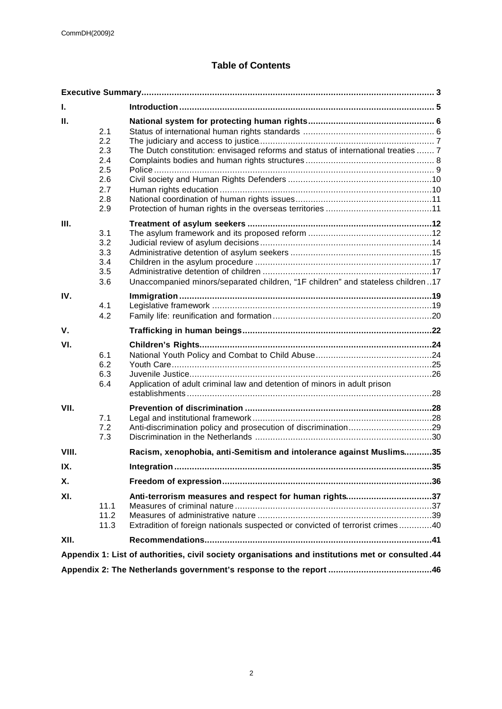# **Table of Contents**

| ı.                                                                                                |                                                             |                                                                                                                                         |  |
|---------------------------------------------------------------------------------------------------|-------------------------------------------------------------|-----------------------------------------------------------------------------------------------------------------------------------------|--|
| П.                                                                                                | 2.1<br>2.2<br>2.3<br>2.4<br>2.5<br>2.6<br>2.7<br>2.8<br>2.9 | The Dutch constitution: envisaged reforms and status of international treaties  7                                                       |  |
| Ш.                                                                                                | 3.1<br>3.2<br>3.3<br>3.4<br>3.5<br>3.6                      | Unaccompanied minors/separated children, "1F children" and stateless children17                                                         |  |
| IV.                                                                                               | 4.1<br>4.2                                                  |                                                                                                                                         |  |
| V.                                                                                                |                                                             |                                                                                                                                         |  |
| VI.                                                                                               | 6.1<br>6.2<br>6.3<br>6.4                                    | Application of adult criminal law and detention of minors in adult prison                                                               |  |
| VII.                                                                                              | 7.1<br>7.2<br>7.3                                           |                                                                                                                                         |  |
| VIII.                                                                                             |                                                             | Racism, xenophobia, anti-Semitism and intolerance against Muslims35                                                                     |  |
| IX.                                                                                               |                                                             |                                                                                                                                         |  |
| Χ.                                                                                                |                                                             |                                                                                                                                         |  |
| XI.                                                                                               | 11.1<br>11.2<br>11.3                                        | Anti-terrorism measures and respect for human rights37<br>Extradition of foreign nationals suspected or convicted of terrorist crimes40 |  |
| XII.                                                                                              |                                                             |                                                                                                                                         |  |
| Appendix 1: List of authorities, civil society organisations and institutions met or consulted.44 |                                                             |                                                                                                                                         |  |
|                                                                                                   |                                                             |                                                                                                                                         |  |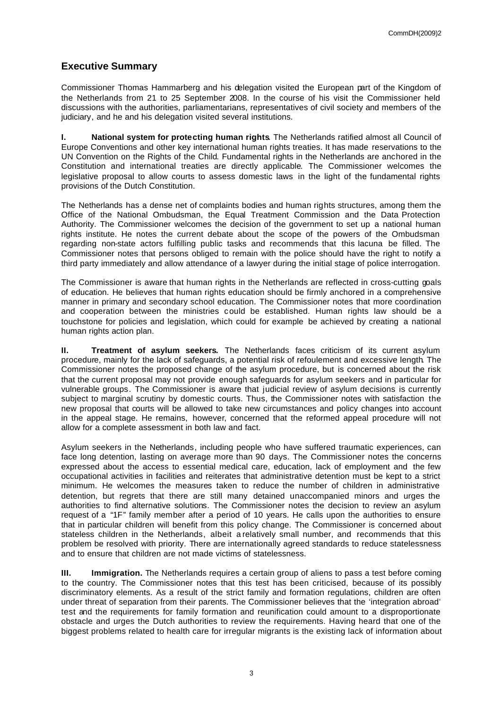# **Executive Summary**

Commissioner Thomas Hammarberg and his delegation visited the European part of the Kingdom of the Netherlands from 21 to 25 September 2008. In the course of his visit the Commissioner held discussions with the authorities, parliamentarians, representatives of civil society and members of the judiciary, and he and his delegation visited several institutions.

**I. National system for protecting human rights**. The Netherlands ratified almost all Council of Europe Conventions and other key international human rights treaties. It has made reservations to the UN Convention on the Rights of the Child. Fundamental rights in the Netherlands are anchored in the Constitution and international treaties are directly applicable. The Commissioner welcomes the legislative proposal to allow courts to assess domestic laws in the light of the fundamental rights provisions of the Dutch Constitution.

The Netherlands has a dense net of complaints bodies and human rights structures, among them the Office of the National Ombudsman, the Equal Treatment Commission and the Data Protection Authority. The Commissioner welcomes the decision of the government to set up a national human rights institute. He notes the current debate about the scope of the powers of the Ombudsman regarding non-state actors fulfilling public tasks and recommends that this lacuna be filled. The Commissioner notes that persons obliged to remain with the police should have the right to notify a third party immediately and allow attendance of a lawyer during the initial stage of police interrogation.

The Commissioner is aware that human rights in the Netherlands are reflected in cross-cutting goals of education. He believes that human rights education should be firmly anchored in a comprehensive manner in primary and secondary school education. The Commissioner notes that more coordination and cooperation between the ministries could be established. Human rights law should be a touchstone for policies and legislation, which could for example be achieved by creating a national human rights action plan.

**II. Treatment of asylum seekers.** The Netherlands faces criticism of its current asylum procedure, mainly for the lack of safeguards, a potential risk of refoulement and excessive length. The Commissioner notes the proposed change of the asylum procedure, but is concerned about the risk that the current proposal may not provide enough safeguards for asylum seekers and in particular for vulnerable groups. The Commissioner is aware that judicial review of asylum decisions is currently subject to marginal scrutiny by domestic courts. Thus, the Commissioner notes with satisfaction the new proposal that courts will be allowed to take new circumstances and policy changes into account in the appeal stage. He remains, however, concerned that the reformed appeal procedure will not allow for a complete assessment in both law and fact.

Asylum seekers in the Netherlands, including people who have suffered traumatic experiences, can face long detention, lasting on average more than 90 days. The Commissioner notes the concerns expressed about the access to essential medical care, education, lack of employment and the few occupational activities in facilities and reiterates that administrative detention must be kept to a strict minimum. He welcomes the measures taken to reduce the number of children in administrative detention, but regrets that there are still many detained unaccompanied minors and urges the authorities to find alternative solutions. The Commissioner notes the decision to review an asylum request of a "1F" family member after a period of 10 years. He calls upon the authorities to ensure that in particular children will benefit from this policy change. The Commissioner is concerned about stateless children in the Netherlands, albeit a relatively small number, and recommends that this problem be resolved with priority. There are internationally agreed standards to reduce statelessness and to ensure that children are not made victims of statelessness.

**III. Immigration.** The Netherlands requires a certain group of aliens to pass a test before coming to the country. The Commissioner notes that this test has been criticised, because of its possibly discriminatory elements. As a result of the strict family and formation regulations, children are often under threat of separation from their parents. The Commissioner believes that the 'integration abroad' test and the requirements for family formation and reunification could amount to a disproportionate obstacle and urges the Dutch authorities to review the requirements. Having heard that one of the biggest problems related to health care for irregular migrants is the existing lack of information about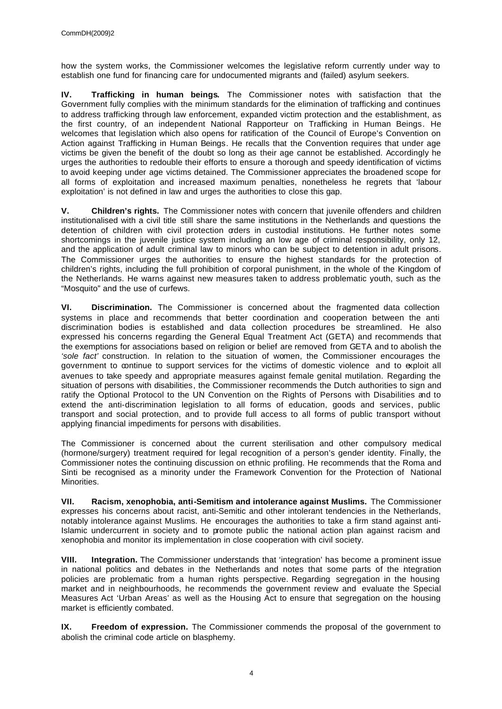how the system works, the Commissioner welcomes the legislative reform currently under way to establish one fund for financing care for undocumented migrants and (failed) asylum seekers.

**IV. Trafficking in human beings.** The Commissioner notes with satisfaction that the Government fully complies with the minimum standards for the elimination of trafficking and continues to address trafficking through law enforcement, expanded victim protection and the establishment, as the first country, of an independent National Rapporteur on Trafficking in Human Beings. He welcomes that legislation which also opens for ratification of the Council of Europe's Convention on Action against Trafficking in Human Beings. He recalls that the Convention requires that under age victims be given the benefit of the doubt so long as their age cannot be established. Accordingly he urges the authorities to redouble their efforts to ensure a thorough and speedy identification of victims to avoid keeping under age victims detained. The Commissioner appreciates the broadened scope for all forms of exploitation and increased maximum penalties, nonetheless he regrets that 'labour exploitation' is not defined in law and urges the authorities to close this gap.

**V. Children's rights.** The Commissioner notes with concern that juvenile offenders and children institutionalised with a civil title still share the same institutions in the Netherlands and questions the detention of children with civil protection orders in custodial institutions. He further notes some shortcomings in the juvenile justice system including an low age of criminal responsibility, only 12, and the application of adult criminal law to minors who can be subject to detention in adult prisons. The Commissioner urges the authorities to ensure the highest standards for the protection of children's rights, including the full prohibition of corporal punishment, in the whole of the Kingdom of the Netherlands. He warns against new measures taken to address problematic youth, such as the "Mosquito" and the use of curfews.

**VI. Discrimination.** The Commissioner is concerned about the fragmented data collection systems in place and recommends that better coordination and cooperation between the anti discrimination bodies is established and data collection procedures be streamlined. He also expressed his concerns regarding the General Equal Treatment Act (GETA) and recommends that the exemptions for associations based on religion or belief are removed from GETA and to abolish the *'sole fact'* construction. In relation to the situation of women, the Commissioner encourages the government to continue to support services for the victims of domestic violence and to exploit all avenues to take speedy and appropriate measures against female genital mutilation. Regarding the situation of persons with disabilities, the Commissioner recommends the Dutch authorities to sign and ratify the Optional Protocol to the UN Convention on the Rights of Persons with Disabilities and to extend the anti-discrimination legislation to all forms of education, goods and services, public transport and social protection, and to provide full access to all forms of public transport without applying financial impediments for persons with disabilities.

The Commissioner is concerned about the current sterilisation and other compulsory medical (hormone/surgery) treatment required for legal recognition of a person's gender identity. Finally, the Commissioner notes the continuing discussion on ethnic profiling. He recommends that the Roma and Sinti be recognised as a minority under the Framework Convention for the Protection of National Minorities.

**VII. Racism, xenophobia, anti-Semitism and intolerance against Muslims.** The Commissioner expresses his concerns about racist, anti-Semitic and other intolerant tendencies in the Netherlands, notably intolerance against Muslims. He encourages the authorities to take a firm stand against anti-Islamic undercurrent in society and to promote public the national action plan against racism and xenophobia and monitor its implementation in close cooperation with civil society.

**VIII. Integration.** The Commissioner understands that 'integration' has become a prominent issue in national politics and debates in the Netherlands and notes that some parts of the integration policies are problematic from a human rights perspective. Regarding segregation in the housing market and in neighbourhoods, he recommends the government review and evaluate the Special Measures Act 'Urban Areas' as well as the Housing Act to ensure that segregation on the housing market is efficiently combated.

**IX. Freedom of expression.** The Commissioner commends the proposal of the government to abolish the criminal code article on blasphemy.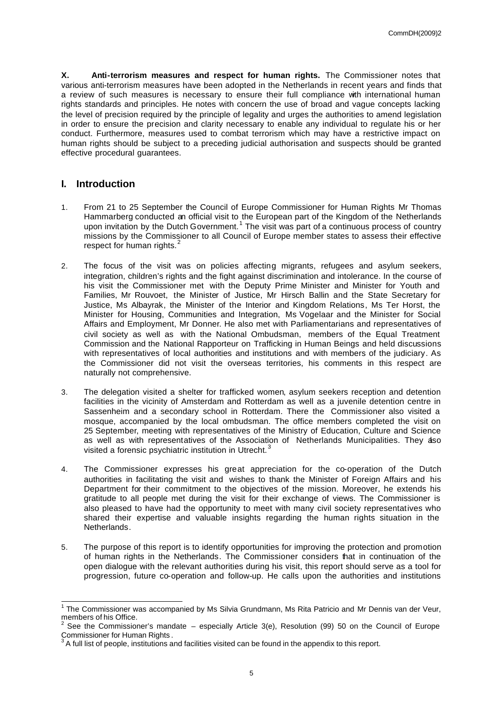**X. Anti-terrorism measures and respect for human rights.** The Commissioner notes that various anti-terrorism measures have been adopted in the Netherlands in recent years and finds that a review of such measures is necessary to ensure their full compliance with international human rights standards and principles. He notes with concern the use of broad and vague concepts lacking the level of precision required by the principle of legality and urges the authorities to amend legislation in order to ensure the precision and clarity necessary to enable any individual to regulate his or her conduct. Furthermore, measures used to combat terrorism which may have a restrictive impact on human rights should be subject to a preceding judicial authorisation and suspects should be granted effective procedural guarantees.

## **I. Introduction**

- 1. From 21 to 25 September the Council of Europe Commissioner for Human Rights Mr Thomas Hammarberg conducted an official visit to the European part of the Kingdom of the Netherlands upon invitation by the Dutch Government.<sup>1</sup> The visit was part of a continuous process of country missions by the Commissioner to all Council of Europe member states to assess their effective respect for human rights.
- 2. The focus of the visit was on policies affecting migrants, refugees and asylum seekers, integration, children's rights and the fight against discrimination and intolerance. In the course of his visit the Commissioner met with the Deputy Prime Minister and Minister for Youth and Families, Mr Rouvoet, the Minister of Justice, Mr Hirsch Ballin and the State Secretary for Justice, Ms Albayrak, the Minister of the Interior and Kingdom Relations, Ms Ter Horst, the Minister for Housing, Communities and Integration, Ms Vogelaar and the Minister for Social Affairs and Employment, Mr Donner. He also met with Parliamentarians and representatives of civil society as well as with the National Ombudsman, members of the Equal Treatment Commission and the National Rapporteur on Trafficking in Human Beings and held discussions with representatives of local authorities and institutions and with members of the judiciary. As the Commissioner did not visit the overseas territories, his comments in this respect are naturally not comprehensive.
- 3. The delegation visited a shelter for trafficked women, asylum seekers reception and detention facilities in the vicinity of Amsterdam and Rotterdam as well as a juvenile detention centre in Sassenheim and a secondary school in Rotterdam. There the Commissioner also visited a mosque, accompanied by the local ombudsman. The office members completed the visit on 25 September, meeting with representatives of the Ministry of Education, Culture and Science as well as with representatives of the Association of Netherlands Municipalities. They aso visited a forensic psychiatric institution in Utrecht.<sup>3</sup>
- 4. The Commissioner expresses his great appreciation for the co-operation of the Dutch authorities in facilitating the visit and wishes to thank the Minister of Foreign Affairs and his Department for their commitment to the objectives of the mission. Moreover, he extends his gratitude to all people met during the visit for their exchange of views. The Commissioner is also pleased to have had the opportunity to meet with many civil society representatives who shared their expertise and valuable insights regarding the human rights situation in the Netherlands.
- 5. The purpose of this report is to identify opportunities for improving the protection and promotion of human rights in the Netherlands. The Commissioner considers that in continuation of the open dialogue with the relevant authorities during his visit, this report should serve as a tool for progression, future co-operation and follow-up. He calls upon the authorities and institutions

 1 The Commissioner was accompanied by Ms Silvia Grundmann, Ms Rita Patricio and Mr Dennis van der Veur, members of his Office.

<sup>2</sup> See the Commissioner's mandate – especially Article 3(e), Resolution (99) 50 on the Council of Europe Commissioner for Human Rights .

 $3$  A full list of people, institutions and facilities visited can be found in the appendix to this report.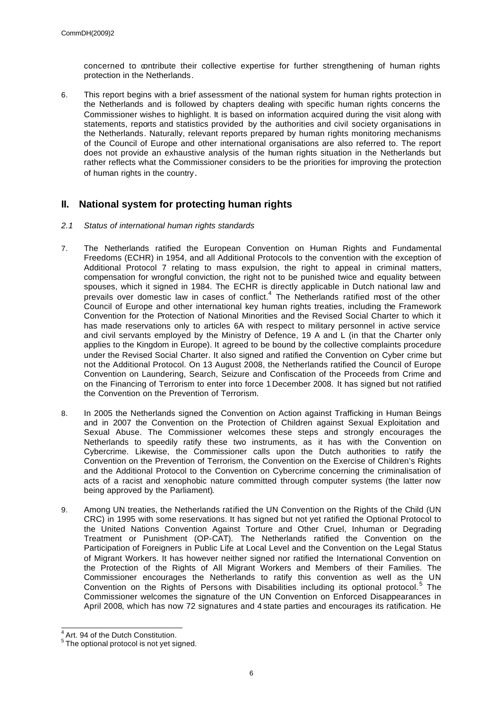concerned to contribute their collective expertise for further strengthening of human rights protection in the Netherlands.

6. This report begins with a brief assessment of the national system for human rights protection in the Netherlands and is followed by chapters dealing with specific human rights concerns the Commissioner wishes to highlight. It is based on information acquired during the visit along with statements, reports and statistics provided by the authorities and civil society organisations in the Netherlands. Naturally, relevant reports prepared by human rights monitoring mechanisms of the Council of Europe and other international organisations are also referred to. The report does not provide an exhaustive analysis of the human rights situation in the Netherlands but rather reflects what the Commissioner considers to be the priorities for improving the protection of human rights in the country.

## **II. National system for protecting human rights**

- *2.1 Status of international human rights standards*
- 7. The Netherlands ratified the European Convention on Human Rights and Fundamental Freedoms (ECHR) in 1954, and all Additional Protocols to the convention with the exception of Additional Protocol 7 relating to mass expulsion, the right to appeal in criminal matters, compensation for wrongful conviction, the right not to be punished twice and equality between spouses, which it signed in 1984. The ECHR is directly applicable in Dutch national law and prevails over domestic law in cases of conflict. $4$  The Netherlands ratified most of the other Council of Europe and other international key human rights treaties, including the Framework Convention for the Protection of National Minorities and the Revised Social Charter to which it has made reservations only to articles 6A with respect to military personnel in active service and civil servants employed by the Ministry of Defence, 19 A and L (in that the Charter only applies to the Kingdom in Europe). It agreed to be bound by the collective complaints procedure under the Revised Social Charter. It also signed and ratified the Convention on Cyber crime but not the Additional Protocol. On 13 August 2008, the Netherlands ratified the Council of Europe Convention on Laundering, Search, Seizure and Confiscation of the Proceeds from Crime and on the Financing of Terrorism to enter into force 1 December 2008. It has signed but not ratified the Convention on the Prevention of Terrorism.
- 8. In 2005 the Netherlands signed the Convention on Action against Trafficking in Human Beings and in 2007 the Convention on the Protection of Children against Sexual Exploitation and Sexual Abuse. The Commissioner welcomes these steps and strongly encourages the Netherlands to speedily ratify these two instruments, as it has with the Convention on Cybercrime. Likewise, the Commissioner calls upon the Dutch authorities to ratify the Convention on the Prevention of Terrorism, the Convention on the Exercise of Children's Rights and the Additional Protocol to the Convention on Cybercrime concerning the criminalisation of acts of a racist and xenophobic nature committed through computer systems (the latter now being approved by the Parliament).
- 9. Among UN treaties, the Netherlands ratified the UN Convention on the Rights of the Child (UN CRC) in 1995 with some reservations. It has signed but not yet ratified the Optional Protocol to the United Nations Convention Against Torture and Other Cruel, Inhuman or Degrading Treatment or Punishment (OP-CAT). The Netherlands ratified the Convention on the Participation of Foreigners in Public Life at Local Level and the Convention on the Legal Status of Migrant Workers. It has however neither signed nor ratified the International Convention on the Protection of the Rights of All Migrant Workers and Members of their Families. The Commissioner encourages the Netherlands to ratify this convention as well as the UN Convention on the Rights of Persons with Disabilities including its optional protocol.<sup>5</sup> The Commissioner welcomes the signature of the UN Convention on Enforced Disappearances in April 2008, which has now 72 signatures and 4 state parties and encourages its ratification. He

 $\overline{\phantom{a}}$ <sup>4</sup> Art. 94 of the Dutch Constitution.

 $5$  The optional protocol is not yet signed.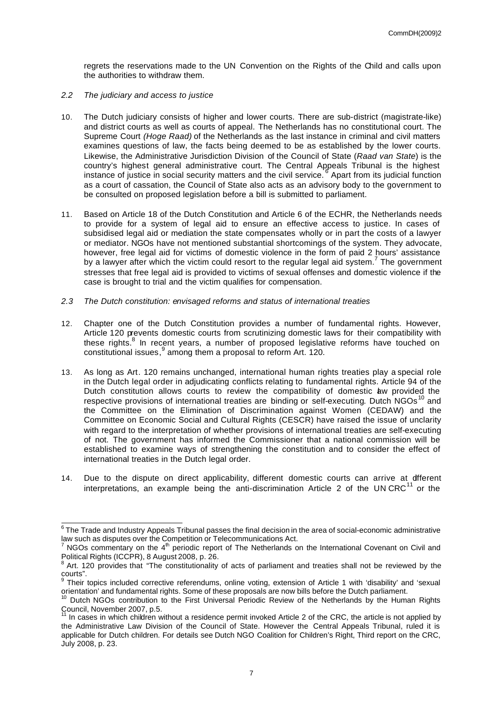regrets the reservations made to the UN Convention on the Rights of the Child and calls upon the authorities to withdraw them.

- *2.2 The judiciary and access to justice*
- 10. The Dutch judiciary consists of higher and lower courts. There are sub-district (magistrate-like) and district courts as well as courts of appeal. The Netherlands has no constitutional court. The Supreme Court *(Hoge Raad)* of the Netherlands as the last instance in criminal and civil matters examines questions of law, the facts being deemed to be as established by the lower courts. Likewise, the Administrative Jurisdiction Division of the Council of State (*Raad van State*) is the country's highest general administrative court. The Central Appeals Tribunal is the highest instance of justice in social security matters and the civil service. <sup>6</sup> Apart from its judicial function as a court of cassation, the Council of State also acts as an advisory body to the government to be consulted on proposed legislation before a bill is submitted to parliament.
- 11. Based on Article 18 of the Dutch Constitution and Article 6 of the ECHR, the Netherlands needs to provide for a system of legal aid to ensure an effective access to justice. In cases of subsidised legal aid or mediation the state compensates wholly or in part the costs of a lawyer or mediator. NGOs have not mentioned substantial shortcomings of the system. They advocate, however, free legal aid for victims of domestic violence in the form of paid 2 hours' assistance by a lawyer after which the victim could resort to the regular legal aid system.<sup>7</sup> The government stresses that free legal aid is provided to victims of sexual offenses and domestic violence if the case is brought to trial and the victim qualifies for compensation.
- *2.3 The Dutch constitution: envisaged reforms and status of international treaties*
- 12. Chapter one of the Dutch Constitution provides a number of fundamental rights. However, Article 120 prevents domestic courts from scrutinizing domestic laws for their compatibility with these rights.<sup>8</sup> In recent years, a number of proposed legislative reforms have touched on constitutional issues,<sup>9</sup> among them a proposal to reform Art. 120.
- 13. As long as Art. 120 remains unchanged, international human rights treaties play a special role in the Dutch legal order in adjudicating conflicts relating to fundamental rights. Article 94 of the Dutch constitution allows courts to review the compatibility of domestic aw provided the respective provisions of international treaties are binding or self-executing. Dutch  $NGOs<sup>10</sup>$  and the Committee on the Elimination of Discrimination against Women (CEDAW) and the Committee on Economic Social and Cultural Rights (CESCR) have raised the issue of unclarity with regard to the interpretation of whether provisions of international treaties are self-executing of not. The government has informed the Commissioner that a national commission will be established to examine ways of strengthening the constitution and to consider the effect of international treaties in the Dutch legal order.
- 14. Due to the dispute on direct applicability, different domestic courts can arrive at different interpretations, an example being the anti-discrimination Article 2 of the UN CRC $<sup>11</sup>$  or the</sup>

 6 The Trade and Industry Appeals Tribunal passes the final decision in the area of social-economic administrative law such as disputes over the Competition or Telecommunications Act.

<sup>&</sup>lt;sup>7</sup> NGOs commentary on the 4<sup>th</sup> periodic report of The Netherlands on the International Covenant on Civil and Political Rights (ICCPR), 8 August 2008, p. 26.

<sup>&</sup>lt;sup>8</sup> Art. 120 provides that "The constitutionality of acts of parliament and treaties shall not be reviewed by the courts". 9

Their topics included corrective referendums, online voting, extension of Article 1 with 'disability' and 'sexual orientation' and fundamental rights. Some of these proposals are now bills before the Dutch parliament.

<sup>&</sup>lt;sup>10</sup> Dutch NGOs contribution to the First Universal Periodic Review of the Netherlands by the Human Rights

Council, November 2007, p.5. <sup>11</sup> In cases in which children without a residence permit invoked Article 2 of the CRC, the article is not applied by the Administrative Law Division of the Council of State. However the Central Appeals Tribunal, ruled it is applicable for Dutch children. For details see Dutch NGO Coalition for Children's Right, Third report on the CRC, July 2008, p. 23.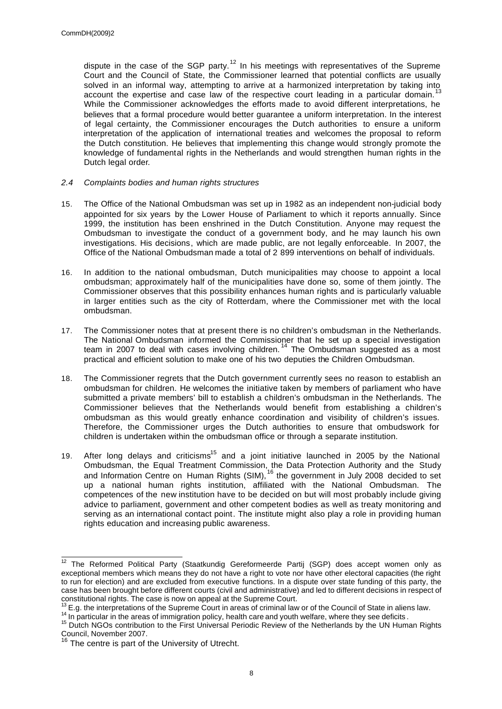dispute in the case of the SGP party.<sup>12</sup> In his meetings with representatives of the Supreme Court and the Council of State, the Commissioner learned that potential conflicts are usually solved in an informal way, attempting to arrive at a harmonized interpretation by taking into<br>13 account the expertise and case law of the respective court leading in a particular domain.<sup>1</sup> While the Commissioner acknowledges the efforts made to avoid different interpretations, he believes that a formal procedure would better guarantee a uniform interpretation. In the interest of legal certainty, the Commissioner encourages the Dutch authorities to ensure a uniform interpretation of the application of international treaties and welcomes the proposal to reform the Dutch constitution. He believes that implementing this change would strongly promote the knowledge of fundamental rights in the Netherlands and would strengthen human rights in the Dutch legal order.

## *2.4 Complaints bodies and human rights structures*

- 15. The Office of the National Ombudsman was set up in 1982 as an independent non-judicial body appointed for six years by the Lower House of Parliament to which it reports annually. Since 1999, the institution has been enshrined in the Dutch Constitution. Anyone may request the Ombudsman to investigate the conduct of a government body, and he may launch his own investigations. His decisions, which are made public, are not legally enforceable. In 2007, the Office of the National Ombudsman made a total of 2 899 interventions on behalf of individuals.
- 16. In addition to the national ombudsman, Dutch municipalities may choose to appoint a local ombudsman; approximately half of the municipalities have done so, some of them jointly. The Commissioner observes that this possibility enhances human rights and is particularly valuable in larger entities such as the city of Rotterdam, where the Commissioner met with the local ombudsman.
- 17. The Commissioner notes that at present there is no children's ombudsman in the Netherlands. The National Ombudsman informed the Commissioner that he set up a special investigation team in 2007 to deal with cases involving children.<sup>14</sup> The Ombudsman suggested as a most practical and efficient solution to make one of his two deputies the Children Ombudsman.
- 18. The Commissioner regrets that the Dutch government currently sees no reason to establish an ombudsman for children. He welcomes the initiative taken by members of parliament who have submitted a private members' bill to establish a children's ombudsman in the Netherlands. The Commissioner believes that the Netherlands would benefit from establishing a children's ombudsman as this would greatly enhance coordination and visibility of children's issues. Therefore, the Commissioner urges the Dutch authorities to ensure that ombudswork for children is undertaken within the ombudsman office or through a separate institution.
- 19. After long delays and criticisms<sup>15</sup> and a joint initiative launched in 2005 by the National Ombudsman, the Equal Treatment Commission, the Data Protection Authority and the Study and Information Centre on Human Rights (SIM), <sup>16</sup> the government in July 2008 decided to set up a national human rights institution, affiliated with the National Ombudsman. The competences of the new institution have to be decided on but will most probably include giving advice to parliament, government and other competent bodies as well as treaty monitoring and serving as an international contact point. The institute might also play a role in providing human rights education and increasing public awareness.

 $\overline{\phantom{a}}$  $12$  The Reformed Political Party (Staatkundig Gereformeerde Partij (SGP) does accept women only as exceptional members which means they do not have a right to vote nor have other electoral capacities (the right to run for election) and are excluded from executive functions. In a dispute over state funding of this party, the case has been brought before different courts (civil and administrative) and led to different decisions in respect of constitutional rights. The case is now on appeal at the Supreme Court.

 $^{13}$  E.g. the interpretations of the Supreme Court in areas of criminal law or of the Council of State in aliens law.

<sup>&</sup>lt;sup>14</sup> In particular in the areas of immigration policy, health care and youth welfare, where they see deficits .

<sup>&</sup>lt;sup>15</sup> Dutch NGOs contribution to the First Universal Periodic Review of the Netherlands by the UN Human Rights Council, November 2007.

<sup>&</sup>lt;sup>16</sup> The centre is part of the University of Utrecht.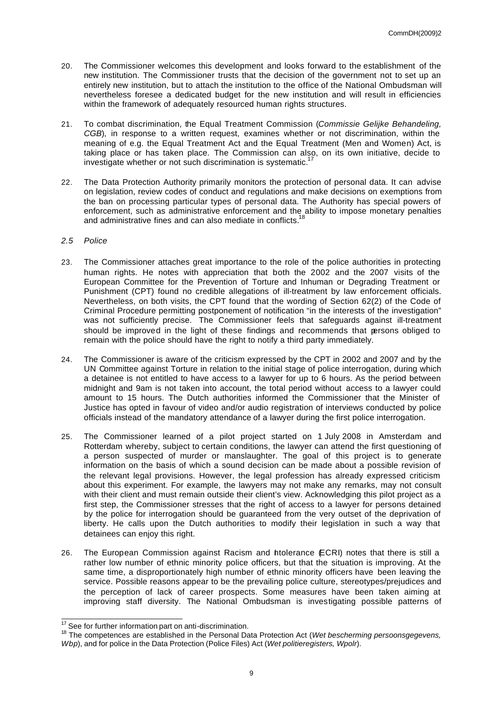- 20. The Commissioner welcomes this development and looks forward to the establishment of the new institution. The Commissioner trusts that the decision of the government not to set up an entirely new institution, but to attach the institution to the office of the National Ombudsman will nevertheless foresee a dedicated budget for the new institution and will result in efficiencies within the framework of adequately resourced human rights structures.
- 21. To combat discrimination, the Equal Treatment Commission (*Commissie Gelijke Behandeling, CGB*), in response to a written request, examines whether or not discrimination, within the meaning of e.g. the Equal Treatment Act and the Equal Treatment (Men and Women) Act, is taking place or has taken place. The Commission can also, on its own initiative, decide to investigate whether or not such discrimination is systematic.<sup>1</sup>
- 22. The Data Protection Authority primarily monitors the protection of personal data. It can advise on legislation, review codes of conduct and regulations and make decisions on exemptions from the ban on processing particular types of personal data. The Authority has special powers of enforcement, such as administrative enforcement and the ability to impose monetary penalties and administrative fines and can also mediate in conflicts.<sup>18</sup>
- *2.5 Police*
- 23. The Commissioner attaches great importance to the role of the police authorities in protecting human rights. He notes with appreciation that both the 2002 and the 2007 visits of the European Committee for the Prevention of Torture and Inhuman or Degrading Treatment or Punishment (CPT) found no credible allegations of ill-treatment by law enforcement officials. Nevertheless, on both visits, the CPT found that the wording of Section 62(2) of the Code of Criminal Procedure permitting postponement of notification "in the interests of the investigation" was not sufficiently precise. The Commissioner feels that safeguards against ill-treatment should be improved in the light of these findings and recommends that persons obliged to remain with the police should have the right to notify a third party immediately.
- 24. The Commissioner is aware of the criticism expressed by the CPT in 2002 and 2007 and by the UN Committee against Torture in relation to the initial stage of police interrogation, during which a detainee is not entitled to have access to a lawyer for up to 6 hours. As the period between midnight and 9am is not taken into account, the total period without access to a lawyer could amount to 15 hours. The Dutch authorities informed the Commissioner that the Minister of Justice has opted in favour of video and/or audio registration of interviews conducted by police officials instead of the mandatory attendance of a lawyer during the first police interrogation.
- 25. The Commissioner learned of a pilot project started on 1 July 2008 in Amsterdam and Rotterdam whereby, subject to certain conditions, the lawyer can attend the first questioning of a person suspected of murder or manslaughter. The goal of this project is to generate information on the basis of which a sound decision can be made about a possible revision of the relevant legal provisions. However, the legal profession has already expressed criticism about this experiment. For example, the lawyers may not make any remarks, may not consult with their client and must remain outside their client's view. Acknowledging this pilot project as a first step, the Commissioner stresses that the right of access to a lawyer for persons detained by the police for interrogation should be guaranteed from the very outset of the deprivation of liberty. He calls upon the Dutch authorities to modify their legislation in such a way that detainees can enjoy this right.
- 26. The European Commission against Racism and htolerance (ECRI) notes that there is still a rather low number of ethnic minority police officers, but that the situation is improving. At the same time, a disproportionately high number of ethnic minority officers have been leaving the service. Possible reasons appear to be the prevailing police culture, stereotypes/prejudices and the perception of lack of career prospects. Some measures have been taken aiming at improving staff diversity. The National Ombudsman is investigating possible patterns of

 $\overline{\phantom{a}}$  $17$  See for further information part on anti-discrimination.

<sup>18</sup> The competences are established in the Personal Data Protection Act (*Wet bescherming persoonsgegevens, Wbp*), and for police in the Data Protection (Police Files) Act (*Wet politieregisters, Wpolr*).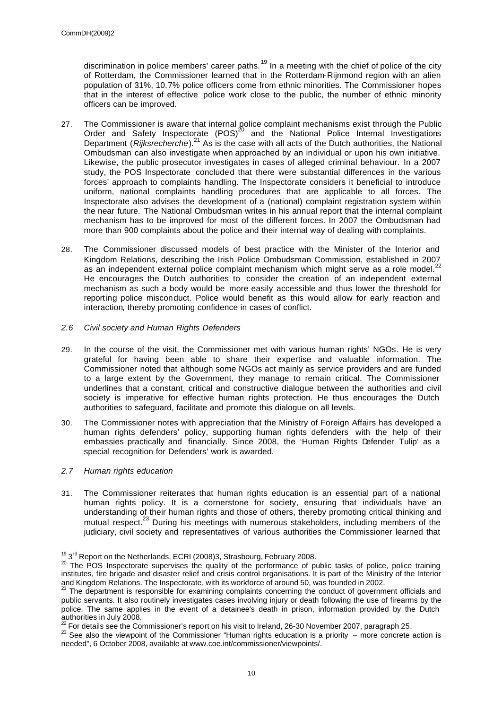discrimination in police members' career paths.<sup>19</sup> In a meeting with the chief of police of the city of Rotterdam, the Commissioner learned that in the Rotterdam-Rijnmond region with an alien population of 31%, 10.7% police officers come from ethnic minorities. The Commissioner hopes that in the interest of effective police work close to the public, the number of ethnic minority officers can be improved.

- 27. The Commissioner is aware that internal police complaint mechanisms exist through the Public Order and Safety Inspectorate  $(POS)^{20}$  and the National Police Internal Investigations Department (*Rijksrecherche*). <sup>21</sup> As is the case with all acts of the Dutch authorities, the National Ombudsman can also investigate when approached by an individual or upon his own initiative. Likewise, the public prosecutor investigates in cases of alleged criminal behaviour. In a 2007 study, the POS Inspectorate concluded that there were substantial differences in the various forces' approach to complaints handling. The Inspectorate considers it beneficial to introduce uniform, national complaints handling procedures that are applicable to all forces. The Inspectorate also advises the development of a (national) complaint registration system within the near future. The National Ombudsman writes in his annual report that the internal complaint mechanism has to be improved for most of the different forces. In 2007 the Ombudsman had more than 900 complaints about the police and their internal way of dealing with complaints.
- 28. The Commissioner discussed models of best practice with the Minister of the Interior and Kingdom Relations, describing the Irish Police Ombudsman Commission, established in 2007 as an independent external police complaint mechanism which might serve as a role model.<sup>22</sup> He encourages the Dutch authorities to consider the creation of an independent external mechanism as such a body would be more easily accessible and thus lower the threshold for reporting police misconduct. Police would benefit as this would allow for early reaction and interaction, thereby promoting confidence in cases of conflict.
- *2.6 Civil society and Human Rights Defenders*
- 29. In the course of the visit, the Commissioner met with various human rights' NGOs. He is very grateful for having been able to share their expertise and valuable information. The Commissioner noted that although some NGOs act mainly as service providers and are funded to a large extent by the Government, they manage to remain critical. The Commissioner underlines that a constant, critical and constructive dialogue between the authorities and civil society is imperative for effective human rights protection. He thus encourages the Dutch authorities to safeguard, facilitate and promote this dialogue on all levels.
- 30. The Commissioner notes with appreciation that the Ministry of Foreign Affairs has developed a human rights defenders' policy, supporting human rights defenders with the help of their embassies practically and financially. Since 2008, the 'Human Rights Defender Tulip' as a special recognition for Defenders' work is awarded.
- *2.7 Human rights education*

31. The Commissioner reiterates that human rights education is an essential part of a national human rights policy. It is a cornerstone for society, ensuring that individuals have an understanding of their human rights and those of others, thereby promoting critical thinking and mutual respect.<sup>23</sup> During his meetings with numerous stakeholders, including members of the judiciary, civil society and representatives of various authorities the Commissioner learned that

 $19\,3$ <sup>rd</sup> Report on the Netherlands, ECRI (2008)3, Strasbourg, February 2008.

<sup>&</sup>lt;sup>20</sup> The POS Inspectorate supervises the quality of the performance of public tasks of police, police training institutes, fire brigade and disaster relief and crisis control organisations. It is part of the Ministry of the Interior and Kingdom Relations. The Inspectorate, with its workforce of around 50, was founded in 2002.

<sup>&</sup>lt;sup>21</sup> The department is responsible for examining complaints concerning the conduct of government officials and public servants. It also routinely investigates cases involving injury or death following the use of firearms by the police. The same applies in the event of a detainee's death in prison, information provided by the Dutch authorities in July 2008.

 $^{22}$  For details see the Commissioner's report on his visit to Ireland, 26-30 November 2007, paragraph 25.

 $23$  See also the viewpoint of the Commissioner "Human rights education is a priority – more concrete action is needed", 6 October 2008, available at www.coe.int/commissioner/viewpoints/.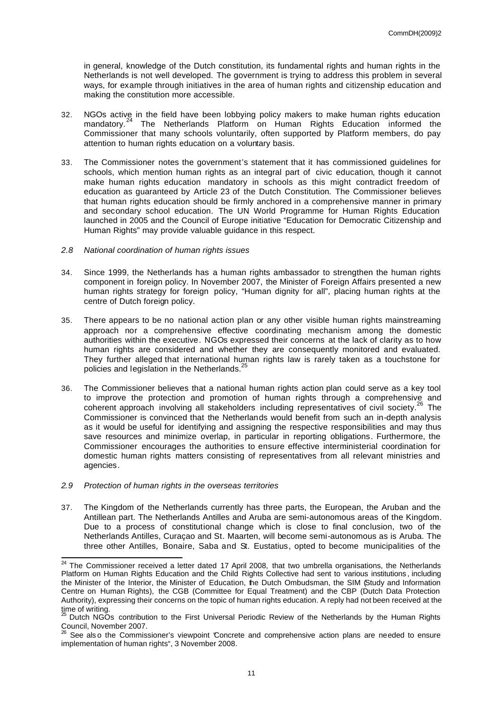in general, knowledge of the Dutch constitution, its fundamental rights and human rights in the Netherlands is not well developed. The government is trying to address this problem in several ways, for example through initiatives in the area of human rights and citizenship education and making the constitution more accessible.

- 32. NGOs active in the field have been lobbying policy makers to make human rights education mandatory.<sup>24</sup> The Netherlands Platform on Human Rights Education informed the Commissioner that many schools voluntarily, often supported by Platform members, do pay attention to human rights education on a voluntary basis.
- 33. The Commissioner notes the government's statement that it has commissioned guidelines for schools, which mention human rights as an integral part of civic education, though it cannot make human rights education mandatory in schools as this might contradict freedom of education as guaranteed by Article 23 of the Dutch Constitution. The Commissioner believes that human rights education should be firmly anchored in a comprehensive manner in primary and secondary school education. The UN World Programme for Human Rights Education launched in 2005 and the Council of Europe initiative "Education for Democratic Citizenship and Human Rights" may provide valuable guidance in this respect.
- *2.8 National coordination of human rights issues*
- 34. Since 1999, the Netherlands has a human rights ambassador to strengthen the human rights component in foreign policy. In November 2007, the Minister of Foreign Affairs presented a new human rights strategy for foreign policy, "Human dignity for all", placing human rights at the centre of Dutch foreign policy.
- 35. There appears to be no national action plan or any other visible human rights mainstreaming approach nor a comprehensive effective coordinating mechanism among the domestic authorities within the executive. NGOs expressed their concerns at the lack of clarity as to how human rights are considered and whether they are consequently monitored and evaluated. They further alleged that international human rights law is rarely taken as a touchstone for policies and legislation in the Netherlands.<sup>2</sup>
- 36. The Commissioner believes that a national human rights action plan could serve as a key tool to improve the protection and promotion of human rights through a comprehensive and coherent approach involving all stakeholders including representatives of civil society.<sup>26</sup> The Commissioner is convinced that the Netherlands would benefit from such an in-depth analysis as it would be useful for identifying and assigning the respective responsibilities and may thus save resources and minimize overlap, in particular in reporting obligations. Furthermore, the Commissioner encourages the authorities to ensure effective interministerial coordination for domestic human rights matters consisting of representatives from all relevant ministries and agencies.
- *2.9 Protection of human rights in the overseas territories*

37. The Kingdom of the Netherlands currently has three parts, the European, the Aruban and the Antillean part. The Netherlands Antilles and Aruba are semi-autonomous areas of the Kingdom. Due to a process of constitutional change which is close to final conclusion, two of the Netherlands Antilles, Curaçao and St. Maarten, will become semi-autonomous as is Aruba. The three other Antilles, Bonaire, Saba and St. Eustatius, opted to become municipalities of the

 $24$  The Commissioner received a letter dated 17 April 2008, that two umbrella organisations, the Netherlands Platform on Human Rights Education and the Child Rights Collective had sent to various institutions , including the Minister of the Interior, the Minister of Education, the Dutch Ombudsman, the SIM (Study and Information Centre on Human Rights), the CGB (Committee for Equal Treatment) and the CBP (Dutch Data Protection Authority), expressing their concerns on the topic of human rights education. A reply had not been received at the time of writing.

Dutch NGOs contribution to the First Universal Periodic Review of the Netherlands by the Human Rights Council, November 2007.

See also the Commissioner's viewpoint 'Concrete and comprehensive action plans are needed to ensure implementation of human rights", 3 November 2008.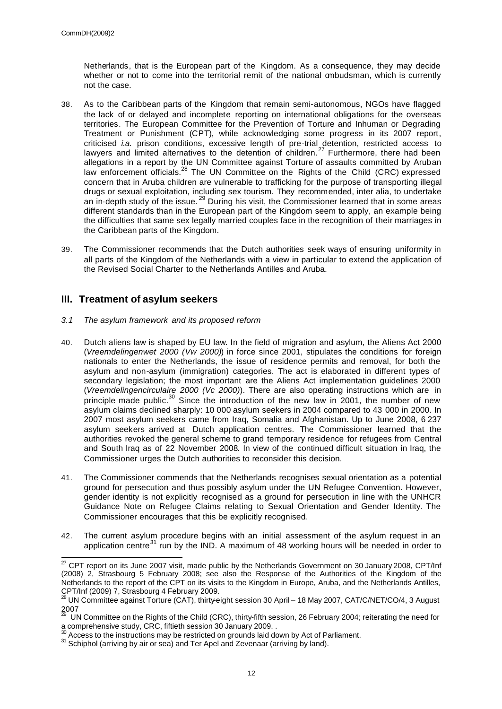Netherlands, that is the European part of the Kingdom. As a consequence, they may decide whether or not to come into the territorial remit of the national ombudsman, which is currently not the case.

- 38. As to the Caribbean parts of the Kingdom that remain semi-autonomous, NGOs have flagged the lack of or delayed and incomplete reporting on international obligations for the overseas territories. The European Committee for the Prevention of Torture and Inhuman or Degrading Treatment or Punishment (CPT), while acknowledging some progress in its 2007 report, criticised *i.a.* prison conditions, excessive length of pre-trial detention, restricted access to lawyers and limited alternatives to the detention of children.<sup>27</sup> Furthermore, there had been allegations in a report by the UN Committee against Torture of assaults committed by Aruban law enforcement officials.<sup>28</sup> The UN Committee on the Rights of the Child (CRC) expressed concern that in Aruba children are vulnerable to trafficking for the purpose of transporting illegal drugs or sexual exploitation, including sex tourism. They recommended, inter alia, to undertake an in-depth study of the issue.  $^{29}$  During his visit, the Commissioner learned that in some areas different standards than in the European part of the Kingdom seem to apply, an example being the difficulties that same sex legally married couples face in the recognition of their marriages in the Caribbean parts of the Kingdom.
- 39. The Commissioner recommends that the Dutch authorities seek ways of ensuring uniformity in all parts of the Kingdom of the Netherlands with a view in particular to extend the application of the Revised Social Charter to the Netherlands Antilles and Aruba.

## **III. Treatment of asylum seekers**

- *3.1 The asylum framework and its proposed reform*
- 40. Dutch aliens law is shaped by EU law. In the field of migration and asylum, the Aliens Act 2000 (*Vreemdelingenwet 2000 (Vw 2000)*) in force since 2001, stipulates the conditions for foreign nationals to enter the Netherlands, the issue of residence permits and removal, for both the asylum and non-asylum (immigration) categories. The act is elaborated in different types of secondary legislation; the most important are the Aliens Act implementation guidelines 2000 (*Vreemdelingencirculaire 2000 (Vc 2000)*). There are also operating instructions which are in principle made public.<sup>30</sup> Since the introduction of the new law in 2001, the number of new asylum claims declined sharply: 10 000 asylum seekers in 2004 compared to 43 000 in 2000. In 2007 most asylum seekers came from Iraq, Somalia and Afghanistan. Up to June 2008, 6 237 asylum seekers arrived at Dutch application centres. The Commissioner learned that the authorities revoked the general scheme to grand temporary residence for refugees from Central and South Iraq as of 22 November 2008. In view of the continued difficult situation in Iraq, the Commissioner urges the Dutch authorities to reconsider this decision.
- 41. The Commissioner commends that the Netherlands recognises sexual orientation as a potential ground for persecution and thus possibly asylum under the UN Refugee Convention. However, gender identity is not explicitly recognised as a ground for persecution in line with the UNHCR Guidance Note on Refugee Claims relating to Sexual Orientation and Gender Identity. The Commissioner encourages that this be explicitly recognised.
- 42. The current asylum procedure begins with an initial assessment of the asylum request in an application centre $31$  run by the IND. A maximum of 48 working hours will be needed in order to

  $^{27}$  CPT report on its June 2007 visit, made public by the Netherlands Government on 30 January 2008, CPT/Inf (2008) 2, Strasbourg 5 February 2008; see also the Response of the Authorities of the Kingdom of the Netherlands to the report of the CPT on its visits to the Kingdom in Europe, Aruba, and the Netherlands Antilles, CPT/Inf (2009) 7, Strasbourg 4 February 2009.

<sup>28</sup> UN Committee against Torture (CAT), thirty-eight session 30 April – 18 May 2007, CAT/C/NET/CO/4, 3 August  $2007$ 

<sup>29</sup> UN Committee on the Rights of the Child (CRC), thirty-fifth session, 26 February 2004; reiterating the need for a comprehensive study, CRC, fiftieth session 30 January 2009. .

 $\beta$  Access to the instructions may be restricted on grounds laid down by Act of Parliament.

<sup>&</sup>lt;sup>31</sup> Schiphol (arriving by air or sea) and Ter Apel and Zevenaar (arriving by land).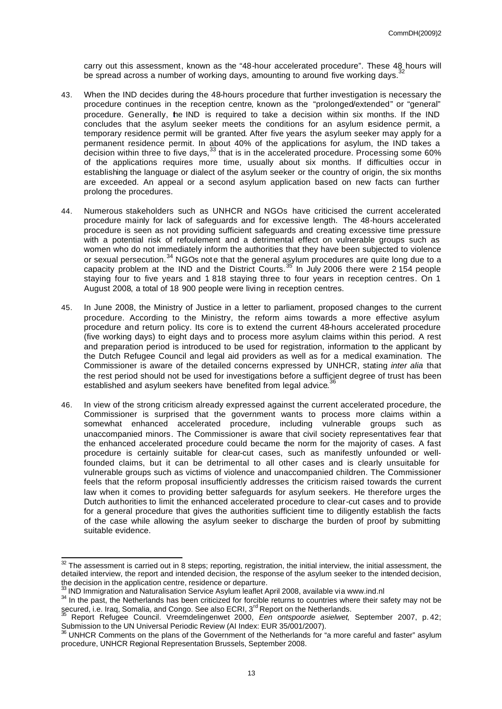carry out this assessment, known as the "48-hour accelerated procedure". These 48 hours will be spread across a number of working days, amounting to around five working days.<sup>3</sup>

- 43. When the IND decides during the 48-hours procedure that further investigation is necessary the procedure continues in the reception centre, known as the "prolonged/extended" or "general" procedure. Generally, the IND is required to take a decision within six months. If the IND concludes that the asylum seeker meets the conditions for an asylum esidence permit, a temporary residence permit will be granted. After five years the asylum seeker may apply for a permanent residence permit. In about 40% of the applications for asylum, the IND takes a decision within three to five days,<sup>33</sup> that is in the accelerated procedure. Processing some 60% of the applications requires more time, usually about six months. If difficulties occur in establishing the language or dialect of the asylum seeker or the country of origin, the six months are exceeded. An appeal or a second asylum application based on new facts can further prolong the procedures.
- 44. Numerous stakeholders such as UNHCR and NGOs have criticised the current accelerated procedure mainly for lack of safeguards and for excessive length. The 48-hours accelerated procedure is seen as not providing sufficient safeguards and creating excessive time pressure with a potential risk of refoulement and a detrimental effect on vulnerable groups such as women who do not immediately inform the authorities that they have been subjected to violence or sexual persecution.<sup>34</sup> NGOs note that the general asylum procedures are quite long due to a capacity problem at the IND and the District Courts.<sup>35</sup> In July 2006 there were 2 154 people staying four to five years and 1 818 staying three to four years in reception centres. On 1 August 2008, a total of 18 900 people were living in reception centres.
- 45. In June 2008, the Ministry of Justice in a letter to parliament, proposed changes to the current procedure. According to the Ministry, the reform aims towards a more effective asylum procedure and return policy. Its core is to extend the current 48-hours accelerated procedure (five working days) to eight days and to process more asylum claims within this period. A rest and preparation period is introduced to be used for registration, information to the applicant by the Dutch Refugee Council and legal aid providers as well as for a medical examination. The Commissioner is aware of the detailed concerns expressed by UNHCR, stating *inter alia* that the rest period should not be used for investigations before a sufficient degree of trust has been established and asylum seekers have benefited from legal advice.<sup>36</sup>
- 46. In view of the strong criticism already expressed against the current accelerated procedure, the Commissioner is surprised that the government wants to process more claims within a somewhat enhanced accelerated procedure, including vulnerable groups such as unaccompanied minors. The Commissioner is aware that civil society representatives fear that the enhanced accelerated procedure could became the norm for the majority of cases. A fast procedure is certainly suitable for clear-cut cases, such as manifestly unfounded or wellfounded claims, but it can be detrimental to all other cases and is clearly unsuitable for vulnerable groups such as victims of violence and unaccompanied children. The Commissioner feels that the reform proposal insufficiently addresses the criticism raised towards the current law when it comes to providing better safeguards for asylum seekers. He therefore urges the Dutch authorities to limit the enhanced accelerated procedure to clear-cut cases and to provide for a general procedure that gives the authorities sufficient time to diligently establish the facts of the case while allowing the asylum seeker to discharge the burden of proof by submitting suitable evidence.

 $32$  The assessment is carried out in 8 steps; reporting, registration, the initial interview, the initial assessment, the detailed interview, the report and intended decision, the response of the asylum seeker to the intended decision, the decision in the application centre, residence or departure.

 $33$  IND Immigration and Naturalisation Service Asylum leaflet April 2008, available via www.ind.nl

<sup>&</sup>lt;sup>34</sup> In the past, the Netherlands has been criticized for forcible returns to countries where their safety may not be secured, i.e. Iraq, Somalia, and Congo. See also ECRI, 3<sup>rd</sup> Report on the Netherlands.

<sup>35</sup> Report Refugee Council. Vreemdelingenwet 2000, *Een ontspoorde asielwet,* September 2007, p. 42; Submission to the UN Universal Periodic Review (AI Index: EUR 35/001/2007).

 $36$  UNHCR Comments on the plans of the Government of the Netherlands for "a more careful and faster" asylum procedure, UNHCR Regional Representation Brussels, September 2008.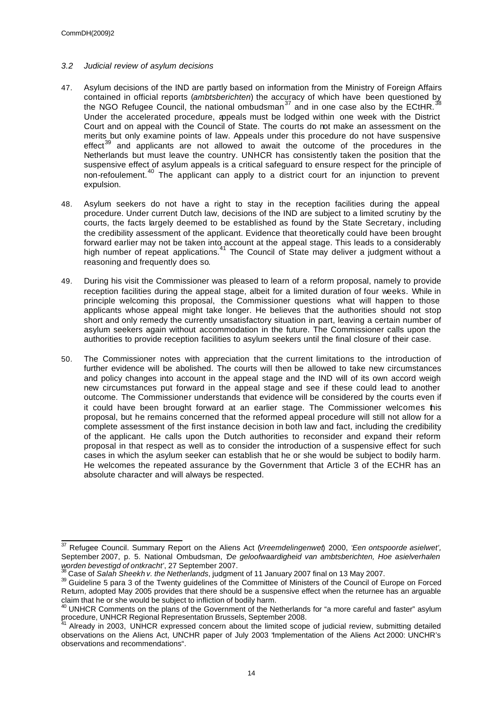## *3.2 Judicial review of asylum decisions*

- 47. Asylum decisions of the IND are partly based on information from the Ministry of Foreign Affairs contained in official reports (*ambtsberichten*) the accuracy of which have been questioned by the NGO Refugee Council, the national ombudsman<sup>37</sup> and in one case also by the ECtHR.<sup>3</sup> Under the accelerated procedure, appeals must be lodged within one week with the District Court and on appeal with the Council of State. The courts do not make an assessment on the merits but only examine points of law. Appeals under this procedure do not have suspensive effect $39$  and applicants are not allowed to await the outcome of the procedures in the Netherlands but must leave the country. UNHCR has consistently taken the position that the suspensive effect of asylum appeals is a critical safeguard to ensure respect for the principle of non-refoulement.<sup>40</sup> The applicant can apply to a district court for an injunction to prevent expulsion.
- 48. Asylum seekers do not have a right to stay in the reception facilities during the appeal procedure. Under current Dutch law, decisions of the IND are subject to a limited scrutiny by the courts, the facts largely deemed to be established as found by the State Secretary, including the credibility assessment of the applicant. Evidence that theoretically could have been brought forward earlier may not be taken into account at the appeal stage. This leads to a considerably high number of repeat applications.<sup>41</sup> The Council of State may deliver a judgment without a reasoning and frequently does so.
- 49. During his visit the Commissioner was pleased to learn of a reform proposal, namely to provide reception facilities during the appeal stage, albeit for a limited duration of four weeks. While in principle welcoming this proposal, the Commissioner questions what will happen to those applicants whose appeal might take longer. He believes that the authorities should not stop short and only remedy the currently unsatisfactory situation in part, leaving a certain number of asylum seekers again without accommodation in the future. The Commissioner calls upon the authorities to provide reception facilities to asylum seekers until the final closure of their case.
- 50. The Commissioner notes with appreciation that the current limitations to the introduction of further evidence will be abolished. The courts will then be allowed to take new circumstances and policy changes into account in the appeal stage and the IND will of its own accord weigh new circumstances put forward in the appeal stage and see if these could lead to another outcome. The Commissioner understands that evidence will be considered by the courts even if it could have been brought forward at an earlier stage. The Commissioner welcomes this proposal, but he remains concerned that the reformed appeal procedure will still not allow for a complete assessment of the first instance decision in both law and fact, including the credibility of the applicant. He calls upon the Dutch authorities to reconsider and expand their reform proposal in that respect as well as to consider the introduction of a suspensive effect for such cases in which the asylum seeker can establish that he or she would be subject to bodily harm. He welcomes the repeated assurance by the Government that Article 3 of the ECHR has an absolute character and will always be respected.

 $\overline{a}$ <sup>37</sup> Refugee Council. Summary Report on the Aliens Act (*Vreemdelingenwet*) 2000, '*Een ontspoorde asielwet',* September 2007, p. 5. National Ombudsman, '*De geloofwaardigheid van ambtsberichten, Hoe asielverhalen worden bevestigd of ontkracht'*, 27 September 2007.

<sup>38</sup> Case of *Salah Sheekh v. the Netherlands*, judgment of 11 January 2007 final on 13 May 2007.

<sup>39</sup> Guideline 5 para 3 of the Twenty guidelines of the Committee of Ministers of the Council of Europe on Forced Return, adopted May 2005 provides that there should be a suspensive effect when the returnee has an arguable claim that he or she would be subject to infliction of bodily harm.

<sup>&</sup>lt;sup>40</sup> UNHCR Comments on the plans of the Government of the Netherlands for "a more careful and faster" asylum procedure, UNHCR Regional Representation Brussels, September 2008.

<sup>41</sup> Already in 2003, UNHCR expressed concern about the limited scope of judicial review, submitting detailed observations on the Aliens Act, UNCHR paper of July 2003 "Implementation of the Aliens Act 2000: UNCHR's observations and recommendations".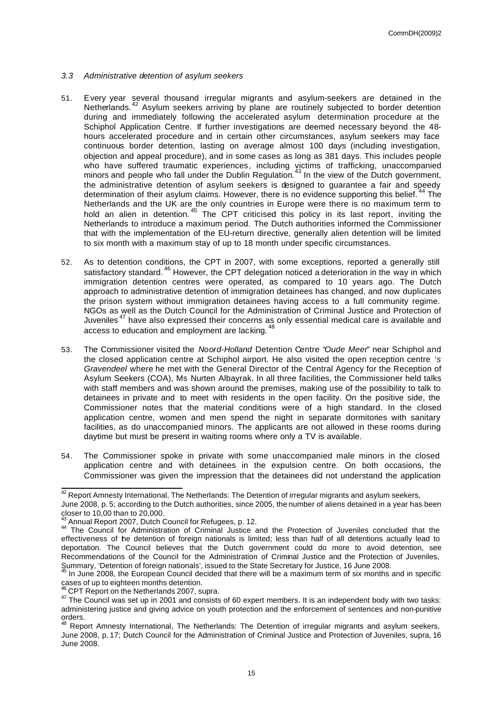- *3.3 Administrative detention of asylum seekers*
- 51. Every year several thousand irregular migrants and asylum-seekers are detained in the Netherlands.<sup>42</sup> Asylum seekers arriving by plane are routinely subjected to border detention during and immediately following the accelerated asylum determination procedure at the Schiphol Application Centre. If further investigations are deemed necessary beyond the 48 hours accelerated procedure and in certain other circumstances, asylum seekers may face continuous border detention, lasting on average almost 100 days (including investigation, objection and appeal procedure), and in some cases as long as 381 days. This includes people who have suffered traumatic experiences, including victims of trafficking, unaccompanied minors and people who fall under the Dublin Regulation.<sup>43</sup> In the view of the Dutch government, the administrative detention of asylum seekers is designed to guarantee a fair and speedy determination of their asylum claims. However, there is no evidence supporting this belief.<sup>44</sup> The Netherlands and the UK are the only countries in Europe were there is no maximum term to hold an alien in detention.<sup>45</sup> The CPT criticised this policy in its last report, inviting the Netherlands to introduce a maximum period. The Dutch authorities informed the Commissioner that with the implementation of the EU-return directive, generally alien detention will be limited to six month with a maximum stay of up to 18 month under specific circumstances.
- 52. As to detention conditions, the CPT in 2007, with some exceptions, reported a generally still satisfactory standard.<sup>46</sup> However, the CPT delegation noticed a deterioration in the way in which immigration detention centres were operated, as compared to 10 years ago. The Dutch approach to administrative detention of immigration detainees has changed, and now duplicates the prison system without immigration detainees having access to a full community regime. NGOs as well as the Dutch Council for the Administration of Criminal Justice and Protection of Juveniles<sup>47</sup> have also expressed their concerns as only essential medical care is available and access to education and employment are lacking. <sup>48</sup>
- 53. The Commissioner visited the *Noord-Holland* Detention Centre "*Oude Meer*" near Schiphol and the closed application centre at Schiphol airport. He also visited the open reception centre *'s Gravendeel* where he met with the General Director of the Central Agency for the Reception of Asylum Seekers (COA), Ms Nurten Albayrak. In all three facilities, the Commissioner held talks with staff members and was shown around the premises, making use of the possibility to talk to detainees in private and to meet with residents in the open facility. On the positive side, the Commissioner notes that the material conditions were of a high standard. In the closed application centre, women and men spend the night in separate dormitories with sanitary facilities, as do unaccompanied minors. The applicants are not allowed in these rooms during daytime but must be present in waiting rooms where only a TV is available.
- 54. The Commissioner spoke in private with some unaccompanied male minors in the closed application centre and with detainees in the expulsion centre. On both occasions, the Commissioner was given the impression that the detainees did not understand the application

 $\overline{\phantom{a}}$  $^{42}$  Report Amnesty International, The Netherlands: The Detention of irregular migrants and asylum seekers, June 2008, p. 5; according to the Dutch authorities, since 2005, the number of aliens detained in a year has been closer to 10,00 than to 20,000.

Annual Report 2007, Dutch Council for Refugees, p. 12.

<sup>44</sup> The Council for Administration of Criminal Justice and the Protection of Juveniles concluded that the effectiveness of the detention of foreign nationals is limited; less than half of all detentions actually lead to deportation. The Council believes that the Dutch government could do more to avoid detention, see Recommendations of the Council for the Administration of Criminal Justice and the Protection of Juveniles, Summary, 'Detention of foreign nationals', issued to the State Secretary for Justice, 16 June 2008.

In June 2008, the European Council decided that there will be a maximum term of six months and in specific cases of up to eighteen months detention.

<sup>&</sup>lt;sup>46</sup> CPT Report on the Netherlands 2007, supra.

<sup>47</sup> The Council was set up in 2001 and consists of 60 expert members. It is an independent body with two tasks: administering justice and giving advice on youth protection and the enforcement of sentences and non-punitive orders.

<sup>&</sup>lt;sup>48</sup> Report Amnesty International, The Netherlands: The Detention of irregular migrants and asylum seekers, June 2008, p. 17; Dutch Council for the Administration of Criminal Justice and Protection of Juveniles, supra, 16 June 2008.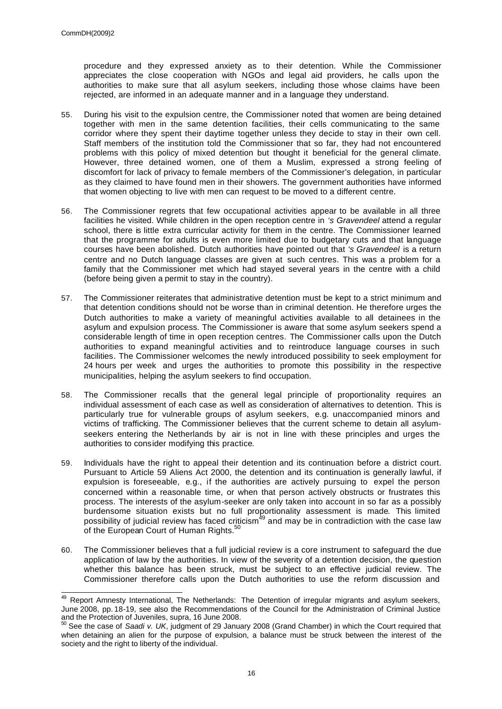procedure and they expressed anxiety as to their detention. While the Commissioner appreciates the close cooperation with NGOs and legal aid providers, he calls upon the authorities to make sure that all asylum seekers, including those whose claims have been rejected, are informed in an adequate manner and in a language they understand.

- 55. During his visit to the expulsion centre, the Commissioner noted that women are being detained together with men in the same detention facilities, their cells communicating to the same corridor where they spent their daytime together unless they decide to stay in their own cell. Staff members of the institution told the Commissioner that so far, they had not encountered problems with this policy of mixed detention but thought it beneficial for the general climate. However, three detained women, one of them a Muslim, expressed a strong feeling of discomfort for lack of privacy to female members of the Commissioner's delegation, in particular as they claimed to have found men in their showers. The government authorities have informed that women objecting to live with men can request to be moved to a different centre.
- 56. The Commissioner regrets that few occupational activities appear to be available in all three facilities he visited. While children in the open reception centre in *'s Gravendeel* attend a regular school, there is little extra curricular activity for them in the centre. The Commissioner learned that the programme for adults is even more limited due to budgetary cuts and that language courses have been abolished. Dutch authorities have pointed out that *'s Gravendeel* is a return centre and no Dutch language classes are given at such centres. This was a problem for a family that the Commissioner met which had stayed several years in the centre with a child (before being given a permit to stay in the country).
- 57. The Commissioner reiterates that administrative detention must be kept to a strict minimum and that detention conditions should not be worse than in criminal detention. He therefore urges the Dutch authorities to make a variety of meaningful activities available to all detainees in the asylum and expulsion process. The Commissioner is aware that some asylum seekers spend a considerable length of time in open reception centres. The Commissioner calls upon the Dutch authorities to expand meaningful activities and to reintroduce language courses in such facilities. The Commissioner welcomes the newly introduced possibility to seek employment for 24 hours per week and urges the authorities to promote this possibility in the respective municipalities, helping the asylum seekers to find occupation.
- 58. The Commissioner recalls that the general legal principle of proportionality requires an individual assessment of each case as well as consideration of alternatives to detention. This is particularly true for vulnerable groups of asylum seekers, e.g. unaccompanied minors and victims of trafficking. The Commissioner believes that the current scheme to detain all asylumseekers entering the Netherlands by air is not in line with these principles and urges the authorities to consider modifying this practice.
- 59. Individuals have the right to appeal their detention and its continuation before a district court. Pursuant to Article 59 Aliens Act 2000, the detention and its continuation is generally lawful, if expulsion is foreseeable, e.g., if the authorities are actively pursuing to expel the person concerned within a reasonable time, or when that person actively obstructs or frustrates this process. The interests of the asylum-seeker are only taken into account in so far as a possibly burdensome situation exists but no full proportionality assessment is made. This limited possibility of judicial review has faced criticism<sup>49</sup> and may be in contradiction with the case law of the European Court of Human Rights.<sup>5</sup>
- 60. The Commissioner believes that a full judicial review is a core instrument to safeguard the due application of law by the authorities. In view of the severity of a detention decision, the question whether this balance has been struck, must be subject to an effective judicial review. The Commissioner therefore calls upon the Dutch authorities to use the reform discussion and

<sup>&</sup>lt;sup>49</sup> Report Amnesty International, The Netherlands: The Detention of irregular migrants and asylum seekers, June 2008, pp. 18-19, see also the Recommendations of the Council for the Administration of Criminal Justice and the Protection of Juveniles, supra, 16 June 2008.

<sup>50</sup> See the case of *Saadi v. UK*, judgment of 29 January 2008 (Grand Chamber) in which the Court required that when detaining an alien for the purpose of expulsion, a balance must be struck between the interest of the society and the right to liberty of the individual.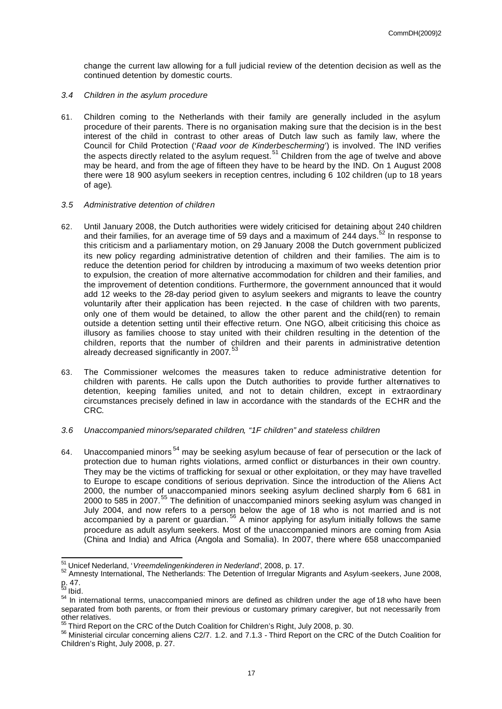change the current law allowing for a full judicial review of the detention decision as well as the continued detention by domestic courts.

- *3.4 Children in the asylum procedure*
- 61. Children coming to the Netherlands with their family are generally included in the asylum procedure of their parents. There is no organisation making sure that the decision is in the best interest of the child in contrast to other areas of Dutch law such as family law, where the Council for Child Protection ('*Raad voor de Kinderbescherming*') is involved. The IND verifies the aspects directly related to the asylum request.<sup>51</sup> Children from the age of twelve and above may be heard, and from the age of fifteen they have to be heard by the IND. On 1 August 2008 there were 18 900 asylum seekers in reception centres, including 6 102 children (up to 18 years of age).

## *3.5 Administrative detention of children*

- 62. Until January 2008, the Dutch authorities were widely criticised for detaining about 240 children and their families, for an average time of 59 days and a maximum of 244 days.<sup>52</sup> In response to this criticism and a parliamentary motion, on 29 January 2008 the Dutch government publicized its new policy regarding administrative detention of children and their families. The aim is to reduce the detention period for children by introducing a maximum of two weeks detention prior to expulsion, the creation of more alternative accommodation for children and their families, and the improvement of detention conditions. Furthermore, the government announced that it would add 12 weeks to the 28-day period given to asylum seekers and migrants to leave the country voluntarily after their application has been rejected. In the case of children with two parents, only one of them would be detained, to allow the other parent and the child(ren) to remain outside a detention setting until their effective return. One NGO, albeit criticising this choice as illusory as families choose to stay united with their children resulting in the detention of the children, reports that the number of children and their parents in administrative detention already decreased significantly in 2007.<sup>53</sup>
- 63. The Commissioner welcomes the measures taken to reduce administrative detention for children with parents. He calls upon the Dutch authorities to provide further alternatives to detention, keeping families united, and not to detain children, except in extraordinary circumstances precisely defined in law in accordance with the standards of the ECHR and the CRC.
- *3.6 Unaccompanied minors/separated children, "1F children" and stateless children*
- 64. Unaccompanied minors<sup>54</sup> may be seeking asylum because of fear of persecution or the lack of protection due to human rights violations, armed conflict or disturbances in their own country. They may be the victims of trafficking for sexual or other exploitation, or they may have travelled to Europe to escape conditions of serious deprivation. Since the introduction of the Aliens Act 2000, the number of unaccompanied minors seeking asylum declined sharply from 6 681 in 2000 to 585 in 2007.<sup>55</sup> The definition of unaccompanied minors seeking asylum was changed in July 2004, and now refers to a person below the age of 18 who is not married and is not accompanied by a parent or guardian.<sup>56</sup> A minor applying for asylum initially follows the same procedure as adult asylum seekers. Most of the unaccompanied minors are coming from Asia (China and India) and Africa (Angola and Somalia). In 2007, there where 658 unaccompanied

<sup>51</sup> Unicef Nederland, '*Vreemdelingenkinderen in Nederland'*, 2008, p. 17.

<sup>52</sup> Amnesty International, The Netherlands: The Detention of Irregular Migrants and Asylum -seekers, June 2008, p. 47.

 $^{53}$  Ibid.

<sup>54</sup> In international terms, unaccompanied minors are defined as children under the age of 18 who have been separated from both parents, or from their previous or customary primary caregiver, but not necessarily from other relatives.

 $55$  Third Report on the CRC of the Dutch Coalition for Children's Right, July 2008, p. 30.

<sup>56</sup> Ministerial circular concerning aliens C2/7. 1.2. and 7.1.3 - Third Report on the CRC of the Dutch Coalition for Children's Right, July 2008, p. 27.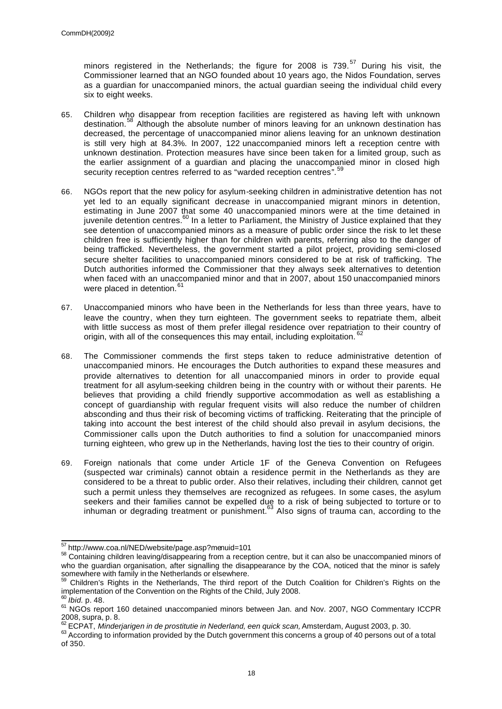minors registered in the Netherlands; the figure for 2008 is 739.<sup>57</sup> During his visit, the Commissioner learned that an NGO founded about 10 years ago, the Nidos Foundation, serves as a guardian for unaccompanied minors, the actual guardian seeing the individual child every six to eight weeks.

- 65. Children who disappear from reception facilities are registered as having left with unknown destination.<sup>58</sup> Although the absolute number of minors leaving for an unknown destination has decreased, the percentage of unaccompanied minor aliens leaving for an unknown destination is still very high at 84.3%. In 2007, 122 unaccompanied minors left a reception centre with unknown destination. Protection measures have since been taken for a limited group, such as the earlier assignment of a guardian and placing the unaccompanied minor in closed high security reception centres referred to as "warded reception centres". 59
- 66. NGOs report that the new policy for asylum-seeking children in administrative detention has not yet led to an equally significant decrease in unaccompanied migrant minors in detention, estimating in June 2007 that some 40 unaccompanied minors were at the time detained in juvenile detention centres.<sup>60</sup> In a letter to Parliament, the Ministry of Justice explained that they see detention of unaccompanied minors as a measure of public order since the risk to let these children free is sufficiently higher than for children with parents, referring also to the danger of being trafficked. Nevertheless, the government started a pilot project, providing semi-closed secure shelter facilities to unaccompanied minors considered to be at risk of trafficking. The Dutch authorities informed the Commissioner that they always seek alternatives to detention when faced with an unaccompanied minor and that in 2007, about 150 unaccompanied minors were placed in detention.<sup>61</sup>
- 67. Unaccompanied minors who have been in the Netherlands for less than three years, have to leave the country, when they turn eighteen. The government seeks to repatriate them, albeit with little success as most of them prefer illegal residence over repatriation to their country of origin, with all of the consequences this may entail, including exploitation.<sup>6</sup>
- 68. The Commissioner commends the first steps taken to reduce administrative detention of unaccompanied minors. He encourages the Dutch authorities to expand these measures and provide alternatives to detention for all unaccompanied minors in order to provide equal treatment for all asylum-seeking children being in the country with or without their parents. He believes that providing a child friendly supportive accommodation as well as establishing a concept of guardianship with regular frequent visits will also reduce the number of children absconding and thus their risk of becoming victims of trafficking. Reiterating that the principle of taking into account the best interest of the child should also prevail in asylum decisions, the Commissioner calls upon the Dutch authorities to find a solution for unaccompanied minors turning eighteen, who grew up in the Netherlands, having lost the ties to their country of origin.
- 69. Foreign nationals that come under Article 1F of the Geneva Convention on Refugees (suspected war criminals) cannot obtain a residence permit in the Netherlands as they are considered to be a threat to public order. Also their relatives, including their children, cannot get such a permit unless they themselves are recognized as refugees. In some cases, the asylum seekers and their families cannot be expelled due to a risk of being subjected to torture or to inhuman or degrading treatment or punishment.  $63$  Also signs of trauma can, according to the

 $\overline{a}$ <sup>57</sup> http://www.coa.nl/NED/website/page.asp?menuid=101

<sup>58</sup> Containing children leaving/disappearing from a reception centre, but it can also be unaccompanied minors of who the guardian organisation, after signalling the disappearance by the COA, noticed that the minor is safely somewhere with family in the Netherlands or elsewhere.

<sup>&</sup>lt;sup>59</sup> Children's Rights in the Netherlands, The third report of the Dutch Coalition for Children's Rights on the implementation of the Convention on the Rights of the Child, July 2008.

<sup>60</sup> *Ibid.* p. 48.

<sup>&</sup>lt;sup>61</sup> NGOs report 160 detained unaccompanied minors between Jan. and Nov. 2007, NGO Commentary ICCPR 2008, supra, p. 8.

<sup>62</sup> ECPAT, *Minderjarigen in de prostitutie in Nederland, een quick scan,* Amsterdam, August 2003, p. 30.

<sup>63</sup> According to information provided by the Dutch government this concerns a group of 40 persons out of a total of 350.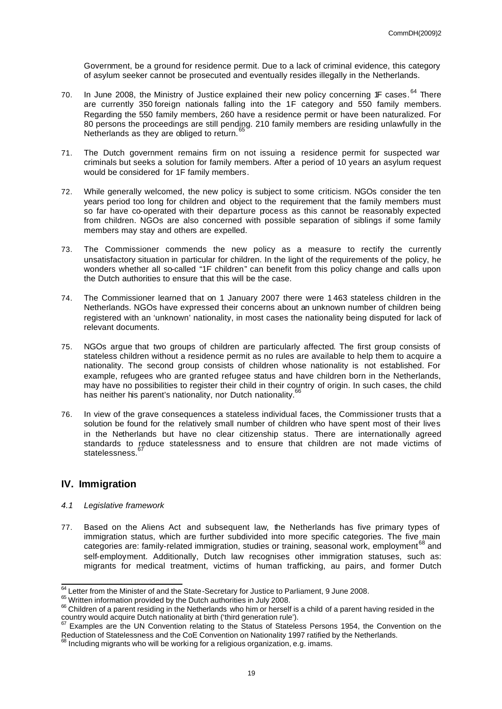Government, be a ground for residence permit. Due to a lack of criminal evidence, this category of asylum seeker cannot be prosecuted and eventually resides illegally in the Netherlands.

- 70. In June 2008, the Ministry of Justice explained their new policy concerning 1F cases. <sup>64</sup> There are currently 350 foreign nationals falling into the 1F category and 550 family members. Regarding the 550 family members, 260 have a residence permit or have been naturalized. For 80 persons the proceedings are still pending. 210 family members are residing unlawfully in the Netherlands as they are obliged to return.<sup>6</sup>
- 71. The Dutch government remains firm on not issuing a residence permit for suspected war criminals but seeks a solution for family members. After a period of 10 years an asylum request would be considered for 1F family members.
- 72. While generally welcomed, the new policy is subject to some criticism. NGOs consider the ten years period too long for children and object to the requirement that the family members must so far have co-operated with their departure process as this cannot be reasonably expected from children. NGOs are also concerned with possible separation of siblings if some family members may stay and others are expelled.
- 73. The Commissioner commends the new policy as a measure to rectify the currently unsatisfactory situation in particular for children. In the light of the requirements of the policy, he wonders whether all so-called "1F children" can benefit from this policy change and calls upon the Dutch authorities to ensure that this will be the case.
- 74. The Commissioner learned that on 1 January 2007 there were 1 463 stateless children in the Netherlands. NGOs have expressed their concerns about an unknown number of children being registered with an 'unknown' nationality, in most cases the nationality being disputed for lack of relevant documents.
- 75. NGOs argue that two groups of children are particularly affected. The first group consists of stateless children without a residence permit as no rules are available to help them to acquire a nationality. The second group consists of children whose nationality is not established. For example, refugees who are granted refugee status and have children born in the Netherlands, may have no possibilities to register their child in their country of origin. In such cases, the child has neither his parent's nationality, nor Dutch nationality.<sup>6</sup>
- 76. In view of the grave consequences a stateless individual faces, the Commissioner trusts that a solution be found for the relatively small number of children who have spent most of their lives in the Netherlands but have no clear citizenship status. There are internationally agreed standards to reduce statelessness and to ensure that children are not made victims of statelessness.<sup>6</sup>

## **IV. Immigration**

- *4.1 Legislative framework*
- 77. Based on the Aliens Act and subsequent law, the Netherlands has five primary types of immigration status, which are further subdivided into more specific categories. The five main categories are: family-related immigration, studies or training, seasonal work, employment<sup>68</sup> and self-employment. Additionally, Dutch law recognises other immigration statuses, such as: migrants for medical treatment, victims of human trafficking, au pairs, and former Dutch

 $\overline{\phantom{a}}$  $64$  Letter from the Minister of and the State-Secretary for Justice to Parliament, 9 June 2008.

<sup>&</sup>lt;sup>65</sup> Written information provided by the Dutch authorities in July 2008.

<sup>&</sup>lt;sup>66</sup> Children of a parent residing in the Netherlands who him or herself is a child of a parent having resided in the country would acquire Dutch nationality at birth ('third generation rule').

Examples are the UN Convention relating to the Status of Stateless Persons 1954, the Convention on the Reduction of Statelessness and the CoE Convention on Nationality 1997 ratified by the Netherlands.

 $68$  Including migrants who will be working for a religious organization, e.g. imams.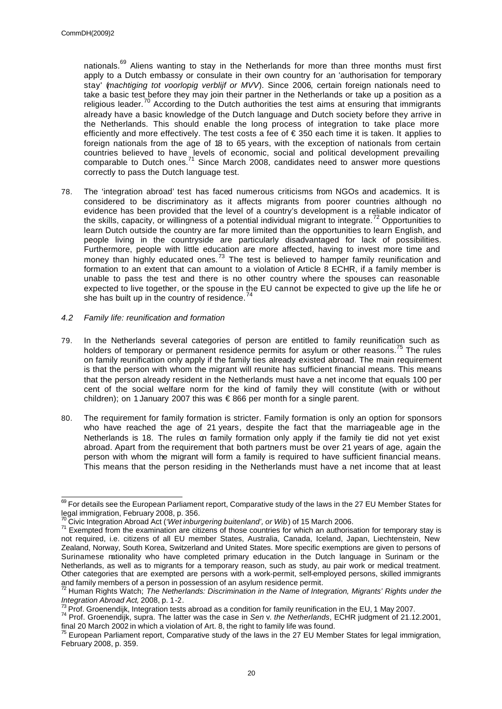nationals.<sup>69</sup> Aliens wanting to stay in the Netherlands for more than three months must first apply to a Dutch embassy or consulate in their own country for an 'authorisation for temporary stay' (*machtiging tot voorlopig verblijf or MVV*). Since 2006, certain foreign nationals need to take a basic test before they may join their partner in the Netherlands or take up a position as a religious leader.<sup>70</sup> According to the Dutch authorities the test aims at ensuring that immigrants already have a basic knowledge of the Dutch language and Dutch society before they arrive in the Netherlands. This should enable the long process of integration to take place more efficiently and more effectively. The test costs a fee of € 350 each time it is taken. It applies to foreign nationals from the age of 18 to 65 years, with the exception of nationals from certain countries believed to have levels of economic, social and political development prevailing comparable to Dutch ones.<sup>71</sup> Since March 2008, candidates need to answer more questions correctly to pass the Dutch language test.

- 78. The 'integration abroad' test has faced numerous criticisms from NGOs and academics. It is considered to be discriminatory as it affects migrants from poorer countries although no evidence has been provided that the level of a country's development is a reliable indicator of the skills, capacity, or willingness of a potential individual migrant to integrate.<sup>72</sup> Opportunities to learn Dutch outside the country are far more limited than the opportunities to learn English, and people living in the countryside are particularly disadvantaged for lack of possibilities. Furthermore, people with little education are more affected, having to invest more time and money than highly educated ones.<sup>73</sup> The test is believed to hamper family reunification and formation to an extent that can amount to a violation of Article 8 ECHR, if a family member is unable to pass the test and there is no other country where the spouses can reasonable expected to live together, or the spouse in the EU cannot be expected to give up the life he or she has built up in the country of residence. $74$
- *4.2 Family life: reunification and formation*
- 79. In the Netherlands several categories of person are entitled to family reunification such as holders of temporary or permanent residence permits for asylum or other reasons.<sup>75</sup> The rules on family reunification only apply if the family ties already existed abroad. The main requirement is that the person with whom the migrant will reunite has sufficient financial means. This means that the person already resident in the Netherlands must have a net income that equals 100 per cent of the social welfare norm for the kind of family they will constitute (with or without children); on 1 January 2007 this was € 866 per month for a single parent.
- 80. The requirement for family formation is stricter. Family formation is only an option for sponsors who have reached the age of 21 years, despite the fact that the marriageable age in the Netherlands is 18. The rules on family formation only apply if the family tie did not yet exist abroad. Apart from the requirement that both partners must be over 21 years of age, again the person with whom the migrant will form a family is required to have sufficient financial means. This means that the person residing in the Netherlands must have a net income that at least

 $\overline{\phantom{a}}$  $^{69}$  For details see the European Parliament report, Comparative study of the laws in the 27 EU Member States for legal immigration, February 2008, p. 356.

<sup>70</sup> Civic Integration Abroad Act (*'Wet inburgering buitenland', or Wib*) of 15 March 2006.

<sup>&</sup>lt;sup>71</sup> Exempted from the examination are citizens of those countries for which an authorisation for temporary stay is not required, i.e. citizens of all EU member States, Australia, Canada, Iceland, Japan, Liechtenstein, New Zealand, Norway, South Korea, Switzerland and United States. More specific exemptions are given to persons of Surinamese nationality who have completed primary education in the Dutch language in Surinam or the Netherlands, as well as to migrants for a temporary reason, such as study, au pair work or medical treatment. Other categories that are exempted are persons with a work-permit, self-employed persons, skilled immigrants and family members of a person in possession of an asylum residence permit.

<sup>72</sup> Human Rights Watch; *The Netherlands: Discrimination in the Name of Integration, Migrants' Rights under the Integration Abroad Act,* 2008, p. 1-2.

 $^{73}$  Prof. Groenendijk, Integration tests abroad as a condition for family reunification in the EU, 1 May 2007.

<sup>74</sup> Prof. Groenendijk, supra. The latter was the case in *Sen* v. *the Netherlands*, ECHR judgment of 21.12.2001, final 20 March 2002 in which a violation of Art. 8, the right to family life was found.

<sup>&</sup>lt;sup>75</sup> European Parliament report, Comparative study of the laws in the 27 EU Member States for legal immigration, February 2008, p. 359.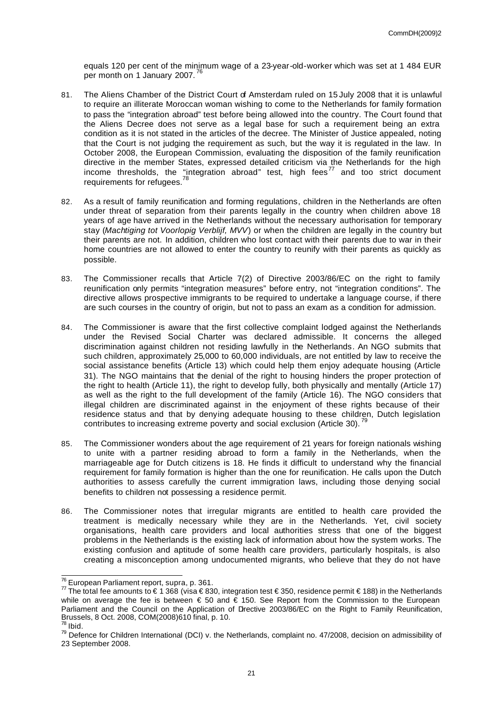equals 120 per cent of the minimum wage of a 23-year-old-worker which was set at 1 484 EUR per month on 1 January 2007.<sup>76</sup>

- 81. The Aliens Chamber of the District Court of Amsterdam ruled on 15 July 2008 that it is unlawful to require an illiterate Moroccan woman wishing to come to the Netherlands for family formation to pass the "integration abroad" test before being allowed into the country. The Court found that the Aliens Decree does not serve as a legal base for such a requirement being an extra condition as it is not stated in the articles of the decree. The Minister of Justice appealed, noting that the Court is not judging the requirement as such, but the way it is regulated in the law. In October 2008, the European Commission, evaluating the disposition of the family reunification directive in the member States, expressed detailed criticism via the Netherlands for the high income thresholds, the "integration abroad" test, high fees<sup>77</sup> and too strict document requirements for refugees.
- 82. As a result of family reunification and forming regulations, children in the Netherlands are often under threat of separation from their parents legally in the country when children above 18 years of age have arrived in the Netherlands without the necessary authorisation for temporary stay (*Machtiging tot Voorlopig Verblijf, MVV*) or when the children are legally in the country but their parents are not. In addition, children who lost contact with their parents due to war in their home countries are not allowed to enter the country to reunify with their parents as quickly as possible.
- 83. The Commissioner recalls that Article 7(2) of Directive 2003/86/EC on the right to family reunification only permits "integration measures" before entry, not "integration conditions". The directive allows prospective immigrants to be required to undertake a language course, if there are such courses in the country of origin, but not to pass an exam as a condition for admission.
- 84. The Commissioner is aware that the first collective complaint lodged against the Netherlands under the Revised Social Charter was declared admissible. It concerns the alleged discrimination against children not residing lawfully in the Netherlands. An NGO submits that such children, approximately 25,000 to 60,000 individuals, are not entitled by law to receive the social assistance benefits (Article 13) which could help them enjoy adequate housing (Article 31). The NGO maintains that the denial of the right to housing hinders the proper protection of the right to health (Article 11), the right to develop fully, both physically and mentally (Article 17) as well as the right to the full development of the family (Article 16). The NGO considers that illegal children are discriminated against in the enjoyment of these rights because of their residence status and that by denying adequate housing to these children, Dutch legislation contributes to increasing extreme poverty and social exclusion (Article 30).
- 85. The Commissioner wonders about the age requirement of 21 years for foreign nationals wishing to unite with a partner residing abroad to form a family in the Netherlands, when the marriageable age for Dutch citizens is 18. He finds it difficult to understand why the financial requirement for family formation is higher than the one for reunification. He calls upon the Dutch authorities to assess carefully the current immigration laws, including those denying social benefits to children not possessing a residence permit.
- 86. The Commissioner notes that irregular migrants are entitled to health care provided the treatment is medically necessary while they are in the Netherlands. Yet, civil society organisations, health care providers and local authorities stress that one of the biggest problems in the Netherlands is the existing lack of information about how the system works. The existing confusion and aptitude of some health care providers, particularly hospitals, is also creating a misconception among undocumented migrants, who believe that they do not have

 $\overline{a}$ <sup>76</sup> European Parliament report, supra, p. 361.

 $\frac{77}{7}$  The total fee amounts to € 1 368 (visa € 830, integration test € 350, residence permit € 188) in the Netherlands while on average the fee is between  $\epsilon$  50 and  $\epsilon$  150. See Report from the Commission to the European Parliament and the Council on the Application of Drective 2003/86/EC on the Right to Family Reunification, Brussels, 8 Oct. 2008, COM(2008)610 final, p. 10.

 $78$  Ibid.

<sup>&</sup>lt;sup>79</sup> Defence for Children International (DCI) v. the Netherlands, complaint no. 47/2008, decision on admissibility of 23 September 2008.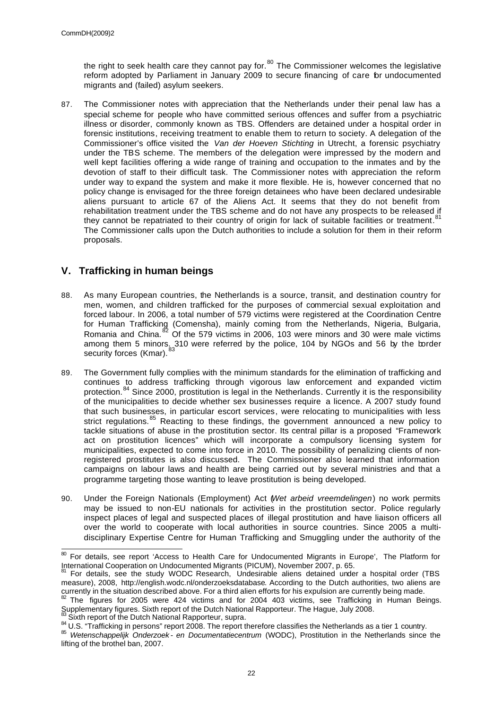the right to seek health care they cannot pay for.<sup>80</sup> The Commissioner welcomes the legislative reform adopted by Parliament in January 2009 to secure financing of care for undocumented migrants and (failed) asylum seekers.

87. The Commissioner notes with appreciation that the Netherlands under their penal law has a special scheme for people who have committed serious offences and suffer from a psychiatric illness or disorder, commonly known as TBS. Offenders are detained under a hospital order in forensic institutions, receiving treatment to enable them to return to society. A delegation of the Commissioner's office visited the *Van der Hoeven Stichting* in Utrecht, a forensic psychiatry under the TBS scheme. The members of the delegation were impressed by the modern and well kept facilities offering a wide range of training and occupation to the inmates and by the devotion of staff to their difficult task. The Commissioner notes with appreciation the reform under way to expand the system and make it more flexible. He is, however concerned that no policy change is envisaged for the three foreign detainees who have been declared undesirable aliens pursuant to article 67 of the Aliens Act. It seems that they do not benefit from rehabilitation treatment under the TBS scheme and do not have any prospects to be released if they cannot be repatriated to their country of origin for lack of suitable facilities or treatment.<sup>81</sup> The Commissioner calls upon the Dutch authorities to include a solution for them in their reform proposals.

# **V. Trafficking in human beings**

- 88. As many European countries, the Netherlands is a source, transit, and destination country for men, women, and children trafficked for the purposes of commercial sexual exploitation and forced labour. In 2006, a total number of 579 victims were registered at the Coordination Centre for Human Trafficking (Comensha), mainly coming from the Netherlands, Nigeria, Bulgaria, Romania and China.<sup>82</sup> Of the 579 victims in 2006, 103 were minors and 30 were male victims among them 5 minors. 310 were referred by the police, 104 by NGOs and 56 by the border security forces (Kmar). <sup>83</sup>
- 89. The Government fully complies with the minimum standards for the elimination of trafficking and continues to address trafficking through vigorous law enforcement and expanded victim protection.<sup>84</sup> Since 2000, prostitution is legal in the Netherlands. Currently it is the responsibility of the municipalities to decide whether sex businesses require a licence. A 2007 study found that such businesses, in particular escort services, were relocating to municipalities with less strict regulations.<sup>85</sup> Reacting to these findings, the government announced a new policy to tackle situations of abuse in the prostitution sector. Its central pillar is a proposed "Framework act on prostitution licences" which will incorporate a compulsory licensing system for municipalities, expected to come into force in 2010. The possibility of penalizing clients of nonregistered prostitutes is also discussed. The Commissioner also learned that information campaigns on labour laws and health are being carried out by several ministries and that a programme targeting those wanting to leave prostitution is being developed.
- 90. Under the Foreign Nationals (Employment) Act (*Wet arbeid vreemdelingen*) no work permits may be issued to non-EU nationals for activities in the prostitution sector. Police regularly inspect places of legal and suspected places of illegal prostitution and have liaison officers all over the world to cooperate with local authorities in source countries. Since 2005 a multidisciplinary Expertise Centre for Human Trafficking and Smuggling under the authority of the

Sixth report of the Dutch National Rapporteur, supra.

<sup>&</sup>lt;sup>80</sup> For details, see report 'Access to Health Care for Undocumented Migrants in Europe', The Platform for International Cooperation on Undocumented Migrants (PICUM), November 2007, p. 65.

For details, see the study WODC Research, Undesirable aliens detained under a hospital order (TBS measure), 2008, http://english.wodc.nl/onderzoeksdatabase. According to the Dutch authorities, two aliens are currently in the situation described above. For a third alien efforts for his expulsion are currently being made.

 $82$  The figures for 2005 were 424 victims and for 2004 403 victims, see Trafficking in Human Beings. Supplementary figures. Sixth report of the Dutch National Rapporteur. The Hague, July 2008.

<sup>84</sup> U.S. "Trafficking in persons" report 2008. The report therefore classifies the Netherlands as a tier 1 country.

<sup>85</sup> *Wetenschappelijk Onderzoek - en Documentatiecentrum* (WODC), Prostitution in the Netherlands since the lifting of the brothel ban, 2007.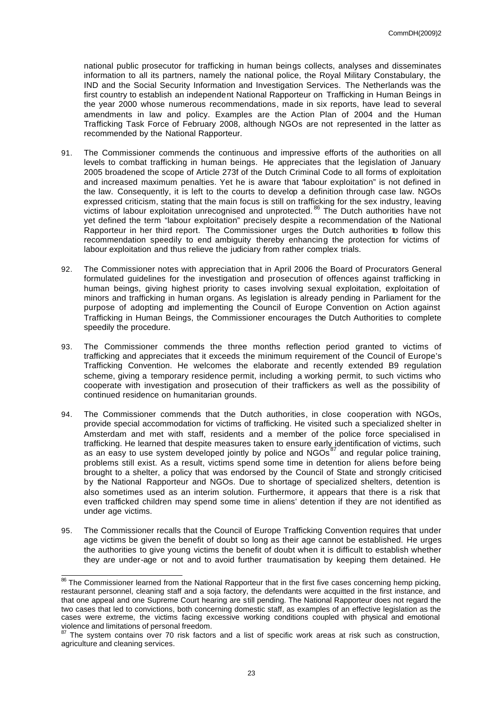national public prosecutor for trafficking in human beings collects, analyses and disseminates information to all its partners, namely the national police, the Royal Military Constabulary, the IND and the Social Security Information and Investigation Services. The Netherlands was the first country to establish an independent National Rapporteur on Trafficking in Human Beings in the year 2000 whose numerous recommendations, made in six reports, have lead to several amendments in law and policy. Examples are the Action Plan of 2004 and the Human Trafficking Task Force of February 2008, although NGOs are not represented in the latter as recommended by the National Rapporteur.

- 91. The Commissioner commends the continuous and impressive efforts of the authorities on all levels to combat trafficking in human beings. He appreciates that the legislation of January 2005 broadened the scope of Article 273f of the Dutch Criminal Code to all forms of exploitation and increased maximum penalties. Yet he is aware that "labour exploitation" is not defined in the law. Consequently, it is left to the courts to develop a definition through case law. NGOs expressed criticism, stating that the main focus is still on trafficking for the sex industry, leaving victims of labour exploitation unrecognised and unprotected. <sup>86</sup> The Dutch authorities have not yet defined the term "labour exploitation" precisely despite a recommendation of the National Rapporteur in her third report. The Commissioner urges the Dutch authorities to follow this recommendation speedily to end ambiguity thereby enhancing the protection for victims of labour exploitation and thus relieve the judiciary from rather complex trials.
- 92. The Commissioner notes with appreciation that in April 2006 the Board of Procurators General formulated guidelines for the investigation and prosecution of offences against trafficking in human beings, giving highest priority to cases involving sexual exploitation, exploitation of minors and trafficking in human organs. As legislation is already pending in Parliament for the purpose of adopting and implementing the Council of Europe Convention on Action against Trafficking in Human Beings, the Commissioner encourages the Dutch Authorities to complete speedily the procedure.
- 93. The Commissioner commends the three months reflection period granted to victims of trafficking and appreciates that it exceeds the minimum requirement of the Council of Europe's Trafficking Convention. He welcomes the elaborate and recently extended B9 regulation scheme, giving a temporary residence permit, including a working permit, to such victims who cooperate with investigation and prosecution of their traffickers as well as the possibility of continued residence on humanitarian grounds.
- 94. The Commissioner commends that the Dutch authorities, in close cooperation with NGOs, provide special accommodation for victims of trafficking. He visited such a specialized shelter in Amsterdam and met with staff, residents and a member of the police force specialised in trafficking. He learned that despite measures taken to ensure early identification of victims, such as an easy to use system developed jointly by police and NGOs<sup>87</sup> and regular police training, problems still exist. As a result, victims spend some time in detention for aliens before being brought to a shelter, a policy that was endorsed by the Council of State and strongly criticised by the National Rapporteur and NGOs. Due to shortage of specialized shelters, detention is also sometimes used as an interim solution. Furthermore, it appears that there is a risk that even trafficked children may spend some time in aliens' detention if they are not identified as under age victims.
- 95. The Commissioner recalls that the Council of Europe Trafficking Convention requires that under age victims be given the benefit of doubt so long as their age cannot be established. He urges the authorities to give young victims the benefit of doubt when it is difficult to establish whether they are under-age or not and to avoid further traumatisation by keeping them detained. He

 $\overline{\phantom{a}}$  $86$  The Commissioner learned from the National Rapporteur that in the first five cases concerning hemp picking, restaurant personnel, cleaning staff and a soja factory, the defendants were acquitted in the first instance, and that one appeal and one Supreme Court hearing are still pending. The National Rapporteur does not regard the two cases that led to convictions, both concerning domestic staff, as examples of an effective legislation as the cases were extreme, the victims facing excessive working conditions coupled with physical and emotional violence and limitations of personal freedom.

 $<sup>7</sup>$  The system contains over 70 risk factors and a list of specific work areas at risk such as construction,</sup> agriculture and cleaning services.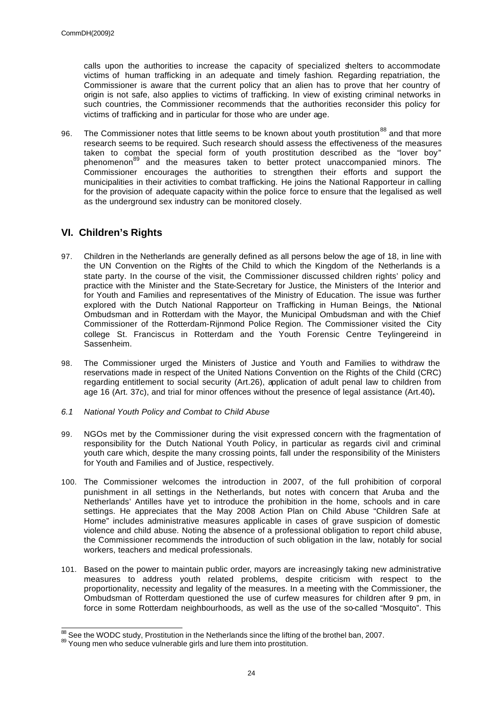calls upon the authorities to increase the capacity of specialized shelters to accommodate victims of human trafficking in an adequate and timely fashion. Regarding repatriation, the Commissioner is aware that the current policy that an alien has to prove that her country of origin is not safe, also applies to victims of trafficking. In view of existing criminal networks in such countries, the Commissioner recommends that the authorities reconsider this policy for victims of trafficking and in particular for those who are under age.

96. The Commissioner notes that little seems to be known about youth prostitution<sup>88</sup> and that more research seems to be required. Such research should assess the effectiveness of the measures taken to combat the special form of youth prostitution described as the "lover boy" phenomenon<sup>89</sup> and the measures taken to better protect unaccompanied minors. The Commissioner encourages the authorities to strengthen their efforts and support the municipalities in their activities to combat trafficking. He joins the National Rapporteur in calling for the provision of adequate capacity within the police force to ensure that the legalised as well as the underground sex industry can be monitored closely.

# **VI. Children's Rights**

- 97. Children in the Netherlands are generally defined as all persons below the age of 18, in line with the UN Convention on the Rights of the Child to which the Kingdom of the Netherlands is a state party. In the course of the visit, the Commissioner discussed children rights' policy and practice with the Minister and the State-Secretary for Justice, the Ministers of the Interior and for Youth and Families and representatives of the Ministry of Education. The issue was further explored with the Dutch National Rapporteur on Trafficking in Human Beings, the National Ombudsman and in Rotterdam with the Mayor, the Municipal Ombudsman and with the Chief Commissioner of the Rotterdam-Rijnmond Police Region. The Commissioner visited the City college St. Franciscus in Rotterdam and the Youth Forensic Centre Teylingereind in Sassenheim.
- 98. The Commissioner urged the Ministers of Justice and Youth and Families to withdraw the reservations made in respect of the United Nations Convention on the Rights of the Child (CRC) regarding entitlement to social security (Art.26), application of adult penal law to children from age 16 (Art. 37c), and trial for minor offences without the presence of legal assistance (Art.40)**.**
- *6.1 National Youth Policy and Combat to Child Abuse*
- 99. NGOs met by the Commissioner during the visit expressed concern with the fragmentation of responsibility for the Dutch National Youth Policy, in particular as regards civil and criminal youth care which, despite the many crossing points, fall under the responsibility of the Ministers for Youth and Families and of Justice, respectively.
- 100. The Commissioner welcomes the introduction in 2007, of the full prohibition of corporal punishment in all settings in the Netherlands, but notes with concern that Aruba and the Netherlands' Antilles have yet to introduce the prohibition in the home, schools and in care settings. He appreciates that the May 2008 Action Plan on Child Abuse "Children Safe at Home" includes administrative measures applicable in cases of grave suspicion of domestic violence and child abuse. Noting the absence of a professional obligation to report child abuse, the Commissioner recommends the introduction of such obligation in the law, notably for social workers, teachers and medical professionals.
- 101. Based on the power to maintain public order, mayors are increasingly taking new administrative measures to address youth related problems, despite criticism with respect to the proportionality, necessity and legality of the measures. In a meeting with the Commissioner, the Ombudsman of Rotterdam questioned the use of curfew measures for children after 9 pm, in force in some Rotterdam neighbourhoods, as well as the use of the so-called "Mosquito". This

 $\overline{\phantom{a}}$  $88$  See the WODC study, Prostitution in the Netherlands since the lifting of the brothel ban, 2007.

<sup>89</sup> Young men who seduce vulnerable girls and lure them into prostitution.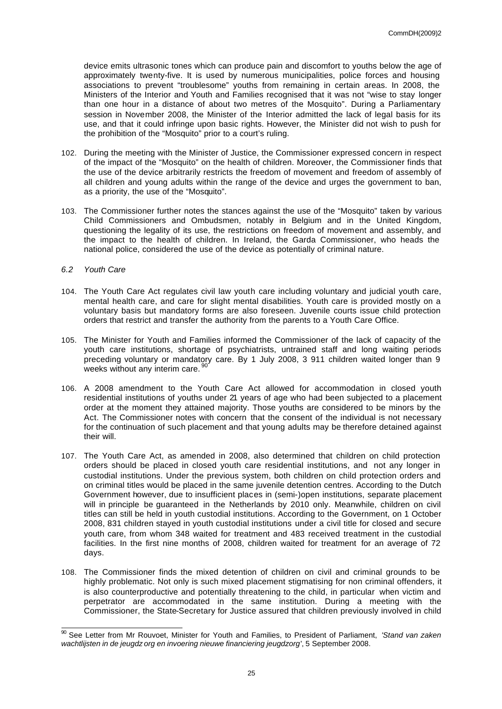device emits ultrasonic tones which can produce pain and discomfort to youths below the age of approximately twenty-five. It is used by numerous municipalities, police forces and housing associations to prevent "troublesome" youths from remaining in certain areas. In 2008, the Ministers of the Interior and Youth and Families recognised that it was not "wise to stay longer than one hour in a distance of about two metres of the Mosquito". During a Parliamentary session in November 2008, the Minister of the Interior admitted the lack of legal basis for its use, and that it could infringe upon basic rights. However, the Minister did not wish to push for the prohibition of the "Mosquito" prior to a court's ruling.

- 102. During the meeting with the Minister of Justice, the Commissioner expressed concern in respect of the impact of the "Mosquito" on the health of children. Moreover, the Commissioner finds that the use of the device arbitrarily restricts the freedom of movement and freedom of assembly of all children and young adults within the range of the device and urges the government to ban, as a priority, the use of the "Mosquito".
- 103. The Commissioner further notes the stances against the use of the "Mosquito" taken by various Child Commissioners and Ombudsmen, notably in Belgium and in the United Kingdom, questioning the legality of its use, the restrictions on freedom of movement and assembly, and the impact to the health of children. In Ireland, the Garda Commissioner, who heads the national police, considered the use of the device as potentially of criminal nature.

## *6.2 Youth Care*

- 104. The Youth Care Act regulates civil law youth care including voluntary and judicial youth care, mental health care, and care for slight mental disabilities. Youth care is provided mostly on a voluntary basis but mandatory forms are also foreseen. Juvenile courts issue child protection orders that restrict and transfer the authority from the parents to a Youth Care Office.
- 105. The Minister for Youth and Families informed the Commissioner of the lack of capacity of the youth care institutions, shortage of psychiatrists, untrained staff and long waiting periods preceding voluntary or mandatory care. By 1 July 2008, 3 911 children waited longer than 9 weeks without any interim care.<sup>9</sup>
- 106. A 2008 amendment to the Youth Care Act allowed for accommodation in closed youth residential institutions of youths under 21 years of age who had been subjected to a placement order at the moment they attained majority. Those youths are considered to be minors by the Act. The Commissioner notes with concern that the consent of the individual is not necessary for the continuation of such placement and that young adults may be therefore detained against their will.
- 107. The Youth Care Act, as amended in 2008, also determined that children on child protection orders should be placed in closed youth care residential institutions, and not any longer in custodial institutions. Under the previous system, both children on child protection orders and on criminal titles would be placed in the same juvenile detention centres. According to the Dutch Government however, due to insufficient places in (semi-)open institutions, separate placement will in principle be guaranteed in the Netherlands by 2010 only. Meanwhile, children on civil titles can still be held in youth custodial institutions. According to the Government, on 1 October 2008, 831 children stayed in youth custodial institutions under a civil title for closed and secure youth care, from whom 348 waited for treatment and 483 received treatment in the custodial facilities. In the first nine months of 2008, children waited for treatment for an average of 72 days.
- 108. The Commissioner finds the mixed detention of children on civil and criminal grounds to be highly problematic. Not only is such mixed placement stigmatising for non criminal offenders, it is also counterproductive and potentially threatening to the child, in particular when victim and perpetrator are accommodated in the same institution. During a meeting with the Commissioner, the State-Secretary for Justice assured that children previously involved in child

 $\overline{a}$ <sup>90</sup> See Letter from Mr Rouvoet, Minister for Youth and Families, to President of Parliament, *'Stand van zaken wachtlijsten in de jeugdz org en invoering nieuwe financiering jeugdzorg*', 5 September 2008.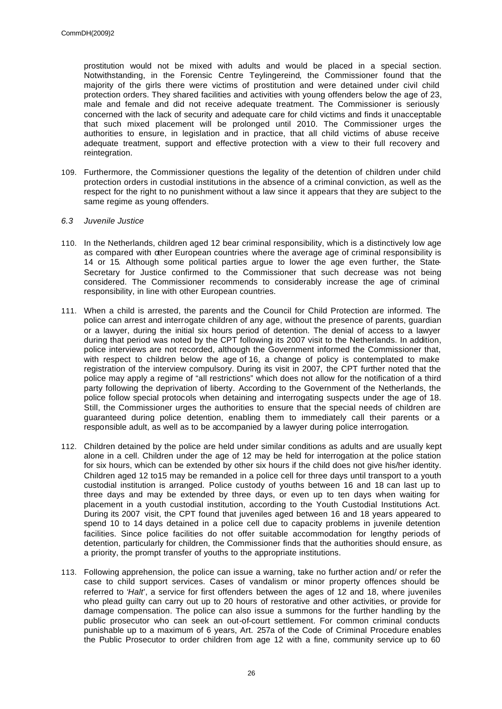prostitution would not be mixed with adults and would be placed in a special section. Notwithstanding, in the Forensic Centre Teylingereind, the Commissioner found that the majority of the girls there were victims of prostitution and were detained under civil child protection orders. They shared facilities and activities with young offenders below the age of 23, male and female and did not receive adequate treatment. The Commissioner is seriously concerned with the lack of security and adequate care for child victims and finds it unacceptable that such mixed placement will be prolonged until 2010. The Commissioner urges the authorities to ensure, in legislation and in practice, that all child victims of abuse receive adequate treatment, support and effective protection with a view to their full recovery and reintegration.

109. Furthermore, the Commissioner questions the legality of the detention of children under child protection orders in custodial institutions in the absence of a criminal conviction, as well as the respect for the right to no punishment without a law since it appears that they are subject to the same regime as young offenders.

## *6.3 Juvenile Justice*

- 110. In the Netherlands, children aged 12 bear criminal responsibility, which is a distinctively low age as compared with other European countries where the average age of criminal responsibility is 14 or 15*.* Although some political parties argue to lower the age even further, the State-Secretary for Justice confirmed to the Commissioner that such decrease was not being considered. The Commissioner recommends to considerably increase the age of criminal responsibility, in line with other European countries.
- 111. When a child is arrested, the parents and the Council for Child Protection are informed. The police can arrest and interrogate children of any age, without the presence of parents, guardian or a lawyer, during the initial six hours period of detention. The denial of access to a lawyer during that period was noted by the CPT following its 2007 visit to the Netherlands. In addition, police interviews are not recorded, although the Government informed the Commissioner that, with respect to children below the age of 16, a change of policy is contemplated to make registration of the interview compulsory. During its visit in 2007, the CPT further noted that the police may apply a regime of "all restrictions" which does not allow for the notification of a third party following the deprivation of liberty. According to the Government of the Netherlands, the police follow special protocols when detaining and interrogating suspects under the age of 18. Still, the Commissioner urges the authorities to ensure that the special needs of children are guaranteed during police detention, enabling them to immediately call their parents or a responsible adult, as well as to be accompanied by a lawyer during police interrogation.
- 112. Children detained by the police are held under similar conditions as adults and are usually kept alone in a cell. Children under the age of 12 may be held for interrogation at the police station for six hours, which can be extended by other six hours if the child does not give his/her identity. Children aged 12 to15 may be remanded in a police cell for three days until transport to a youth custodial institution is arranged. Police custody of youths between 16 and 18 can last up to three days and may be extended by three days, or even up to ten days when waiting for placement in a youth custodial institution, according to the Youth Custodial Institutions Act. During its 2007 visit, the CPT found that juveniles aged between 16 and 18 years appeared to spend 10 to 14 days detained in a police cell due to capacity problems in juvenile detention facilities. Since police facilities do not offer suitable accommodation for lengthy periods of detention, particularly for children, the Commissioner finds that the authorities should ensure, as a priority, the prompt transfer of youths to the appropriate institutions.
- 113. Following apprehension, the police can issue a warning, take no further action and/ or refer the case to child support services. Cases of vandalism or minor property offences should be referred to '*Halt*', a service for first offenders between the ages of 12 and 18, where juveniles who plead guilty can carry out up to 20 hours of restorative and other activities, or provide for damage compensation. The police can also issue a summons for the further handling by the public prosecutor who can seek an out-of-court settlement. For common criminal conducts punishable up to a maximum of 6 years, Art. 257a of the Code of Criminal Procedure enables the Public Prosecutor to order children from age 12 with a fine, community service up to 60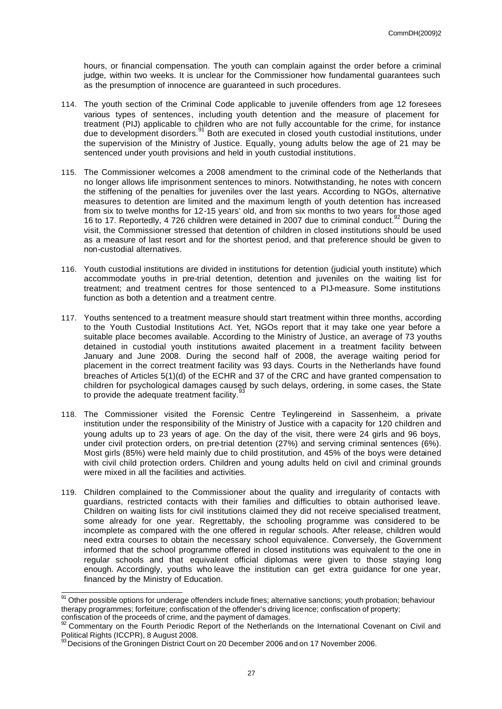hours, or financial compensation. The youth can complain against the order before a criminal judge, within two weeks. It is unclear for the Commissioner how fundamental guarantees such as the presumption of innocence are guaranteed in such procedures.

- 114. The youth section of the Criminal Code applicable to juvenile offenders from age 12 foresees various types of sentences, including youth detention and the measure of placement for treatment (PIJ) applicable to children who are not fully accountable for the crime, for instance due to development disorders.<sup>91</sup> Both are executed in closed youth custodial institutions, under the supervision of the Ministry of Justice. Equally, young adults below the age of 21 may be sentenced under youth provisions and held in youth custodial institutions.
- 115. The Commissioner welcomes a 2008 amendment to the criminal code of the Netherlands that no longer allows life imprisonment sentences to minors. Notwithstanding, he notes with concern the stiffening of the penalties for juveniles over the last years. According to NGOs, alternative measures to detention are limited and the maximum length of youth detention has increased from six to twelve months for 12-15 years' old, and from six months to two years for those aged 16 to 17. Reportedly, 4 726 children were detained in 2007 due to criminal conduct.<sup>92</sup> During the visit, the Commissioner stressed that detention of children in closed institutions should be used as a measure of last resort and for the shortest period, and that preference should be given to non-custodial alternatives.
- 116. Youth custodial institutions are divided in institutions for detention (judicial youth institute) which accommodate youths in pre-trial detention, detention and juveniles on the waiting list for treatment; and treatment centres for those sentenced to a PIJ-measure. Some institutions function as both a detention and a treatment centre.
- 117. Youths sentenced to a treatment measure should start treatment within three months, according to the Youth Custodial Institutions Act. Yet, NGOs report that it may take one year before a suitable place becomes available. According to the Ministry of Justice, an average of 73 youths detained in custodial youth institutions awaited placement in a treatment facility between January and June 2008. During the second half of 2008, the average waiting period for placement in the correct treatment facility was 93 days. Courts in the Netherlands have found breaches of Articles 5(1)(d) of the ECHR and 37 of the CRC and have granted compensation to children for psychological damages caused by such delays, ordering, in some cases, the State to provide the adequate treatment facility. $\frac{3}{2}$
- 118. The Commissioner visited the Forensic Centre Teylingereind in Sassenheim, a private institution under the responsibility of the Ministry of Justice with a capacity for 120 children and young adults up to 23 years of age. On the day of the visit, there were 24 girls and 96 boys, under civil protection orders, on pre-trial detention (27%) and serving criminal sentences (6%). Most girls (85%) were held mainly due to child prostitution, and 45% of the boys were detained with civil child protection orders. Children and young adults held on civil and criminal grounds were mixed in all the facilities and activities.
- 119. Children complained to the Commissioner about the quality and irregularity of contacts with guardians, restricted contacts with their families and difficulties to obtain authorised leave. Children on waiting lists for civil institutions claimed they did not receive specialised treatment, some already for one year. Regrettably, the schooling programme was considered to be incomplete as compared with the one offered in regular schools. After release, children would need extra courses to obtain the necessary school equivalence. Conversely, the Government informed that the school programme offered in closed institutions was equivalent to the one in regular schools and that equivalent official diplomas were given to those staying long enough. Accordingly, youths who leave the institution can get extra guidance for one year, financed by the Ministry of Education.

<sup>&</sup>lt;sup>91</sup> Other possible options for underage offenders include fines; alternative sanctions; youth probation; behaviour therapy programmes; forfeiture; confiscation of the offender's driving licence; confiscation of property; confiscation of the proceeds of crime, and the payment of damages.

 $92$  Commentary on the Fourth Periodic Report of the Netherlands on the International Covenant on Civil and Political Rights (ICCPR), 8 August 2008.

 $^{93}$  Decisions of the Groningen District Court on 20 December 2006 and on 17 November 2006.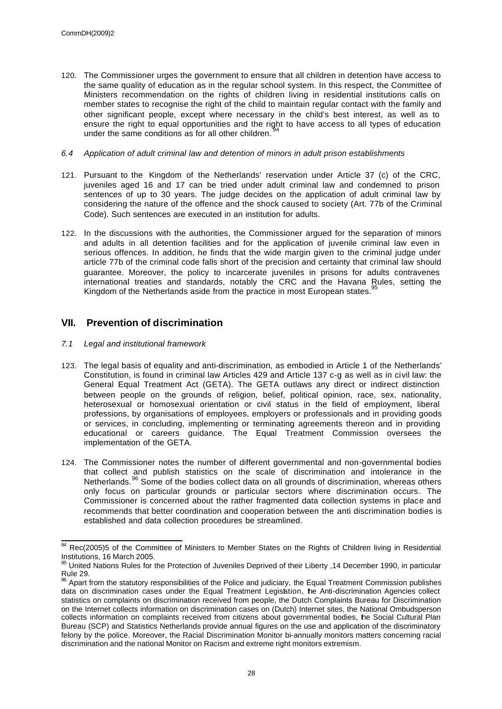- 120. The Commissioner urges the government to ensure that all children in detention have access to the same quality of education as in the regular school system. In this respect, the Committee of Ministers recommendation on the rights of children living in residential institutions calls on member states to recognise the right of the child to maintain regular contact with the family and other significant people, except where necessary in the child's best interest, as well as to ensure the right to equal opportunities and the right to have access to all types of education under the same conditions as for all other children.
- *6.4 Application of adult criminal law and detention of minors in adult prison establishments*
- 121. Pursuant to the Kingdom of the Netherlands' reservation under Article 37 (c) of the CRC, juveniles aged 16 and 17 can be tried under adult criminal law and condemned to prison sentences of up to 30 years. The judge decides on the application of adult criminal law by considering the nature of the offence and the shock caused to society (Art. 77b of the Criminal Code). Such sentences are executed in an institution for adults.
- 122. In the discussions with the authorities, the Commissioner argued for the separation of minors and adults in all detention facilities and for the application of juvenile criminal law even in serious offences. In addition, he finds that the wide margin given to the criminal judge under article 77b of the criminal code falls short of the precision and certainty that criminal law should guarantee. Moreover, the policy to incarcerate juveniles in prisons for adults contravenes international treaties and standards, notably the CRC and the Havana Rules, setting the Kingdom of the Netherlands aside from the practice in most European states.<sup>9</sup>

# **VII. Prevention of discrimination**

*7.1 Legal and institutional framework*

 $\overline{a}$ 

- 123. The legal basis of equality and anti-discrimination, as embodied in Article 1 of the Netherlands' Constitution, is found in criminal law Articles 429 and Article 137 c-g as well as in civil law: the General Equal Treatment Act (GETA). The GETA outlaws any direct or indirect distinction between people on the grounds of religion, belief, political opinion, race, sex, nationality, heterosexual or homosexual orientation or civil status in the field of employment, liberal professions, by organisations of employees, employers or professionals and in providing goods or services, in concluding, implementing or terminating agreements thereon and in providing educational or careers guidance. The Equal Treatment Commission oversees the implementation of the GETA.
- 124. The Commissioner notes the number of different governmental and non-governmental bodies that collect and publish statistics on the scale of discrimination and intolerance in the Netherlands.<sup>96</sup> Some of the bodies collect data on all grounds of discrimination, whereas others only focus on particular grounds or particular sectors where discrimination occurs. The Commissioner is concerned about the rather fragmented data collection systems in place and recommends that better coordination and cooperation between the anti discrimination bodies is established and data collection procedures be streamlined.

<sup>&</sup>lt;sup>94</sup> Rec(2005)5 of the Committee of Ministers to Member States on the Rights of Children living in Residential Institutions, 16 March 2005.

<sup>&</sup>lt;sup>95</sup> United Nations Rules for the Protection of Juveniles Deprived of their Liberty ,14 December 1990, in particular Rule 29.

 $96$  Apart from the statutory responsibilities of the Police and judiciary, the Equal Treatment Commission publishes data on discrimination cases under the Equal Treatment Legislation, he Anti-discrimination Agencies collect statistics on complaints on discrimination received from people, the Dutch Complaints Bureau for Discrimination on the Internet collects information on discrimination cases on (Dutch) Internet sites, the National Ombudsperson collects information on complaints received from citizens about governmental bodies, the Social Cultural Plan Bureau (SCP) and Statistics Netherlands provide annual figures on the use and application of the discriminatory felony by the police. Moreover, the Racial Discrimination Monitor bi-annually monitors matters concerning racial discrimination and the national Monitor on Racism and extreme right monitors extremism.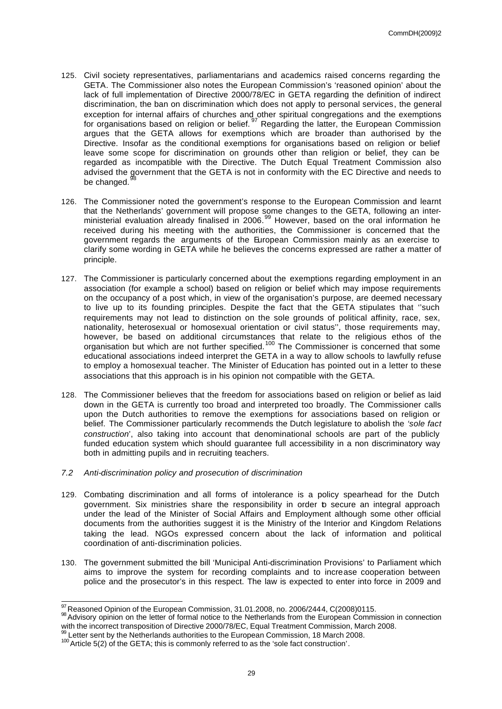- 125. Civil society representatives, parliamentarians and academics raised concerns regarding the GETA. The Commissioner also notes the European Commission's 'reasoned opinion' about the lack of full implementation of Directive 2000/78/EC in GETA regarding the definition of indirect discrimination, the ban on discrimination which does not apply to personal services, the general exception for internal affairs of churches and other spiritual congregations and the exemptions for organisations based on religion or belief.<sup>97</sup> Regarding the latter, the European Commission argues that the GETA allows for exemptions which are broader than authorised by the Directive. Insofar as the conditional exemptions for organisations based on religion or belief leave some scope for discrimination on grounds other than religion or belief, they can be regarded as incompatible with the Directive. The Dutch Equal Treatment Commission also advised the government that the GETA is not in conformity with the EC Directive and needs to be changed.<sup>9</sup>
- 126. The Commissioner noted the government's response to the European Commission and learnt that the Netherlands' government will propose some changes to the GETA, following an interministerial evaluation already finalised in 2006.<sup>99</sup> However, based on the oral information he received during his meeting with the authorities, the Commissioner is concerned that the government regards the arguments of the European Commission mainly as an exercise to clarify some wording in GETA while he believes the concerns expressed are rather a matter of principle.
- 127. The Commissioner is particularly concerned about the exemptions regarding employment in an association (for example a school) based on religion or belief which may impose requirements on the occupancy of a post which, in view of the organisation's purpose, are deemed necessary to live up to its founding principles. Despite the fact that the GETA stipulates that ''such requirements may not lead to distinction on the sole grounds of political affinity, race, sex, nationality, heterosexual or homosexual orientation or civil status'', those requirements may, however, be based on additional circumstances that relate to the religious ethos of the organisation but which are not further specified.<sup>100</sup> The Commissioner is concerned that some educational associations indeed interpret the GETA in a way to allow schools to lawfully refuse to employ a homosexual teacher. The Minister of Education has pointed out in a letter to these associations that this approach is in his opinion not compatible with the GETA.
- 128. The Commissioner believes that the freedom for associations based on religion or belief as laid down in the GETA is currently too broad and interpreted too broadly. The Commissioner calls upon the Dutch authorities to remove the exemptions for associations based on religion or belief. The Commissioner particularly recommends the Dutch legislature to abolish the *'sole fact construction*', also taking into account that denominational schools are part of the publicly funded education system which should guarantee full accessibility in a non discriminatory way both in admitting pupils and in recruiting teachers.
- *7.2 Anti-discrimination policy and prosecution of discrimination*
- 129. Combating discrimination and all forms of intolerance is a policy spearhead for the Dutch government. Six ministries share the responsibility in order to secure an integral approach under the lead of the Minister of Social Affairs and Employment although some other official documents from the authorities suggest it is the Ministry of the Interior and Kingdom Relations taking the lead. NGOs expressed concern about the lack of information and political coordination of anti-discrimination policies.
- 130. The government submitted the bill 'Municipal Anti-discrimination Provisions' to Parliament which aims to improve the system for recording complaints and to increase cooperation between police and the prosecutor's in this respect. The law is expected to enter into force in 2009 and

  $\frac{97}{10}$ Reasoned Opinion of the European Commission, 31.01.2008, no. 2006/2444, C(2008)0115.

<sup>&</sup>lt;sup>98</sup> Advisory opinion on the letter of formal notice to the Netherlands from the European Commission in connection with the incorrect transposition of Directive 2000/78/EC, Equal Treatment Commission, March 2008.

 $99$  Letter sent by the Netherlands authorities to the European Commission, 18 March 2008.

<sup>&</sup>lt;sup>100</sup> Article 5(2) of the GETA; this is commonly referred to as the 'sole fact construction'.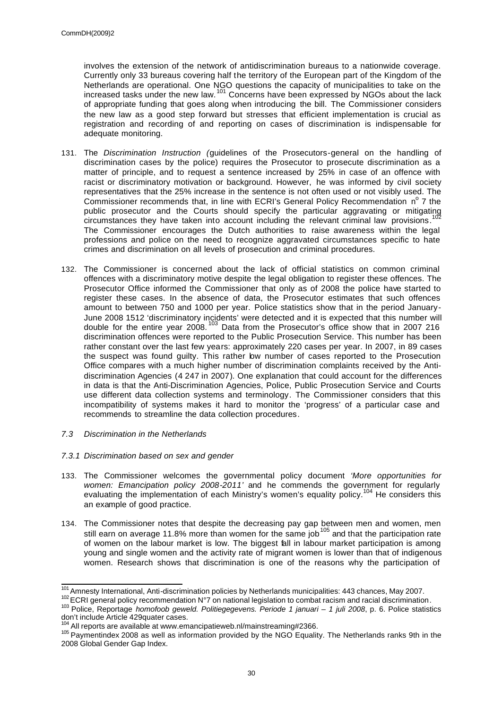involves the extension of the network of antidiscrimination bureaus to a nationwide coverage. Currently only 33 bureaus covering half the territory of the European part of the Kingdom of the Netherlands are operational. One NGO questions the capacity of municipalities to take on the increased tasks under the new law.<sup>101</sup> Concerns have been expressed by NGOs about the lack of appropriate funding that goes along when introducing the bill. The Commissioner considers the new law as a good step forward but stresses that efficient implementation is crucial as registration and recording of and reporting on cases of discrimination is indispensable for adequate monitoring.

- 131. The *Discrimination Instruction (*guidelines of the Prosecutors-general on the handling of discrimination cases by the police) requires the Prosecutor to prosecute discrimination as a matter of principle, and to request a sentence increased by 25% in case of an offence with racist or discriminatory motivation or background. However, he was informed by civil society representatives that the 25% increase in the sentence is not often used or not visibly used. The Commissioner recommends that, in line with ECRI's General Policy Recommendation n° 7 the public prosecutor and the Courts should specify the particular aggravating or mitigating 102 circumstances they have taken into account including the relevant criminal law provisions. The Commissioner encourages the Dutch authorities to raise awareness within the legal professions and police on the need to recognize aggravated circumstances specific to hate crimes and discrimination on all levels of prosecution and criminal procedures.
- 132. The Commissioner is concerned about the lack of official statistics on common criminal offences with a discriminatory motive despite the legal obligation to register these offences. The Prosecutor Office informed the Commissioner that only as of 2008 the police have started to register these cases. In the absence of data, the Prosecutor estimates that such offences amount to between 750 and 1000 per year. Police statistics show that in the period January-June 2008 1512 'discriminatory incidents' were detected and it is expected that this number will double for the entire year 2008.<sup>103</sup> Data from the Prosecutor's office show that in 2007 216 discrimination offences were reported to the Public Prosecution Service. This number has been rather constant over the last few years: approximately 220 cases per year. In 2007, in 89 cases the suspect was found guilty. This rather bw number of cases reported to the Prosecution Office compares with a much higher number of discrimination complaints received by the Antidiscrimination Agencies (4 247 in 2007). One explanation that could account for the differences in data is that the Anti-Discrimination Agencies, Police, Public Prosecution Service and Courts use different data collection systems and terminology. The Commissioner considers that this incompatibility of systems makes it hard to monitor the 'progress' of a particular case and recommends to streamline the data collection procedures.
- *7.3 Discrimination in the Netherlands*
- *7.3.1 Discrimination based on sex and gender*
- 133. The Commissioner welcomes the governmental policy document *'More opportunities for women: Emancipation policy 2008-2011'* and he commends the government for regularly evaluating the implementation of each Ministry's women's equality policy.<sup>104</sup> He considers this an example of good practice.
- 134. The Commissioner notes that despite the decreasing pay gap between men and women, men still earn on average 11.8% more than women for the same job<sup>105</sup> and that the participation rate of women on the labour market is low. The biggest fall in labour market participation is among young and single women and the activity rate of migrant women is lower than that of indigenous women. Research shows that discrimination is one of the reasons why the participation of

 $\overline{\phantom{a}}$ <sup>101</sup> Amnesty International, Anti-discrimination policies by Netherlands municipalities: 443 chances, May 2007.

<sup>102</sup> ECRI general policy recommendation N°7 on national legislation to combat racism and racial discrimination.

<sup>103</sup> Police, Reportage *homofoob geweld. Politiegegevens. Periode 1 januari – 1 juli 2008*, p. 6. Police statistics don't include Article 429quater cases.

 $\mu$  All reports are available at www.emancipatieweb.nl/mainstreaming#2366.

<sup>&</sup>lt;sup>105</sup> Paymentindex 2008 as well as information provided by the NGO Equality. The Netherlands ranks 9th in the 2008 Global Gender Gap Index.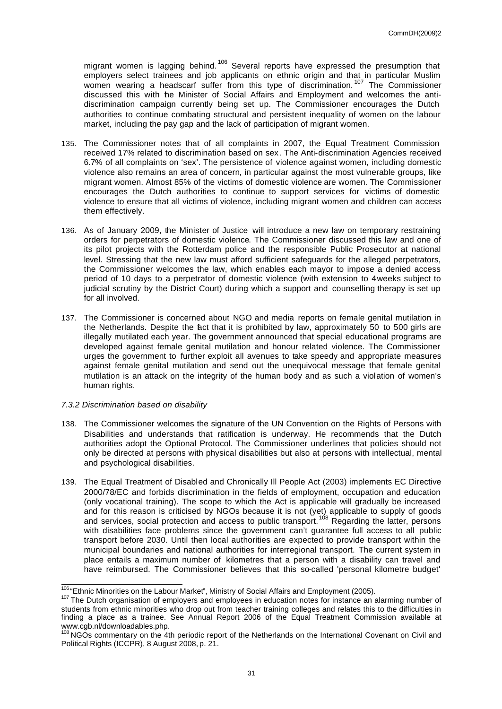migrant women is lagging behind.<sup>106</sup> Several reports have expressed the presumption that employers select trainees and job applicants on ethnic origin and that in particular Muslim women wearing a headscarf suffer from this type of discrimination.<sup>107</sup> The Commissioner discussed this with the Minister of Social Affairs and Employment and welcomes the antidiscrimination campaign currently being set up. The Commissioner encourages the Dutch authorities to continue combating structural and persistent inequality of women on the labour market, including the pay gap and the lack of participation of migrant women.

- 135. The Commissioner notes that of all complaints in 2007, the Equal Treatment Commission received 17% related to discrimination based on sex. The Anti-discrimination Agencies received 6.7% of all complaints on 'sex'. The persistence of violence against women, including domestic violence also remains an area of concern, in particular against the most vulnerable groups, like migrant women. Almost 85% of the victims of domestic violence are women. The Commissioner encourages the Dutch authorities to continue to support services for victims of domestic violence to ensure that all victims of violence, including migrant women and children can access them effectively.
- 136. As of January 2009, the Minister of Justice will introduce a new law on temporary restraining orders for perpetrators of domestic violence. The Commissioner discussed this law and one of its pilot projects with the Rotterdam police and the responsible Public Prosecutor at national level. Stressing that the new law must afford sufficient safeguards for the alleged perpetrators, the Commissioner welcomes the law, which enables each mayor to impose a denied access period of 10 days to a perpetrator of domestic violence (with extension to 4weeks subject to judicial scrutiny by the District Court) during which a support and counselling therapy is set up for all involved.
- 137. The Commissioner is concerned about NGO and media reports on female genital mutilation in the Netherlands. Despite the fact that it is prohibited by law, approximately 50 to 500 girls are illegally mutilated each year. The government announced that special educational programs are developed against female genital mutilation and honour related violence. The Commissioner urges the government to further exploit all avenues to take speedy and appropriate measures against female genital mutilation and send out the unequivocal message that female genital mutilation is an attack on the integrity of the human body and as such a violation of women's human rights.

### *7.3.2 Discrimination based on disability*

- 138. The Commissioner welcomes the signature of the UN Convention on the Rights of Persons with Disabilities and understands that ratification is underway. He recommends that the Dutch authorities adopt the Optional Protocol. The Commissioner underlines that policies should not only be directed at persons with physical disabilities but also at persons with intellectual, mental and psychological disabilities.
- 139. The Equal Treatment of Disabled and Chronically Ill People Act (2003) implements EC Directive 2000/78/EC and forbids discrimination in the fields of employment, occupation and education (only vocational training). The scope to which the Act is applicable will gradually be increased and for this reason is criticised by NGOs because it is not (yet) applicable to supply of goods and services, social protection and access to public transport.<sup>108</sup> Regarding the latter, persons with disabilities face problems since the government can't guarantee full access to all public transport before 2030. Until then local authorities are expected to provide transport within the municipal boundaries and national authorities for interregional transport. The current system in place entails a maximum number of kilometres that a person with a disability can travel and have reimbursed. The Commissioner believes that this so-called 'personal kilometre budget'

 $\overline{\phantom{a}}$ <sup>106</sup> "Ethnic Minorities on the Labour Market", Ministry of Social Affairs and Employment (2005).

<sup>&</sup>lt;sup>107</sup> The Dutch organisation of employers and employees in education notes for instance an alarming number of students from ethnic minorities who drop out from teacher training colleges and relates this to the difficulties in finding a place as a trainee. See Annual Report 2006 of the Equal Treatment Commission available at www.cgb.nl/downloadables.php.

<sup>&</sup>lt;sup>108</sup> NGOs commentary on the 4th periodic report of the Netherlands on the International Covenant on Civil and Political Rights (ICCPR), 8 August 2008, p. 21.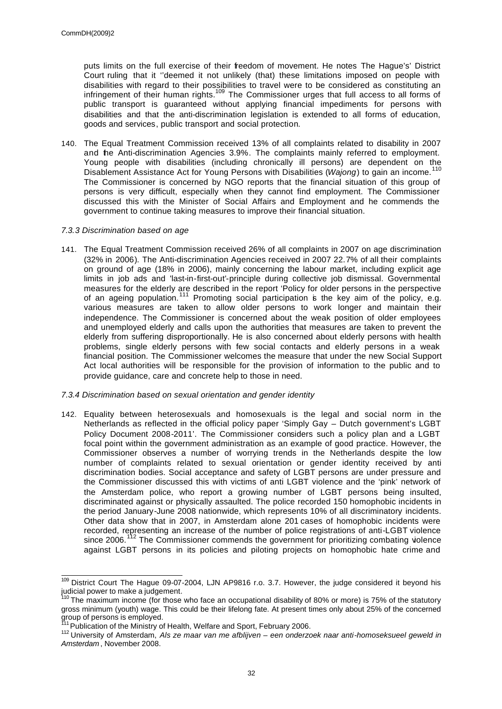puts limits on the full exercise of their freedom of movement. He notes The Hague's' District Court ruling that it ''deemed it not unlikely (that) these limitations imposed on people with disabilities with regard to their possibilities to travel were to be considered as constituting an infringement of their human rights.<sup>109</sup> The Commissioner urges that full access to all forms of public transport is guaranteed without applying financial impediments for persons with disabilities and that the anti-discrimination legislation is extended to all forms of education, goods and services, public transport and social protection.

140. The Equal Treatment Commission received 13% of all complaints related to disability in 2007 and the Anti-discrimination Agencies 3.9%. The complaints mainly referred to employment. Young people with disabilities (including chronically ill persons) are dependent on the Disablement Assistance Act for Young Persons with Disabilities (*Wajong*) to gain an income.<sup>110</sup> The Commissioner is concerned by NGO reports that the financial situation of this group of persons is very difficult, especially when they cannot find employment. The Commissioner discussed this with the Minister of Social Affairs and Employment and he commends the government to continue taking measures to improve their financial situation.

## *7.3.3 Discrimination based on age*

141. The Equal Treatment Commission received 26% of all complaints in 2007 on age discrimination (32% in 2006). The Anti-discrimination Agencies received in 2007 22.7% of all their complaints on ground of age (18% in 2006), mainly concerning the labour market, including explicit age limits in job ads and 'last-in-first-out'-principle during collective job dismissal. Governmental measures for the elderly are described in the report 'Policy for older persons in the perspective of an ageing population.<sup>111</sup> Promoting social participation is the key aim of the policy, e.g. various measures are taken to allow older persons to work longer and maintain their independence. The Commissioner is concerned about the weak position of older employees and unemployed elderly and calls upon the authorities that measures are taken to prevent the elderly from suffering disproportionally. He is also concerned about elderly persons with health problems, single elderly persons with few social contacts and elderly persons in a weak financial position. The Commissioner welcomes the measure that under the new Social Support Act local authorities will be responsible for the provision of information to the public and to provide guidance, care and concrete help to those in need.

## *7.3.4 Discrimination based on sexual orientation and gender identity*

142. Equality between heterosexuals and homosexuals is the legal and social norm in the Netherlands as reflected in the official policy paper 'Simply Gay – Dutch government's LGBT Policy Document 2008-2011'. The Commissioner considers such a policy plan and a LGBT focal point within the government administration as an example of good practice. However, the Commissioner observes a number of worrying trends in the Netherlands despite the low number of complaints related to sexual orientation or gender identity received by anti discrimination bodies. Social acceptance and safety of LGBT persons are under pressure and the Commissioner discussed this with victims of anti LGBT violence and the 'pink' network of the Amsterdam police, who report a growing number of LGBT persons being insulted, discriminated against or physically assaulted. The police recorded 150 homophobic incidents in the period January-June 2008 nationwide, which represents 10% of all discriminatory incidents. Other data show that in 2007, in Amsterdam alone 201 cases of homophobic incidents were recorded, representing an increase of the number of police registrations of anti-LGBT violence since 2006.<sup>112</sup> The Commissioner commends the government for prioritizing combating violence against LGBT persons in its policies and piloting projects on homophobic hate crime and

 $\overline{\phantom{a}}$ <sup>109</sup> District Court The Hague 09-07-2004, LJN AP9816 r.o. 3.7. However, the judge considered it beyond his judicial power to make a judgement.

<sup>&</sup>lt;sup>110</sup> The maximum income (for those who face an occupational disability of 80% or more) is 75% of the statutory gross minimum (youth) wage. This could be their lifelong fate. At present times only about 25% of the concerned group of persons is employed.

Publication of the Ministry of Health, Welfare and Sport, February 2006.

<sup>112</sup> University of Amsterdam, *Als ze maar van me afblijven – een onderzoek naar anti-homoseksueel geweld in Amsterdam* , November 2008.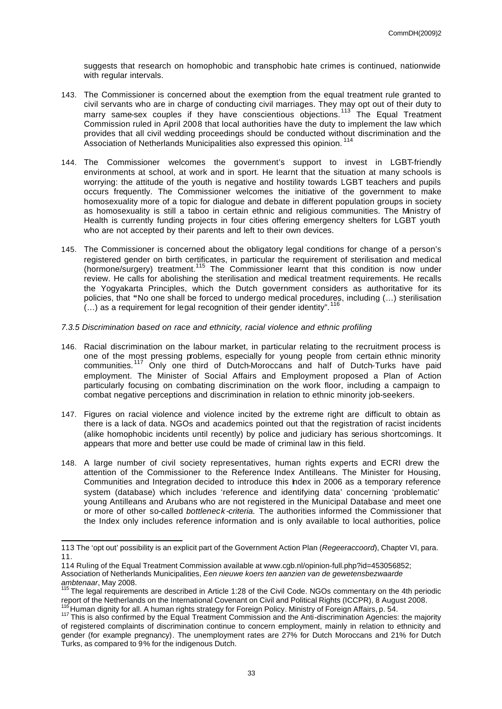suggests that research on homophobic and transphobic hate crimes is continued, nationwide with regular intervals.

- 143. The Commissioner is concerned about the exemption from the equal treatment rule granted to civil servants who are in charge of conducting civil marriages. They may opt out of their duty to marry same-sex couples if they have conscientious objections.<sup>113</sup> The Equal Treatment Commission ruled in April 2008 that local authorities have the duty to implement the law which provides that all civil wedding proceedings should be conducted without discrimination and the Association of Netherlands Municipalities also expressed this opinion.<sup>114</sup>
- 144. The Commissioner welcomes the government's support to invest in LGBT-friendly environments at school, at work and in sport. He learnt that the situation at many schools is worrying: the attitude of the youth is negative and hostility towards LGBT teachers and pupils occurs frequently. The Commissioner welcomes the initiative of the government to make homosexuality more of a topic for dialogue and debate in different population groups in society as homosexuality is still a taboo in certain ethnic and religious communities. The Ministry of Health is currently funding projects in four cities offering emergency shelters for LGBT youth who are not accepted by their parents and left to their own devices.
- 145. The Commissioner is concerned about the obligatory legal conditions for change of a person's registered gender on birth certificates, in particular the requirement of sterilisation and medical (hormone/surgery) treatment.<sup>115</sup> The Commissioner learnt that this condition is now under review. He calls for abolishing the sterilisation and medical treatment requirements. He recalls the Yogyakarta Principles, which the Dutch government considers as authoritative for its policies, that **"**No one shall be forced to undergo medical procedures, including (…) sterilisation  $\dots$ ) as a requirement for legal recognition of their gender identity".
- *7.3.5 Discrimination based on race and ethnicity, racial violence and ethnic profiling*
- 146. Racial discrimination on the labour market, in particular relating to the recruitment process is one of the most pressing problems, especially for young people from certain ethnic minority communities.<sup>117</sup> Only one third of Dutch-Moroccans and half of Dutch-Turks have paid employment. The Minister of Social Affairs and Employment proposed a Plan of Action particularly focusing on combating discrimination on the work floor, including a campaign to combat negative perceptions and discrimination in relation to ethnic minority job-seekers.
- 147. Figures on racial violence and violence incited by the extreme right are difficult to obtain as there is a lack of data. NGOs and academics pointed out that the registration of racist incidents (alike homophobic incidents until recently) by police and judiciary has serious shortcomings. It appears that more and better use could be made of criminal law in this field.
- 148. A large number of civil society representatives, human rights experts and ECRI drew the attention of the Commissioner to the Reference Index Antilleans. The Minister for Housing, Communities and Integration decided to introduce this Index in 2006 as a temporary reference system (database) which includes 'reference and identifying data' concerning 'problematic' young Antilleans and Arubans who are not registered in the Municipal Database and meet one or more of other so-called *bottleneck-criteria.* The authorities informed the Commissioner that the Index only includes reference information and is only available to local authorities, police

<sup>113</sup> The 'opt out' possibility is an explicit part of the Government Action Plan (*Regeeraccoord*), Chapter VI, para. 11.

<sup>114</sup> Ruling of the Equal Treatment Commission available at www.cgb.nl/opinion-full.php?id=453056852; Association of Netherlands Municipalities, *Een nieuwe koers ten aanzien van de gewetensbezwaarde ambtenaar*, May 2008.

<sup>&</sup>lt;sup>115</sup> The legal requirements are described in Article 1:28 of the Civil Code. NGOs commentary on the 4th periodic report of the Netherlands on the International Covenant on Civil and Political Rights (ICCPR), 8 August 2008. Human dignity for all. A human rights strategy for Foreign Policy. Ministry of Foreign Affairs, p. 54.

<sup>117</sup> This is also confirmed by the Equal Treatment Commission and the Anti-discrimination Agencies: the majority of registered complaints of discrimination continue to concern employment, mainly in relation to ethnicity and gender (for example pregnancy). The unemployment rates are 27% for Dutch Moroccans and 21% for Dutch Turks, as compared to 9% for the indigenous Dutch.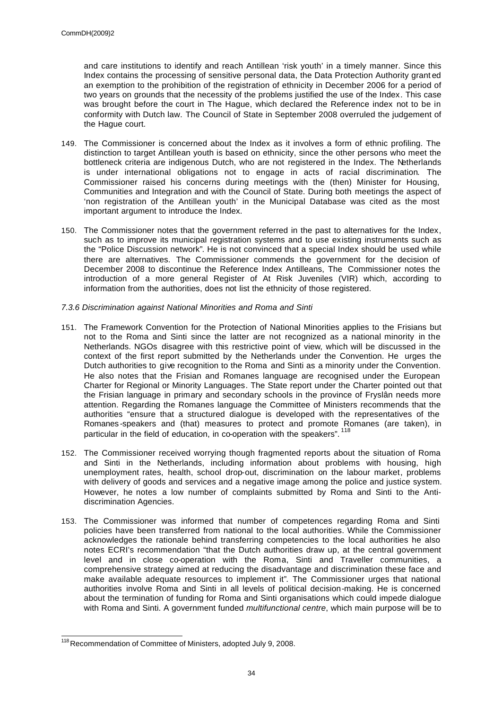and care institutions to identify and reach Antillean 'risk youth' in a timely manner. Since this Index contains the processing of sensitive personal data, the Data Protection Authority grant ed an exemption to the prohibition of the registration of ethnicity in December 2006 for a period of two years on grounds that the necessity of the problems justified the use of the Index. This case was brought before the court in The Hague, which declared the Reference index not to be in conformity with Dutch law. The Council of State in September 2008 overruled the judgement of the Hague court.

- 149. The Commissioner is concerned about the Index as it involves a form of ethnic profiling. The distinction to target Antillean youth is based on ethnicity, since the other persons who meet the bottleneck criteria are indigenous Dutch, who are not registered in the Index. The Netherlands is under international obligations not to engage in acts of racial discrimination. The Commissioner raised his concerns during meetings with the (then) Minister for Housing, Communities and Integration and with the Council of State. During both meetings the aspect of 'non registration of the Antillean youth' in the Municipal Database was cited as the most important argument to introduce the Index.
- 150. The Commissioner notes that the government referred in the past to alternatives for the Index, such as to improve its municipal registration systems and to use existing instruments such as the "Police Discussion network". He is not convinced that a special Index should be used while there are alternatives. The Commissioner commends the government for the decision of December 2008 to discontinue the Reference Index Antilleans, The Commissioner notes the introduction of a more general Register of At Risk Juveniles (VIR) which, according to information from the authorities, does not list the ethnicity of those registered.
- *7.3.6 Discrimination against National Minorities and Roma and Sinti*
- 151. The Framework Convention for the Protection of National Minorities applies to the Frisians but not to the Roma and Sinti since the latter are not recognized as a national minority in the Netherlands. NGOs disagree with this restrictive point of view, which will be discussed in the context of the first report submitted by the Netherlands under the Convention. He urges the Dutch authorities to give recognition to the Roma and Sinti as a minority under the Convention. He also notes that the Frisian and Romanes language are recognised under the European Charter for Regional or Minority Languages. The State report under the Charter pointed out that the Frisian language in primary and secondary schools in the province of Fryslân needs more attention. Regarding the Romanes language the Committee of Ministers recommends that the authorities "ensure that a structured dialogue is developed with the representatives of the Romanes -speakers and (that) measures to protect and promote Romanes (are taken), in particular in the field of education, in co-operation with the speakers". <sup>118</sup>
- 152. The Commissioner received worrying though fragmented reports about the situation of Roma and Sinti in the Netherlands, including information about problems with housing, high unemployment rates, health, school drop-out, discrimination on the labour market, problems with delivery of goods and services and a negative image among the police and justice system. However, he notes a low number of complaints submitted by Roma and Sinti to the Antidiscrimination Agencies.
- 153. The Commissioner was informed that number of competences regarding Roma and Sinti policies have been transferred from national to the local authorities. While the Commissioner acknowledges the rationale behind transferring competencies to the local authorities he also notes ECRI's recommendation "that the Dutch authorities draw up, at the central government level and in close co-operation with the Roma, Sinti and Traveller communities, a comprehensive strategy aimed at reducing the disadvantage and discrimination these face and make available adequate resources to implement it". The Commissioner urges that national authorities involve Roma and Sinti in all levels of political decision-making. He is concerned about the termination of funding for Roma and Sinti organisations which could impede dialogue with Roma and Sinti. A government funded *multifunctional centre*, which main purpose will be to

 <sup>118</sup> Recommendation of Committee of Ministers, adopted July 9, 2008.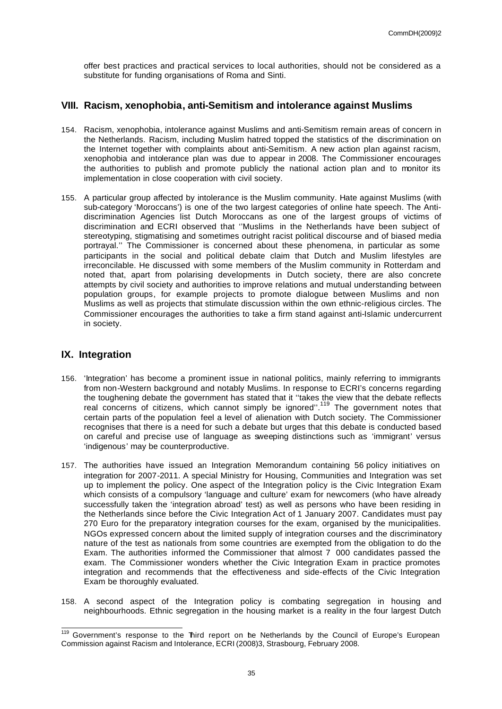offer best practices and practical services to local authorities, should not be considered as a substitute for funding organisations of Roma and Sinti.

## **VIII. Racism, xenophobia, anti-Semitism and intolerance against Muslims**

- 154. Racism, xenophobia, intolerance against Muslims and anti-Semitism remain areas of concern in the Netherlands. Racism, including Muslim hatred topped the statistics of the discrimination on the Internet together with complaints about anti-Semitism. A new action plan against racism, xenophobia and intolerance plan was due to appear in 2008. The Commissioner encourages the authorities to publish and promote publicly the national action plan and to monitor its implementation in close cooperation with civil society.
- 155. A particular group affected by intolerance is the Muslim community. Hate against Muslims (with sub-category 'Moroccans') is one of the two largest categories of online hate speech. The Antidiscrimination Agencies list Dutch Moroccans as one of the largest groups of victims of discrimination and ECRI observed that ''Muslims in the Netherlands have been subject of stereotyping, stigmatising and sometimes outright racist political discourse and of biased media portrayal.'' The Commissioner is concerned about these phenomena, in particular as some participants in the social and political debate claim that Dutch and Muslim lifestyles are irreconcilable. He discussed with some members of the Muslim community in Rotterdam and noted that, apart from polarising developments in Dutch society, there are also concrete attempts by civil society and authorities to improve relations and mutual understanding between population groups, for example projects to promote dialogue between Muslims and non Muslims as well as projects that stimulate discussion within the own ethnic-religious circles. The Commissioner encourages the authorities to take a firm stand against anti-Islamic undercurrent in society.

## **IX. Integration**

- 156. 'Integration' has become a prominent issue in national politics, mainly referring to immigrants from non-Western background and notably Muslims. In response to ECRI's concerns regarding the toughening debate the government has stated that it ''takes the view that the debate reflects real concerns of citizens, which cannot simply be ignored".<sup>119</sup> The government notes that certain parts of the population feel a level of alienation with Dutch society. The Commissioner recognises that there is a need for such a debate but urges that this debate is conducted based on careful and precise use of language as sweeping distinctions such as 'immigrant' versus 'indigenous' may be counterproductive.
- 157. The authorities have issued an Integration Memorandum containing 56 policy initiatives on integration for 2007-2011. A special Ministry for Housing, Communities and Integration was set up to implement the policy. One aspect of the Integration policy is the Civic Integration Exam which consists of a compulsory 'language and culture' exam for newcomers (who have already successfully taken the 'integration abroad' test) as well as persons who have been residing in the Netherlands since before the Civic Integration Act of 1 January 2007. Candidates must pay 270 Euro for the preparatory integration courses for the exam, organised by the municipalities. NGOs expressed concern about the limited supply of integration courses and the discriminatory nature of the test as nationals from some countries are exempted from the obligation to do the Exam. The authorities informed the Commissioner that almost 7 000 candidates passed the exam. The Commissioner wonders whether the Civic Integration Exam in practice promotes integration and recommends that the effectiveness and side-effects of the Civic Integration Exam be thoroughly evaluated.
- 158. A second aspect of the Integration policy is combating segregation in housing and neighbourhoods. Ethnic segregation in the housing market is a reality in the four largest Dutch

 $\overline{\phantom{a}}$ <sup>119</sup> Government's response to the Third report on he Netherlands by the Council of Europe's European Commission against Racism and Intolerance, ECRI (2008)3, Strasbourg, February 2008.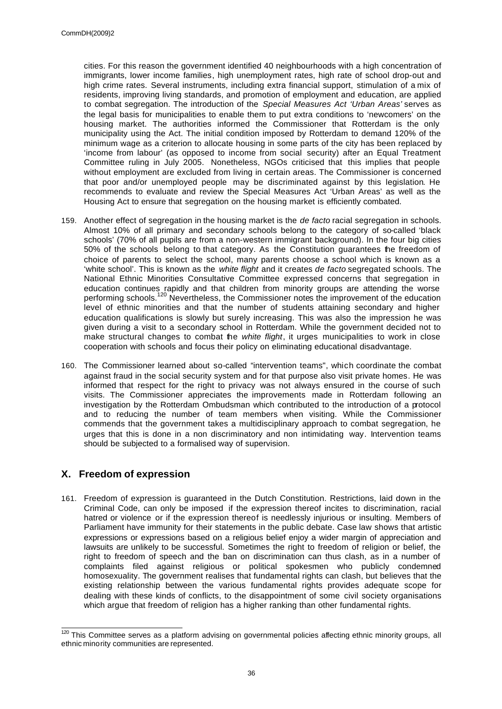cities. For this reason the government identified 40 neighbourhoods with a high concentration of immigrants, lower income families, high unemployment rates, high rate of school drop-out and high crime rates. Several instruments, including extra financial support, stimulation of a mix of residents, improving living standards, and promotion of employment and education, are applied to combat segregation. The introduction of the *Special Measures Act 'Urban Areas'* serves as the legal basis for municipalities to enable them to put extra conditions to 'newcomers' on the housing market. The authorities informed the Commissioner that Rotterdam is the only municipality using the Act. The initial condition imposed by Rotterdam to demand 120% of the minimum wage as a criterion to allocate housing in some parts of the city has been replaced by 'income from labour' (as opposed to income from social security) after an Equal Treatment Committee ruling in July 2005. Nonetheless, NGOs criticised that this implies that people without employment are excluded from living in certain areas. The Commissioner is concerned that poor and/or unemployed people may be discriminated against by this legislation. He recommends to evaluate and review the Special Measures Act 'Urban Areas' as well as the Housing Act to ensure that segregation on the housing market is efficiently combated.

- 159. Another effect of segregation in the housing market is the *de facto* racial segregation in schools. Almost 10% of all primary and secondary schools belong to the category of so-called 'black schools' (70% of all pupils are from a non-western immigrant background). In the four big cities 50% of the schools belong to that category. As the Constitution guarantees the freedom of choice of parents to select the school, many parents choose a school which is known as a 'white school'. This is known as the *white flight* and it creates *de facto* segregated schools. The National Ethnic Minorities Consultative Committee expressed concerns that segregation in education continues rapidly and that children from minority groups are attending the worse performing schools.<sup>120</sup> Nevertheless, the Commissioner notes the improvement of the education level of ethnic minorities and that the number of students attaining secondary and higher education qualifications is slowly but surely increasing. This was also the impression he was given during a visit to a secondary school in Rotterdam. While the government decided not to make structural changes to combat the *white flight*, it urges municipalities to work in close cooperation with schools and focus their policy on eliminating educational disadvantage.
- 160. The Commissioner learned about so-called "intervention teams", which coordinate the combat against fraud in the social security system and for that purpose also visit private homes. He was informed that respect for the right to privacy was not always ensured in the course of such visits. The Commissioner appreciates the improvements made in Rotterdam following an investigation by the Rotterdam Ombudsman which contributed to the introduction of a protocol and to reducing the number of team members when visiting. While the Commissioner commends that the government takes a multidisciplinary approach to combat segregation, he urges that this is done in a non discriminatory and non intimidating way. Intervention teams should be subjected to a formalised way of supervision.

# **X. Freedom of expression**

161. Freedom of expression is guaranteed in the Dutch Constitution. Restrictions, laid down in the Criminal Code, can only be imposed if the expression thereof incites to discrimination, racial hatred or violence or if the expression thereof is needlessly injurious or insulting. Members of Parliament have immunity for their statements in the public debate. Case law shows that artistic expressions or expressions based on a religious belief enjoy a wider margin of appreciation and lawsuits are unlikely to be successful. Sometimes the right to freedom of religion or belief, the right to freedom of speech and the ban on discrimination can thus clash, as in a number of complaints filed against religious or political spokesmen who publicly condemned homosexuality. The government realises that fundamental rights can clash, but believes that the existing relationship between the various fundamental rights provides adequate scope for dealing with these kinds of conflicts, to the disappointment of some civil society organisations which argue that freedom of religion has a higher ranking than other fundamental rights.

 $\overline{\phantom{a}}$  $120$  This Committee serves as a platform advising on governmental policies affecting ethnic minority groups, all ethnic minority communities are represented.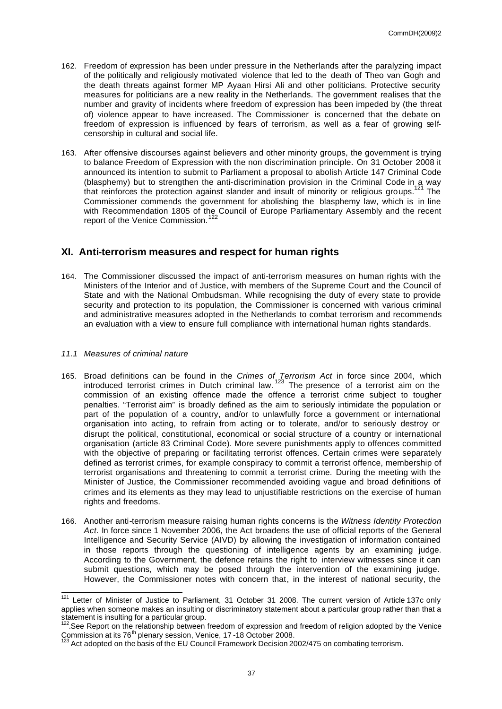- 162. Freedom of expression has been under pressure in the Netherlands after the paralyzing impact of the politically and religiously motivated violence that led to the death of Theo van Gogh and the death threats against former MP Ayaan Hirsi Ali and other politicians. Protective security measures for politicians are a new reality in the Netherlands. The government realises that the number and gravity of incidents where freedom of expression has been impeded by (the threat of) violence appear to have increased. The Commissioner is concerned that the debate on freedom of expression is influenced by fears of terrorism, as well as a fear of growing selfcensorship in cultural and social life.
- 163. After offensive discourses against believers and other minority groups, the government is trying to balance Freedom of Expression with the non discrimination principle. On 31 October 2008 it announced its intention to submit to Parliament a proposal to abolish Article 147 Criminal Code (blasphemy) but to strengthen the anti-discrimination provision in the Criminal Code in a way that reinforces the protection against slander and insult of minority or religious groups.<sup>121</sup> The Commissioner commends the government for abolishing the blasphemy law, which is in line with Recommendation 1805 of the Council of Europe Parliamentary Assembly and the recent report of the Venice Commission.<sup>122</sup>

## **XI. Anti-terrorism measures and respect for human rights**

164. The Commissioner discussed the impact of anti-terrorism measures on human rights with the Ministers of the Interior and of Justice, with members of the Supreme Court and the Council of State and with the National Ombudsman. While recognising the duty of every state to provide security and protection to its population, the Commissioner is concerned with various criminal and administrative measures adopted in the Netherlands to combat terrorism and recommends an evaluation with a view to ensure full compliance with international human rights standards.

## *11.1 Measures of criminal nature*

- 165. Broad definitions can be found in the *Crimes of Terrorism Act* in force since 2004, which introduced terrorist crimes in Dutch criminal law. <sup>123</sup> The presence of a terrorist aim on the commission of an existing offence made the offence a terrorist crime subject to tougher penalties. "Terrorist aim" is broadly defined as the aim to seriously intimidate the population or part of the population of a country, and/or to unlawfully force a government or international organisation into acting, to refrain from acting or to tolerate, and/or to seriously destroy or disrupt the political, constitutional, economical or social structure of a country or international organisation (article 83 Criminal Code). More severe punishments apply to offences committed with the objective of preparing or facilitating terrorist offences. Certain crimes were separately defined as terrorist crimes, for example conspiracy to commit a terrorist offence, membership of terrorist organisations and threatening to commit a terrorist crime. During the meeting with the Minister of Justice, the Commissioner recommended avoiding vague and broad definitions of crimes and its elements as they may lead to unjustifiable restrictions on the exercise of human rights and freedoms.
- 166. Another anti-terrorism measure raising human rights concerns is the *Witness Identity Protection Act.* In force since 1 November 2006, the Act broadens the use of official reports of the General Intelligence and Security Service (AIVD) by allowing the investigation of information contained in those reports through the questioning of intelligence agents by an examining judge. According to the Government, the defence retains the right to interview witnesses since it can submit questions, which may be posed through the intervention of the examining judge. However, the Commissioner notes with concern that, in the interest of national security, the

 <sup>121</sup> Letter of Minister of Justice to Parliament, 31 October 31 2008. The current version of Article 137c only applies when someone makes an insulting or discriminatory statement about a particular group rather than that a statement is insulting for a particular group.

<sup>&</sup>lt;sup>122</sup>. See Report on the relationship between freedom of expression and freedom of religion adopted by the Venice Commission at its 76<sup>th</sup> plenary session, Venice, 17-18 October 2008.

 $3$  Act adopted on the basis of the EU Council Framework Decision 2002/475 on combating terrorism.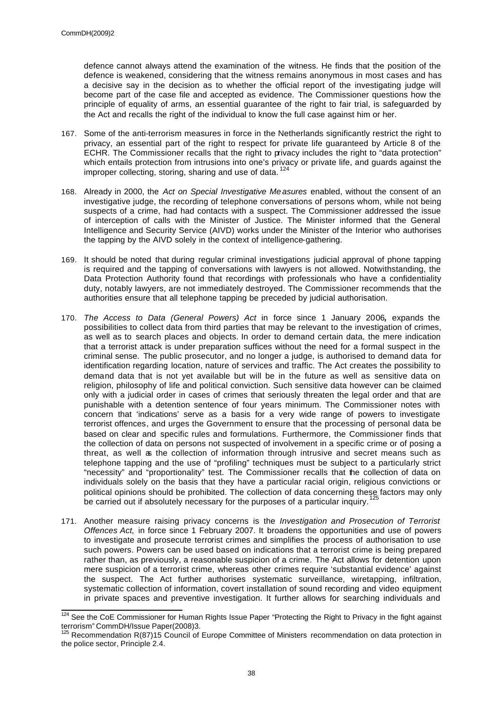defence cannot always attend the examination of the witness. He finds that the position of the defence is weakened, considering that the witness remains anonymous in most cases and has a decisive say in the decision as to whether the official report of the investigating judge will become part of the case file and accepted as evidence. The Commissioner questions how the principle of equality of arms, an essential guarantee of the right to fair trial, is safeguarded by the Act and recalls the right of the individual to know the full case against him or her.

- 167. Some of the anti-terrorism measures in force in the Netherlands significantly restrict the right to privacy, an essential part of the right to respect for private life guaranteed by Article 8 of the ECHR. The Commissioner recalls that the right to privacy includes the right to "data protection" which entails protection from intrusions into one's privacy or private life, and guards against the improper collecting, storing, sharing and use of data.<sup>124</sup>
- 168. Already in 2000, the *Act on Special Investigative Me asures* enabled, without the consent of an investigative judge, the recording of telephone conversations of persons whom, while not being suspects of a crime, had had contacts with a suspect. The Commissioner addressed the issue of interception of calls with the Minister of Justice. The Minister informed that the General Intelligence and Security Service (AIVD) works under the Minister of the Interior who authorises the tapping by the AIVD solely in the context of intelligence-gathering.
- 169. It should be noted that during regular criminal investigations judicial approval of phone tapping is required and the tapping of conversations with lawyers is not allowed. Notwithstanding, the Data Protection Authority found that recordings with professionals who have a confidentiality duty, notably lawyers, are not immediately destroyed. The Commissioner recommends that the authorities ensure that all telephone tapping be preceded by judicial authorisation.
- 170. *The Access to Data (General Powers) Act* in force since 1 January 2006*,* expands the possibilities to collect data from third parties that may be relevant to the investigation of crimes, as well as to search places and objects. In order to demand certain data, the mere indication that a terrorist attack is under preparation suffices without the need for a formal suspect in the criminal sense. The public prosecutor, and no longer a judge, is authorised to demand data for identification regarding location, nature of services and traffic. The Act creates the possibility to demand data that is not yet available but will be in the future as well as sensitive data on religion, philosophy of life and political conviction. Such sensitive data however can be claimed only with a judicial order in cases of crimes that seriously threaten the legal order and that are punishable with a detention sentence of four years minimum. The Commissioner notes with concern that 'indications' serve as a basis for a very wide range of powers to investigate terrorist offences, and urges the Government to ensure that the processing of personal data be based on clear and specific rules and formulations. Furthermore, the Commissioner finds that the collection of data on persons not suspected of involvement in a specific crime or of posing a threat, as well as the collection of information through intrusive and secret means such as telephone tapping and the use of "profiling" techniques must be subject to a particularly strict "necessity" and "proportionality" test. The Commissioner recalls that the collection of data on individuals solely on the basis that they have a particular racial origin, religious convictions or political opinions should be prohibited. The collection of data concerning these factors may only be carried out if absolutely necessary for the purposes of a particular inquiry.
- 171. Another measure raising privacy concerns is the *Investigation and Prosecution of Terrorist Offences Act,* in force since 1 February 2007. It broadens the opportunities and use of powers to investigate and prosecute terrorist crimes and simplifies the process of authorisation to use such powers. Powers can be used based on indications that a terrorist crime is being prepared rather than, as previously, a reasonable suspicion of a crime. The Act allows for detention upon mere suspicion of a terrorist crime, whereas other crimes require 'substantial evidence' against the suspect. The Act further authorises systematic surveillance, wiretapping, infiltration, systematic collection of information, covert installation of sound recording and video equipment in private spaces and preventive investigation. It further allows for searching individuals and

 $\overline{\phantom{a}}$  $124$  See the CoE Commissioner for Human Rights Issue Paper "Protecting the Right to Privacy in the fight against terrorism" CommDH/Issue Paper(2008)3.

 $16$  Recommendation R(87)15 Council of Europe Committee of Ministers recommendation on data protection in the police sector, Principle 2.4.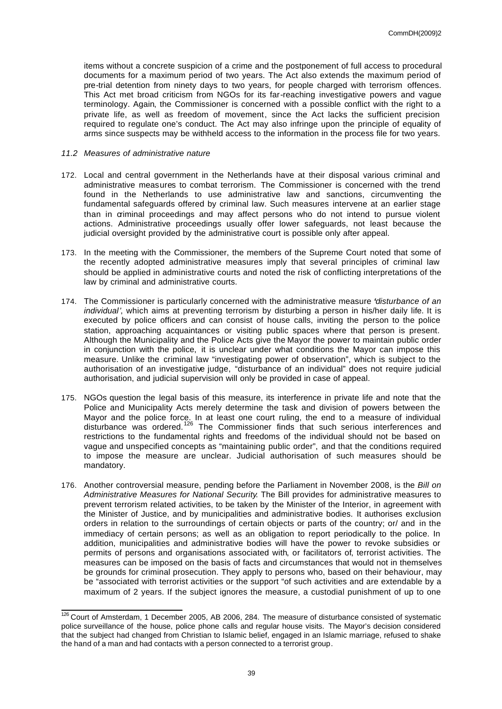items without a concrete suspicion of a crime and the postponement of full access to procedural documents for a maximum period of two years. The Act also extends the maximum period of pre-trial detention from ninety days to two years, for people charged with terrorism offences. This Act met broad criticism from NGOs for its far-reaching investigative powers and vague terminology. Again, the Commissioner is concerned with a possible conflict with the right to a private life, as well as freedom of movement, since the Act lacks the sufficient precision required to regulate one's conduct. The Act may also infringe upon the principle of equality of arms since suspects may be withheld access to the information in the process file for two years.

## *11.2 Measures of administrative nature*

- 172. Local and central government in the Netherlands have at their disposal various criminal and administrative measures to combat terrorism. The Commissioner is concerned with the trend found in the Netherlands to use administrative law and sanctions, circumventing the fundamental safeguards offered by criminal law. Such measures intervene at an earlier stage than in criminal proceedings and may affect persons who do not intend to pursue violent actions. Administrative proceedings usually offer lower safeguards, not least because the judicial oversight provided by the administrative court is possible only after appeal.
- 173. In the meeting with the Commissioner, the members of the Supreme Court noted that some of the recently adopted administrative measures imply that several principles of criminal law should be applied in administrative courts and noted the risk of conflicting interpretations of the law by criminal and administrative courts.
- 174. The Commissioner is particularly concerned with the administrative measure *'disturbance of an individual'*, which aims at preventing terrorism by disturbing a person in his/her daily life. It is executed by police officers and can consist of house calls, inviting the person to the police station, approaching acquaintances or visiting public spaces where that person is present. Although the Municipality and the Police Acts give the Mayor the power to maintain public order in conjunction with the police, it is unclear under what conditions the Mayor can impose this measure. Unlike the criminal law "investigating power of observation", which is subject to the authorisation of an investigative judge, "disturbance of an individual" does not require judicial authorisation, and judicial supervision will only be provided in case of appeal.
- 175. NGOs question the legal basis of this measure, its interference in private life and note that the Police and Municipality Acts merely determine the task and division of powers between the Mayor and the police force. In at least one court ruling, the end to a measure of individual disturbance was ordered.<sup>126</sup> The Commissioner finds that such serious interferences and restrictions to the fundamental rights and freedoms of the individual should not be based on vague and unspecified concepts as "maintaining public order", and that the conditions required to impose the measure are unclear. Judicial authorisation of such measures should be mandatory.
- 176. Another controversial measure, pending before the Parliament in November 2008, is the *Bill on Administrative Measures for National Security*. The Bill provides for administrative measures to prevent terrorism related activities, to be taken by the Minister of the Interior, in agreement with the Minister of Justice, and by municipalities and administrative bodies. It authorises exclusion orders in relation to the surroundings of certain objects or parts of the country; or/ and in the immediacy of certain persons; as well as an obligation to report periodically to the police. In addition, municipalities and administrative bodies will have the power to revoke subsidies or permits of persons and organisations associated with, or facilitators of, terrorist activities. The measures can be imposed on the basis of facts and circumstances that would not in themselves be grounds for criminal prosecution. They apply to persons who, based on their behaviour, may be "associated with terrorist activities or the support "of such activities and are extendable by a maximum of 2 years. If the subject ignores the measure, a custodial punishment of up to one

 $\overline{\phantom{a}}$  $126$  Court of Amsterdam, 1 December 2005, AB 2006, 284. The measure of disturbance consisted of systematic police surveillance of the house, police phone calls and regular house visits. The Mayor's decision considered that the subject had changed from Christian to Islamic belief, engaged in an Islamic marriage, refused to shake the hand of a man and had contacts with a person connected to a terrorist group.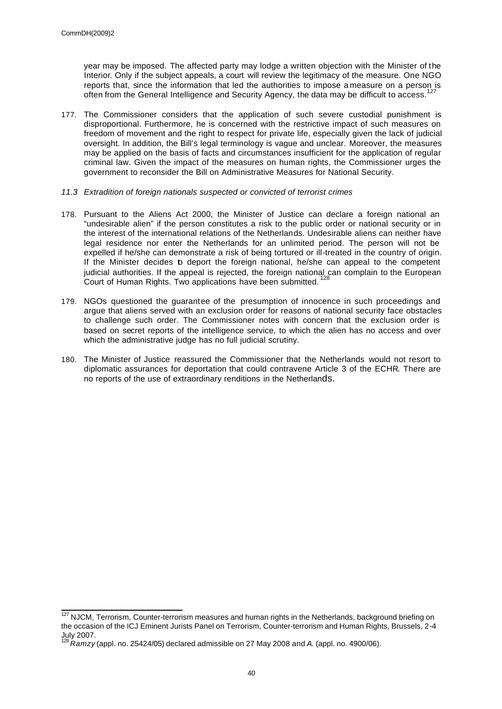year may be imposed. The affected party may lodge a written objection with the Minister of the Interior. Only if the subject appeals, a court will review the legitimacy of the measure. One NGO reports that, since the information that led the authorities to impose a measure on a person is often from the General Intelligence and Security Agency, the data may be difficult to access. 127

- 177. The Commissioner considers that the application of such severe custodial punishment is disproportional. Furthermore, he is concerned with the restrictive impact of such measures on freedom of movement and the right to respect for private life, especially given the lack of judicial oversight. In addition, the Bill's legal terminology is vague and unclear. Moreover, the measures may be applied on the basis of facts and circumstances insufficient for the application of regular criminal law. Given the impact of the measures on human rights, the Commissioner urges the government to reconsider the Bill on Administrative Measures for National Security.
- *11.3 Extradition of foreign nationals suspected or convicted of terrorist crimes*
- 178. Pursuant to the Aliens Act 2000, the Minister of Justice can declare a foreign national an "undesirable alien" if the person constitutes a risk to the public order or national security or in the interest of the international relations of the Netherlands. Undesirable aliens can neither have legal residence nor enter the Netherlands for an unlimited period. The person will not be expelled if he/she can demonstrate a risk of being tortured or ill-treated in the country of origin. If the Minister decides to deport the foreign national, he/she can appeal to the competent judicial authorities. If the appeal is rejected, the foreign national can complain to the European Court of Human Rights. Two applications have been submitted.<sup>12</sup>
- 179. NGOs questioned the guarantee of the presumption of innocence in such proceedings and argue that aliens served with an exclusion order for reasons of national security face obstacles to challenge such order. The Commissioner notes with concern that the exclusion order is based on secret reports of the intelligence service, to which the alien has no access and over which the administrative judge has no full judicial scrutiny.
- 180. The Minister of Justice reassured the Commissioner that the Netherlands would not resort to diplomatic assurances for deportation that could contravene Article 3 of the ECHR. There are no reports of the use of extraordinary renditions in the Netherlands.

 $\overline{\phantom{a}}$ <sup>127</sup> NJCM, Terrorism, Counter-terrorism measures and human rights in the Netherlands, background briefing on the occasion of the ICJ Eminent Jurists Panel on Terrorism, Counter-terrorism and Human Rights, Brussels, 2-4 July 2007.

<sup>128</sup>*Ramzy* (appl. no. 25424/05) declared admissible on 27 May 2008 and *A.* (appl. no. 4900/06).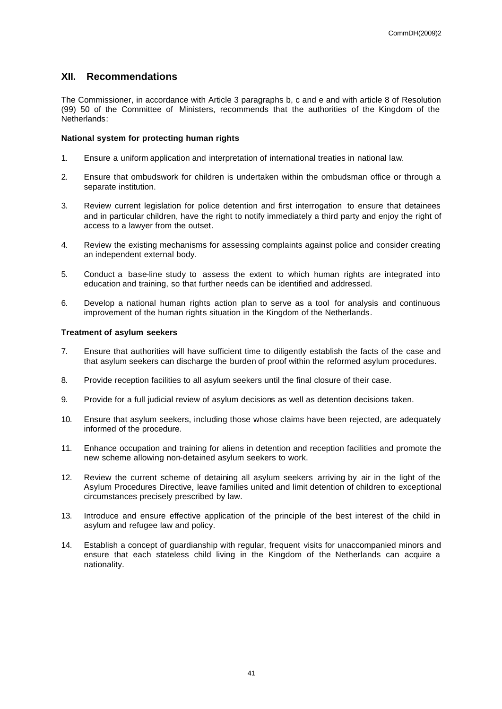## **XII. Recommendations**

The Commissioner, in accordance with Article 3 paragraphs b, c and e and with article 8 of Resolution (99) 50 of the Committee of Ministers, recommends that the authorities of the Kingdom of the Netherlands:

## **National system for protecting human rights**

- 1. Ensure a uniform application and interpretation of international treaties in national law.
- 2. Ensure that ombudswork for children is undertaken within the ombudsman office or through a separate institution.
- 3. Review current legislation for police detention and first interrogation to ensure that detainees and in particular children, have the right to notify immediately a third party and enjoy the right of access to a lawyer from the outset.
- 4. Review the existing mechanisms for assessing complaints against police and consider creating an independent external body.
- 5. Conduct a base-line study to assess the extent to which human rights are integrated into education and training, so that further needs can be identified and addressed.
- 6. Develop a national human rights action plan to serve as a tool for analysis and continuous improvement of the human rights situation in the Kingdom of the Netherlands.

## **Treatment of asylum seekers**

- 7. Ensure that authorities will have sufficient time to diligently establish the facts of the case and that asylum seekers can discharge the burden of proof within the reformed asylum procedures.
- 8. Provide reception facilities to all asylum seekers until the final closure of their case.
- 9. Provide for a full judicial review of asylum decisions as well as detention decisions taken.
- 10. Ensure that asylum seekers, including those whose claims have been rejected, are adequately informed of the procedure.
- 11. Enhance occupation and training for aliens in detention and reception facilities and promote the new scheme allowing non-detained asylum seekers to work.
- 12. Review the current scheme of detaining all asylum seekers arriving by air in the light of the Asylum Procedures Directive, leave families united and limit detention of children to exceptional circumstances precisely prescribed by law.
- 13. Introduce and ensure effective application of the principle of the best interest of the child in asylum and refugee law and policy.
- 14. Establish a concept of guardianship with regular, frequent visits for unaccompanied minors and ensure that each stateless child living in the Kingdom of the Netherlands can acquire a nationality.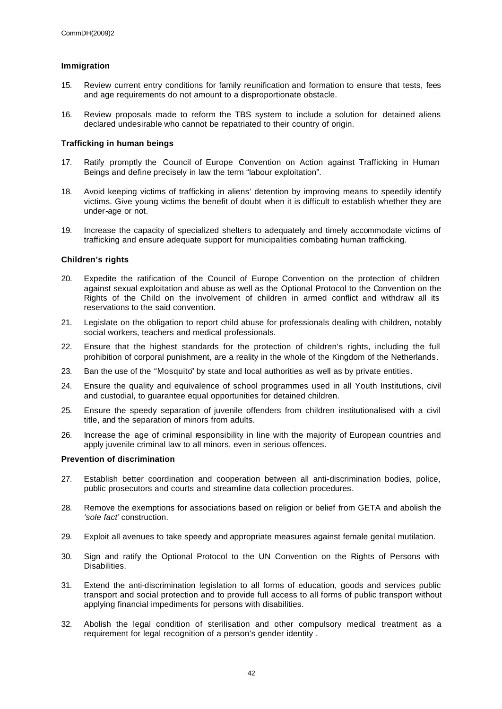## **Immigration**

- 15. Review current entry conditions for family reunification and formation to ensure that tests, fees and age requirements do not amount to a disproportionate obstacle.
- 16. Review proposals made to reform the TBS system to include a solution for detained aliens declared undesirable who cannot be repatriated to their country of origin.

## **Trafficking in human beings**

- 17. Ratify promptly the Council of Europe Convention on Action against Trafficking in Human Beings and define precisely in law the term "labour exploitation".
- 18. Avoid keeping victims of trafficking in aliens' detention by improving means to speedily identify victims. Give young victims the benefit of doubt when it is difficult to establish whether they are under-age or not.
- 19. Increase the capacity of specialized shelters to adequately and timely accommodate victims of trafficking and ensure adequate support for municipalities combating human trafficking.

## **Children's rights**

- 20. Expedite the ratification of the Council of Europe Convention on the protection of children against sexual exploitation and abuse as well as the Optional Protocol to the Convention on the Rights of the Child on the involvement of children in armed conflict and withdraw all its reservations to the said convention.
- 21. Legislate on the obligation to report child abuse for professionals dealing with children, notably social workers, teachers and medical professionals.
- 22. Ensure that the highest standards for the protection of children's rights, including the full prohibition of corporal punishment, are a reality in the whole of the Kingdom of the Netherlands.
- 23. Ban the use of the "Mosquito" by state and local authorities as well as by private entities.
- 24. Ensure the quality and equivalence of school programmes used in all Youth Institutions, civil and custodial, to guarantee equal opportunities for detained children.
- 25. Ensure the speedy separation of juvenile offenders from children institutionalised with a civil title, and the separation of minors from adults.
- 26. Increase the age of criminal responsibility in line with the majority of European countries and apply juvenile criminal law to all minors, even in serious offences.

## **Prevention of discrimination**

- 27. Establish better coordination and cooperation between all anti-discrimination bodies, police, public prosecutors and courts and streamline data collection procedures.
- 28. Remove the exemptions for associations based on religion or belief from GETA and abolish the *'sole fact'* construction.
- 29. Exploit all avenues to take speedy and appropriate measures against female genital mutilation.
- 30. Sign and ratify the Optional Protocol to the UN Convention on the Rights of Persons with Disabilities.
- 31. Extend the anti-discrimination legislation to all forms of education, goods and services public transport and social protection and to provide full access to all forms of public transport without applying financial impediments for persons with disabilities.
- 32. Abolish the legal condition of sterilisation and other compulsory medical treatment as a requirement for legal recognition of a person's gender identity .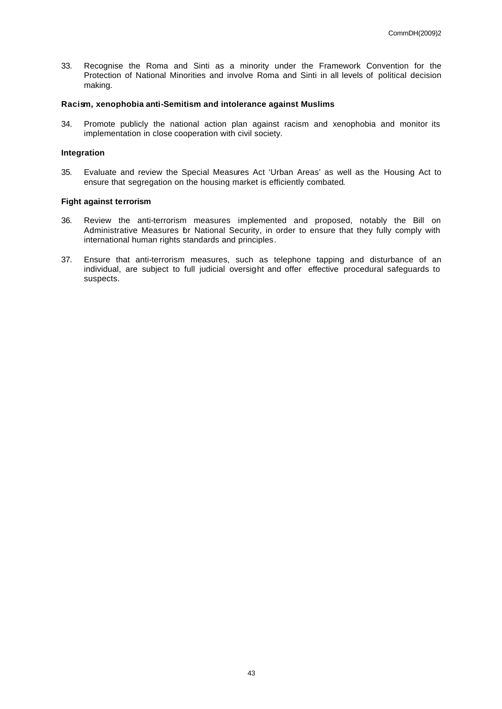33. Recognise the Roma and Sinti as a minority under the Framework Convention for the Protection of National Minorities and involve Roma and Sinti in all levels of political decision making.

## **Racism, xenophobia anti-Semitism and intolerance against Muslims**

34. Promote publicly the national action plan against racism and xenophobia and monitor its implementation in close cooperation with civil society.

## **Integration**

35. Evaluate and review the Special Measures Act 'Urban Areas' as well as the Housing Act to ensure that segregation on the housing market is efficiently combated.

## **Fight against terrorism**

- 36. Review the anti-terrorism measures implemented and proposed, notably the Bill on Administrative Measures for National Security, in order to ensure that they fully comply with international human rights standards and principles.
- 37. Ensure that anti-terrorism measures, such as telephone tapping and disturbance of an individual, are subject to full judicial oversight and offer effective procedural safeguards to suspects.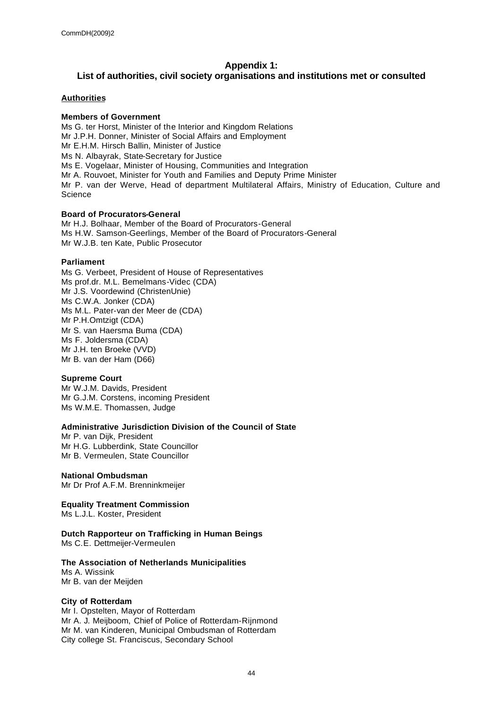## **Appendix 1:**

## **List of authorities, civil society organisations and institutions met or consulted**

## **Authorities**

## **Members of Government**

Ms G. ter Horst, Minister of the Interior and Kingdom Relations Mr J.P.H. Donner, Minister of Social Affairs and Employment Mr E.H.M. Hirsch Ballin, Minister of Justice Ms N. Albayrak, State-Secretary for Justice Ms E. Vogelaar, Minister of Housing, Communities and Integration Mr A. Rouvoet, Minister for Youth and Families and Deputy Prime Minister Mr P. van der Werve, Head of department Multilateral Affairs, Ministry of Education, Culture and **Science** 

## **Board of Procurators-General**

Mr H.J. Bolhaar, Member of the Board of Procurators-General Ms H.W. Samson-Geerlings, Member of the Board of Procurators-General Mr W.J.B. ten Kate, Public Prosecutor

## **Parliament**

Ms G. Verbeet, President of House of Representatives Ms prof.dr. M.L. Bemelmans-Videc (CDA) Mr J.S. Voordewind (ChristenUnie) Ms C.W.A. Jonker (CDA) Ms M.L. Pater-van der Meer de (CDA) Mr P.H.Omtzigt (CDA) Mr S. van Haersma Buma (CDA) Ms F. Joldersma (CDA) Mr J.H. ten Broeke (VVD) Mr B. van der Ham (D66)

## **Supreme Court**

Mr W.J.M. Davids, President Mr G.J.M. Corstens, incoming President Ms W.M.E. Thomassen, Judge

## **Administrative Jurisdiction Division of the Council of State**

Mr P. van Dijk, President Mr H.G. Lubberdink, State Councillor Mr B. Vermeulen, State Councillor

**National Ombudsman**  Mr Dr Prof A.F.M. Brenninkmeijer

**Equality Treatment Commission** Ms L.J.L. Koster, President

# **Dutch Rapporteur on Trafficking in Human Beings**

Ms C.E. Dettmeijer-Vermeulen

## **The Association of Netherlands Municipalities**

Ms A. Wissink Mr B. van der Meijden

## **City of Rotterdam**

Mr I. Opstelten, Mayor of Rotterdam Mr A. J. Meijboom, Chief of Police of Rotterdam-Rijnmond Mr M. van Kinderen, Municipal Ombudsman of Rotterdam City college St. Franciscus, Secondary School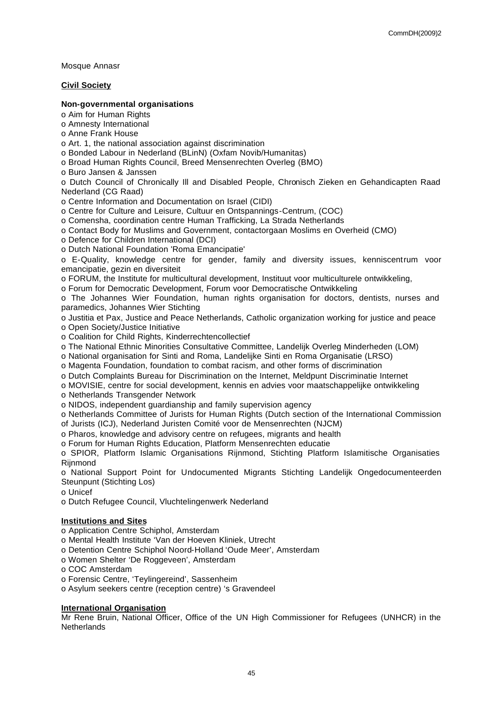Mosque Annasr

## **Civil Society**

## **Non-governmental organisations**

o Aim for Human Rights

o Amnesty International

o Anne Frank House

o Art. 1, the national association against discrimination

o Bonded Labour in Nederland (BLinN) (Oxfam Novib/Humanitas)

o Broad Human Rights Council, Breed Mensenrechten Overleg (BMO)

o Buro Jansen & Janssen

o Dutch Council of Chronically Ill and Disabled People, Chronisch Zieken en Gehandicapten Raad Nederland (CG Raad)

o Centre Information and Documentation on Israel (CIDI)

o Centre for Culture and Leisure, Cultuur en Ontspannings-Centrum, (COC)

o Comensha, coordination centre Human Trafficking, La Strada Netherlands

o Contact Body for Muslims and Government, contactorgaan Moslims en Overheid (CMO)

o Defence for Children International (DCI)

o Dutch National Foundation 'Roma Emancipatie'

o E-Quality, knowledge centre for gender, family and diversity issues, kenniscentrum voor emancipatie, gezin en diversiteit

o FORUM, the Institute for multicultural development, Instituut voor multiculturele ontwikkeling,

o Forum for Democratic Development, Forum voor Democratische Ontwikkeling

o The Johannes Wier Foundation, human rights organisation for doctors, dentists, nurses and paramedics, Johannes Wier Stichting

o Justitia et Pax, Justice and Peace Netherlands, Catholic organization working for justice and peace o Open Society/Justice Initiative

o Coalition for Child Rights, Kinderrechtencollectief

o The National Ethnic Minorities Consultative Committee, Landelijk Overleg Minderheden (LOM)

o National organisation for Sinti and Roma, Landelijke Sinti en Roma Organisatie (LRSO)

o Magenta Foundation, foundation to combat racism, and other forms of discrimination

o Dutch Complaints Bureau for Discrimination on the Internet, Meldpunt Discriminatie Internet

o MOVISIE, centre for social development, kennis en advies voor maatschappelijke ontwikkeling

o Netherlands Transgender Network

o NIDOS, independent guardianship and family supervision agency

o Netherlands Committee of Jurists for Human Rights (Dutch section of the International Commission of Jurists (ICJ), Nederland Juristen Comité voor de Mensenrechten (NJCM)

o Pharos, knowledge and advisory centre on refugees, migrants and health

o Forum for Human Rights Education, Platform Mensenrechten educatie

o SPIOR, Platform Islamic Organisations Rijnmond, Stichting Platform Islamitische Organisaties **Riinmond** 

o National Support Point for Undocumented Migrants Stichting Landelijk Ongedocumenteerden Steunpunt (Stichting Los)

o Unicef

o Dutch Refugee Council, Vluchtelingenwerk Nederland

## **Institutions and Sites**

o Application Centre Schiphol, Amsterdam

o Mental Health Institute 'Van der Hoeven Kliniek, Utrecht

o Detention Centre Schiphol Noord-Holland 'Oude Meer', Amsterdam

o Women Shelter 'De Roggeveen', Amsterdam

o COC Amsterdam

o Forensic Centre, 'Teylingereind', Sassenheim

o Asylum seekers centre (reception centre) 's Gravendeel

## **International Organisation**

Mr Rene Bruin, National Officer, Office of the UN High Commissioner for Refugees (UNHCR) in the **Netherlands**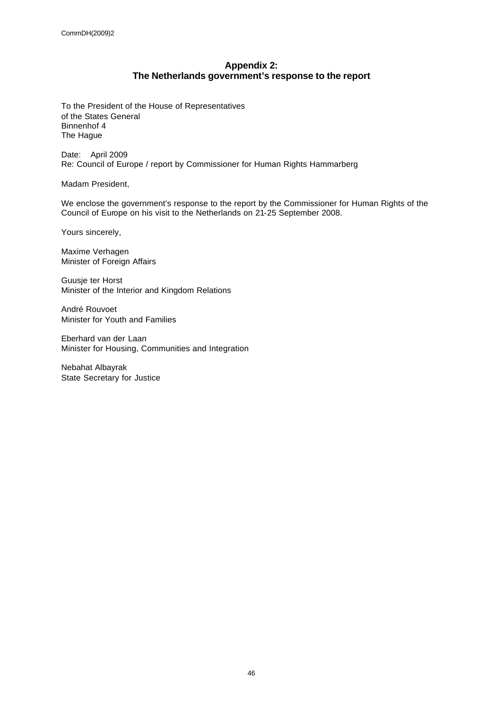## **Appendix 2: The Netherlands government's response to the report**

To the President of the House of Representatives of the States General Binnenhof 4 The Hague

Date: April 2009 Re: Council of Europe / report by Commissioner for Human Rights Hammarberg

Madam President,

We enclose the government's response to the report by the Commissioner for Human Rights of the Council of Europe on his visit to the Netherlands on 21-25 September 2008.

Yours sincerely,

Maxime Verhagen Minister of Foreign Affairs

Guusje ter Horst Minister of the Interior and Kingdom Relations

André Rouvoet Minister for Youth and Families

Eberhard van der Laan Minister for Housing, Communities and Integration

Nebahat Albayrak State Secretary for Justice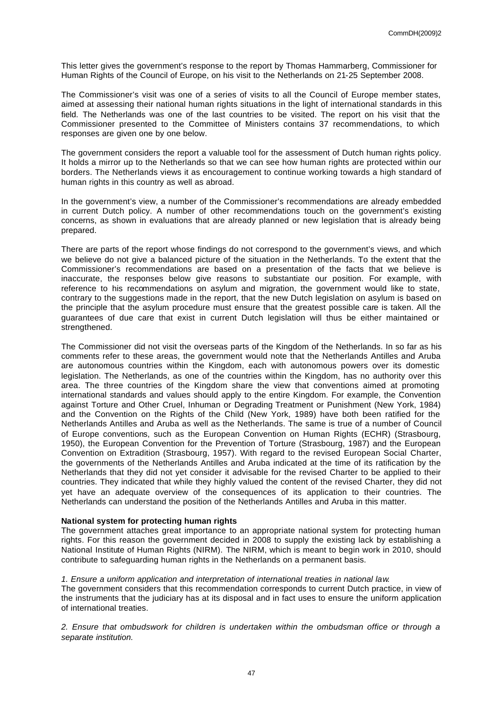This letter gives the government's response to the report by Thomas Hammarberg, Commissioner for Human Rights of the Council of Europe, on his visit to the Netherlands on 21-25 September 2008.

The Commissioner's visit was one of a series of visits to all the Council of Europe member states, aimed at assessing their national human rights situations in the light of international standards in this field. The Netherlands was one of the last countries to be visited. The report on his visit that the Commissioner presented to the Committee of Ministers contains 37 recommendations, to which responses are given one by one below.

The government considers the report a valuable tool for the assessment of Dutch human rights policy. It holds a mirror up to the Netherlands so that we can see how human rights are protected within our borders. The Netherlands views it as encouragement to continue working towards a high standard of human rights in this country as well as abroad.

In the government's view, a number of the Commissioner's recommendations are already embedded in current Dutch policy. A number of other recommendations touch on the government's existing concerns, as shown in evaluations that are already planned or new legislation that is already being prepared.

There are parts of the report whose findings do not correspond to the government's views, and which we believe do not give a balanced picture of the situation in the Netherlands. To the extent that the Commissioner's recommendations are based on a presentation of the facts that we believe is inaccurate, the responses below give reasons to substantiate our position. For example, with reference to his recommendations on asylum and migration, the government would like to state, contrary to the suggestions made in the report, that the new Dutch legislation on asylum is based on the principle that the asylum procedure must ensure that the greatest possible care is taken. All the guarantees of due care that exist in current Dutch legislation will thus be either maintained or strengthened.

The Commissioner did not visit the overseas parts of the Kingdom of the Netherlands. In so far as his comments refer to these areas, the government would note that the Netherlands Antilles and Aruba are autonomous countries within the Kingdom, each with autonomous powers over its domestic legislation. The Netherlands, as one of the countries within the Kingdom, has no authority over this area. The three countries of the Kingdom share the view that conventions aimed at promoting international standards and values should apply to the entire Kingdom. For example, the Convention against Torture and Other Cruel, Inhuman or Degrading Treatment or Punishment (New York, 1984) and the Convention on the Rights of the Child (New York, 1989) have both been ratified for the Netherlands Antilles and Aruba as well as the Netherlands. The same is true of a number of Council of Europe conventions, such as the European Convention on Human Rights (ECHR) (Strasbourg, 1950), the European Convention for the Prevention of Torture (Strasbourg, 1987) and the European Convention on Extradition (Strasbourg, 1957). With regard to the revised European Social Charter, the governments of the Netherlands Antilles and Aruba indicated at the time of its ratification by the Netherlands that they did not yet consider it advisable for the revised Charter to be applied to their countries. They indicated that while they highly valued the content of the revised Charter, they did not yet have an adequate overview of the consequences of its application to their countries. The Netherlands can understand the position of the Netherlands Antilles and Aruba in this matter.

## **National system for protecting human rights**

The government attaches great importance to an appropriate national system for protecting human rights. For this reason the government decided in 2008 to supply the existing lack by establishing a National Institute of Human Rights (NIRM). The NIRM, which is meant to begin work in 2010, should contribute to safeguarding human rights in the Netherlands on a permanent basis.

#### *1. Ensure a uniform application and interpretation of international treaties in national law.*

The government considers that this recommendation corresponds to current Dutch practice, in view of the instruments that the judiciary has at its disposal and in fact uses to ensure the uniform application of international treaties.

*2. Ensure that ombudswork for children is undertaken within the ombudsman office or through a separate institution.*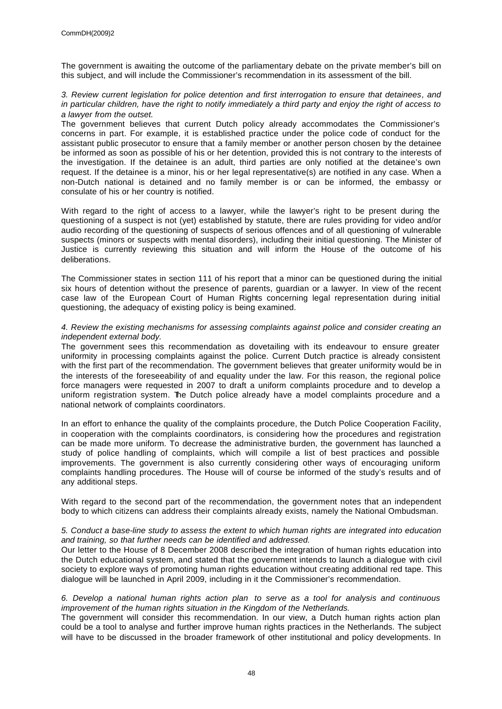The government is awaiting the outcome of the parliamentary debate on the private member's bill on this subject, and will include the Commissioner's recommendation in its assessment of the bill.

## *3. Review current legislation for police detention and first interrogation to ensure that detainees, and in particular children, have the right to notify immediately a third party and enjoy the right of access to a lawyer from the outset.*

The government believes that current Dutch policy already accommodates the Commissioner's concerns in part. For example, it is established practice under the police code of conduct for the assistant public prosecutor to ensure that a family member or another person chosen by the detainee be informed as soon as possible of his or her detention, provided this is not contrary to the interests of the investigation. If the detainee is an adult, third parties are only notified at the detainee's own request. If the detainee is a minor, his or her legal representative(s) are notified in any case. When a non-Dutch national is detained and no family member is or can be informed, the embassy or consulate of his or her country is notified.

With regard to the right of access to a lawyer, while the lawyer's right to be present during the questioning of a suspect is not (yet) established by statute, there are rules providing for video and/or audio recording of the questioning of suspects of serious offences and of all questioning of vulnerable suspects (minors or suspects with mental disorders), including their initial questioning. The Minister of Justice is currently reviewing this situation and will inform the House of the outcome of his deliberations.

The Commissioner states in section 111 of his report that a minor can be questioned during the initial six hours of detention without the presence of parents, guardian or a lawyer. In view of the recent case law of the European Court of Human Rights concerning legal representation during initial questioning, the adequacy of existing policy is being examined.

## *4. Review the existing mechanisms for assessing complaints against police and consider creating an independent external body.*

The government sees this recommendation as dovetailing with its endeavour to ensure greater uniformity in processing complaints against the police. Current Dutch practice is already consistent with the first part of the recommendation. The government believes that greater uniformity would be in the interests of the foreseeability of and equality under the law. For this reason, the regional police force managers were requested in 2007 to draft a uniform complaints procedure and to develop a uniform registration system. The Dutch police already have a model complaints procedure and a national network of complaints coordinators.

In an effort to enhance the quality of the complaints procedure, the Dutch Police Cooperation Facility, in cooperation with the complaints coordinators, is considering how the procedures and registration can be made more uniform. To decrease the administrative burden, the government has launched a study of police handling of complaints, which will compile a list of best practices and possible improvements. The government is also currently considering other ways of encouraging uniform complaints handling procedures. The House will of course be informed of the study's results and of any additional steps.

With regard to the second part of the recommendation, the government notes that an independent body to which citizens can address their complaints already exists, namely the National Ombudsman.

## *5. Conduct a base-line study to assess the extent to which human rights are integrated into education and training, so that further needs can be identified and addressed.*

Our letter to the House of 8 December 2008 described the integration of human rights education into the Dutch educational system, and stated that the government intends to launch a dialogue with civil society to explore ways of promoting human rights education without creating additional red tape. This dialogue will be launched in April 2009, including in it the Commissioner's recommendation.

## *6. Develop a national human rights action plan to serve as a tool for analysis and continuous improvement of the human rights situation in the Kingdom of the Netherlands.*

The government will consider this recommendation. In our view, a Dutch human rights action plan could be a tool to analyse and further improve human rights practices in the Netherlands. The subject will have to be discussed in the broader framework of other institutional and policy developments. In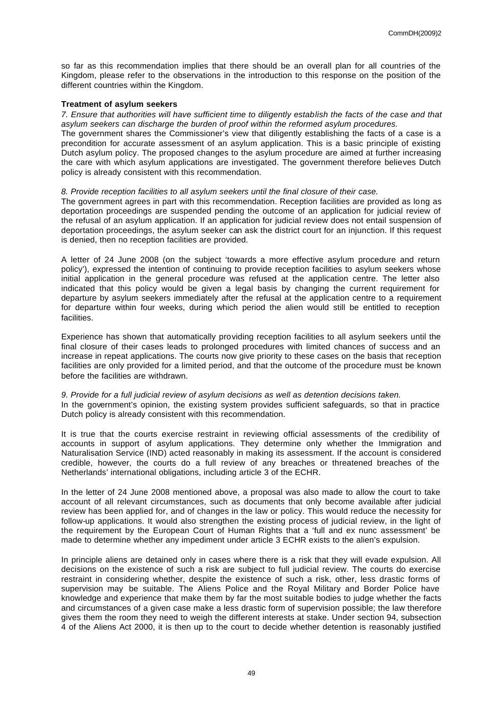so far as this recommendation implies that there should be an overall plan for all countries of the Kingdom, please refer to the observations in the introduction to this response on the position of the different countries within the Kingdom.

## **Treatment of asylum seekers**

*7. Ensure that authorities will have sufficient time to diligently establish the facts of the case and that asylum seekers can discharge the burden of proof within the reformed asylum procedures.*

The government shares the Commissioner's view that diligently establishing the facts of a case is a precondition for accurate assessment of an asylum application. This is a basic principle of existing Dutch asylum policy. The proposed changes to the asylum procedure are aimed at further increasing the care with which asylum applications are investigated. The government therefore believes Dutch policy is already consistent with this recommendation.

## *8. Provide reception facilities to all asylum seekers until the final closure of their case.*

The government agrees in part with this recommendation. Reception facilities are provided as long as deportation proceedings are suspended pending the outcome of an application for judicial review of the refusal of an asylum application. If an application for judicial review does not entail suspension of deportation proceedings, the asylum seeker can ask the district court for an injunction. If this request is denied, then no reception facilities are provided.

A letter of 24 June 2008 (on the subject 'towards a more effective asylum procedure and return policy'), expressed the intention of continuing to provide reception facilities to asylum seekers whose initial application in the general procedure was refused at the application centre. The letter also indicated that this policy would be given a legal basis by changing the current requirement for departure by asylum seekers immediately after the refusal at the application centre to a requirement for departure within four weeks, during which period the alien would still be entitled to reception facilities.

Experience has shown that automatically providing reception facilities to all asylum seekers until the final closure of their cases leads to prolonged procedures with limited chances of success and an increase in repeat applications. The courts now give priority to these cases on the basis that reception facilities are only provided for a limited period, and that the outcome of the procedure must be known before the facilities are withdrawn.

## *9. Provide for a full judicial review of asylum decisions as well as detention decisions taken.*

In the government's opinion, the existing system provides sufficient safeguards, so that in practice Dutch policy is already consistent with this recommendation.

It is true that the courts exercise restraint in reviewing official assessments of the credibility of accounts in support of asylum applications. They determine only whether the Immigration and Naturalisation Service (IND) acted reasonably in making its assessment. If the account is considered credible, however, the courts do a full review of any breaches or threatened breaches of the Netherlands' international obligations, including article 3 of the ECHR.

In the letter of 24 June 2008 mentioned above, a proposal was also made to allow the court to take account of all relevant circumstances, such as documents that only become available after judicial review has been applied for, and of changes in the law or policy. This would reduce the necessity for follow-up applications. It would also strengthen the existing process of judicial review, in the light of the requirement by the European Court of Human Rights that a 'full and ex nunc assessment' be made to determine whether any impediment under article 3 ECHR exists to the alien's expulsion.

In principle aliens are detained only in cases where there is a risk that they will evade expulsion. All decisions on the existence of such a risk are subject to full judicial review. The courts do exercise restraint in considering whether, despite the existence of such a risk, other, less drastic forms of supervision may be suitable. The Aliens Police and the Royal Military and Border Police have knowledge and experience that make them by far the most suitable bodies to judge whether the facts and circumstances of a given case make a less drastic form of supervision possible; the law therefore gives them the room they need to weigh the different interests at stake. Under section 94, subsection 4 of the Aliens Act 2000, it is then up to the court to decide whether detention is reasonably justified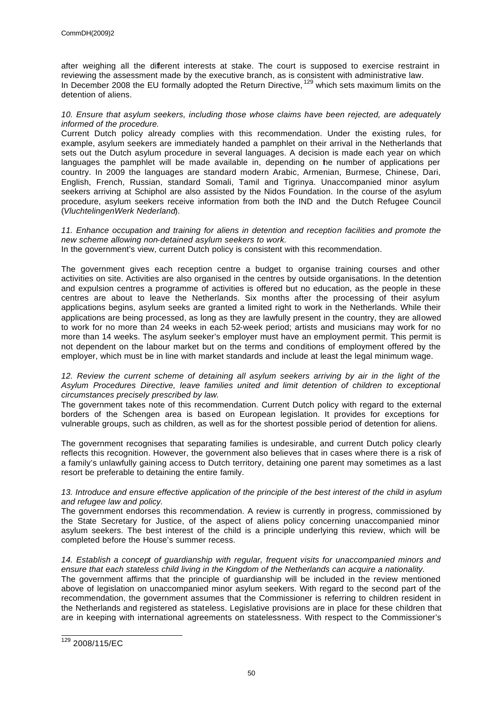after weighing all the different interests at stake. The court is supposed to exercise restraint in reviewing the assessment made by the executive branch, as is consistent with administrative law. In December 2008 the EU formally adopted the Return Directive, <sup>129</sup> which sets maximum limits on the detention of aliens.

## *10. Ensure that asylum seekers, including those whose claims have been rejected, are adequately informed of the procedure.*

Current Dutch policy already complies with this recommendation. Under the existing rules, for example, asylum seekers are immediately handed a pamphlet on their arrival in the Netherlands that sets out the Dutch asylum procedure in several languages. A decision is made each year on which languages the pamphlet will be made available in, depending on the number of applications per country. In 2009 the languages are standard modern Arabic, Armenian, Burmese, Chinese, Dari, English, French, Russian, standard Somali, Tamil and Tigrinya. Unaccompanied minor asylum seekers arriving at Schiphol are also assisted by the Nidos Foundation. In the course of the asylum procedure, asylum seekers receive information from both the IND and the Dutch Refugee Council (*VluchtelingenWerk Nederland*).

*11. Enhance occupation and training for aliens in detention and reception facilities and promote the new scheme allowing non-detained asylum seekers to work.*

In the government's view, current Dutch policy is consistent with this recommendation.

The government gives each reception centre a budget to organise training courses and other activities on site. Activities are also organised in the centres by outside organisations. In the detention and expulsion centres a programme of activities is offered but no education, as the people in these centres are about to leave the Netherlands. Six months after the processing of their asylum applications begins, asylum seeks are granted a limited right to work in the Netherlands. While their applications are being processed, as long as they are lawfully present in the country, they are allowed to work for no more than 24 weeks in each 52-week period; artists and musicians may work for no more than 14 weeks. The asylum seeker's employer must have an employment permit. This permit is not dependent on the labour market but on the terms and conditions of employment offered by the employer, which must be in line with market standards and include at least the legal minimum wage.

12. Review the current scheme of detaining all asylum seekers arriving by air in the light of the *Asylum Procedures Directive, leave families united and limit detention of children to exceptional circumstances precisely prescribed by law.*

The government takes note of this recommendation. Current Dutch policy with regard to the external borders of the Schengen area is based on European legislation. It provides for exceptions for vulnerable groups, such as children, as well as for the shortest possible period of detention for aliens.

The government recognises that separating families is undesirable, and current Dutch policy clearly reflects this recognition. However, the government also believes that in cases where there is a risk of a family's unlawfully gaining access to Dutch territory, detaining one parent may sometimes as a last resort be preferable to detaining the entire family.

*13. Introduce and ensure effective application of the principle of the best interest of the child in asylum and refugee law and policy.*

The government endorses this recommendation. A review is currently in progress, commissioned by the State Secretary for Justice, of the aspect of aliens policy concerning unaccompanied minor asylum seekers. The best interest of the child is a principle underlying this review, which will be completed before the House's summer recess.

14. Establish a concept of quardianship with regular, frequent visits for unaccompanied minors and *ensure that each stateless child living in the Kingdom of the Netherlands can acquire a nationality.*

The government affirms that the principle of guardianship will be included in the review mentioned above of legislation on unaccompanied minor asylum seekers. With regard to the second part of the recommendation, the government assumes that the Commissioner is referring to children resident in the Netherlands and registered as stateless. Legislative provisions are in place for these children that are in keeping with international agreements on statelessness. With respect to the Commissioner's

 $\overline{a}$ <sup>129</sup> 2008/115/EC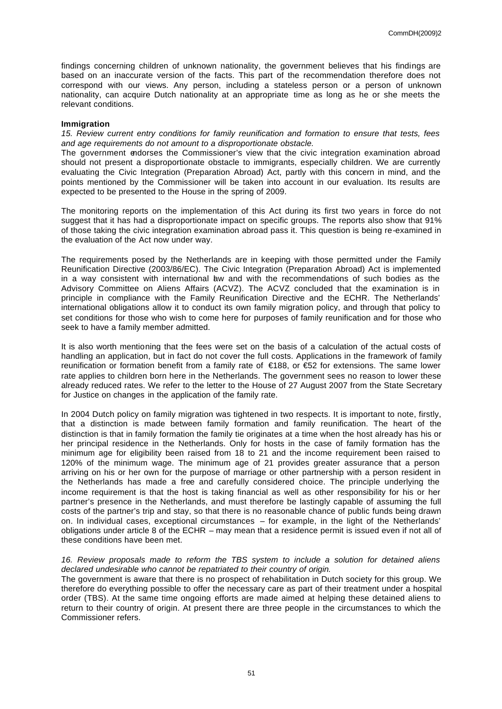findings concerning children of unknown nationality, the government believes that his findings are based on an inaccurate version of the facts. This part of the recommendation therefore does not correspond with our views. Any person, including a stateless person or a person of unknown nationality, can acquire Dutch nationality at an appropriate time as long as he or she meets the relevant conditions.

## **Immigration**

*15. Review current entry conditions for family reunification and formation to ensure that tests, fees and age requirements do not amount to a disproportionate obstacle.*

The government endorses the Commissioner's view that the civic integration examination abroad should not present a disproportionate obstacle to immigrants, especially children. We are currently evaluating the Civic Integration (Preparation Abroad) Act, partly with this concern in mind, and the points mentioned by the Commissioner will be taken into account in our evaluation. Its results are expected to be presented to the House in the spring of 2009.

The monitoring reports on the implementation of this Act during its first two years in force do not suggest that it has had a disproportionate impact on specific groups. The reports also show that 91% of those taking the civic integration examination abroad pass it. This question is being re-examined in the evaluation of the Act now under way.

The requirements posed by the Netherlands are in keeping with those permitted under the Family Reunification Directive (2003/86/EC). The Civic Integration (Preparation Abroad) Act is implemented in a way consistent with international law and with the recommendations of such bodies as the Advisory Committee on Aliens Affairs (ACVZ). The ACVZ concluded that the examination is in principle in compliance with the Family Reunification Directive and the ECHR. The Netherlands' international obligations allow it to conduct its own family migration policy, and through that policy to set conditions for those who wish to come here for purposes of family reunification and for those who seek to have a family member admitted.

It is also worth mentioning that the fees were set on the basis of a calculation of the actual costs of handling an application, but in fact do not cover the full costs. Applications in the framework of family reunification or formation benefit from a family rate of €188, or €52 for extensions. The same lower rate applies to children born here in the Netherlands. The government sees no reason to lower these already reduced rates. We refer to the letter to the House of 27 August 2007 from the State Secretary for Justice on changes in the application of the family rate.

In 2004 Dutch policy on family migration was tightened in two respects. It is important to note, firstly, that a distinction is made between family formation and family reunification. The heart of the distinction is that in family formation the family tie originates at a time when the host already has his or her principal residence in the Netherlands. Only for hosts in the case of family formation has the minimum age for eligibility been raised from 18 to 21 and the income requirement been raised to 120% of the minimum wage. The minimum age of 21 provides greater assurance that a person arriving on his or her own for the purpose of marriage or other partnership with a person resident in the Netherlands has made a free and carefully considered choice. The principle underlying the income requirement is that the host is taking financial as well as other responsibility for his or her partner's presence in the Netherlands, and must therefore be lastingly capable of assuming the full costs of the partner's trip and stay, so that there is no reasonable chance of public funds being drawn on. In individual cases, exceptional circumstances – for example, in the light of the Netherlands' obligations under article 8 of the ECHR – may mean that a residence permit is issued even if not all of these conditions have been met.

## *16. Review proposals made to reform the TBS system to include a solution for detained aliens declared undesirable who cannot be repatriated to their country of origin.*

The government is aware that there is no prospect of rehabilitation in Dutch society for this group. We therefore do everything possible to offer the necessary care as part of their treatment under a hospital order (TBS). At the same time ongoing efforts are made aimed at helping these detained aliens to return to their country of origin. At present there are three people in the circumstances to which the Commissioner refers.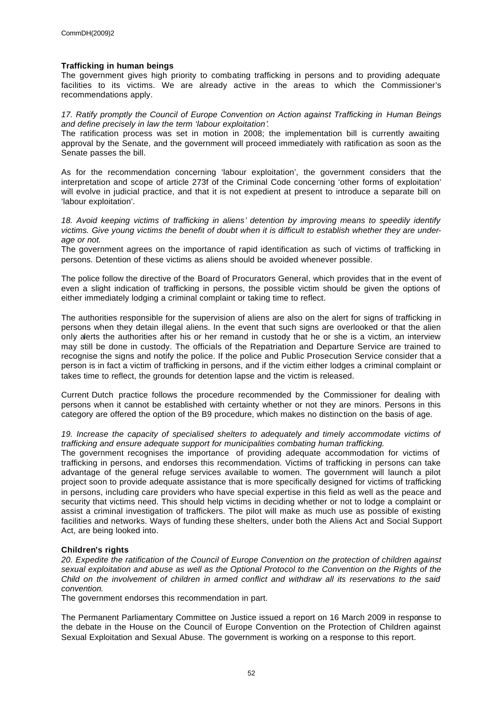## **Trafficking in human beings**

The government gives high priority to combating trafficking in persons and to providing adequate facilities to its victims. We are already active in the areas to which the Commissioner's recommendations apply.

*17. Ratify promptly the Council of Europe Convention on Action against Trafficking in Human Beings and define precisely in law the term 'labour exploitation'.*

The ratification process was set in motion in 2008; the implementation bill is currently awaiting approval by the Senate, and the government will proceed immediately with ratification as soon as the Senate passes the bill.

As for the recommendation concerning 'labour exploitation', the government considers that the interpretation and scope of article 273f of the Criminal Code concerning 'other forms of exploitation' will evolve in judicial practice, and that it is not expedient at present to introduce a separate bill on 'labour exploitation'.

*18. Avoid keeping victims of trafficking in aliens' detention by improving means to speedily identify victims. Give young victims the benefit of doubt when it is difficult to establish whether they are underage or not.*

The government agrees on the importance of rapid identification as such of victims of trafficking in persons. Detention of these victims as aliens should be avoided whenever possible.

The police follow the directive of the Board of Procurators General, which provides that in the event of even a slight indication of trafficking in persons, the possible victim should be given the options of either immediately lodging a criminal complaint or taking time to reflect.

The authorities responsible for the supervision of aliens are also on the alert for signs of trafficking in persons when they detain illegal aliens. In the event that such signs are overlooked or that the alien only alerts the authorities after his or her remand in custody that he or she is a victim, an interview may still be done in custody. The officials of the Repatriation and Departure Service are trained to recognise the signs and notify the police. If the police and Public Prosecution Service consider that a person is in fact a victim of trafficking in persons, and if the victim either lodges a criminal complaint or takes time to reflect, the grounds for detention lapse and the victim is released.

Current Dutch practice follows the procedure recommended by the Commissioner for dealing with persons when it cannot be established with certainty whether or not they are minors. Persons in this category are offered the option of the B9 procedure, which makes no distinction on the basis of age.

19. Increase the capacity of specialised shelters to adequately and timely accommodate victims of *trafficking and ensure adequate support for municipalities combating human trafficking.*

The government recognises the importance of providing adequate accommodation for victims of trafficking in persons, and endorses this recommendation. Victims of trafficking in persons can take advantage of the general refuge services available to women. The government will launch a pilot project soon to provide adequate assistance that is more specifically designed for victims of trafficking in persons, including care providers who have special expertise in this field as well as the peace and security that victims need. This should help victims in deciding whether or not to lodge a complaint or assist a criminal investigation of traffickers. The pilot will make as much use as possible of existing facilities and networks. Ways of funding these shelters, under both the Aliens Act and Social Support Act, are being looked into.

## **Children's rights**

*20. Expedite the ratification of the Council of Europe Convention on the protection of children against sexual exploitation and abuse as well as the Optional Protocol to the Convention on the Rights of the Child on the involvement of children in armed conflict and withdraw all its reservations to the said convention.*

The government endorses this recommendation in part.

The Permanent Parliamentary Committee on Justice issued a report on 16 March 2009 in response to the debate in the House on the Council of Europe Convention on the Protection of Children against Sexual Exploitation and Sexual Abuse. The government is working on a response to this report.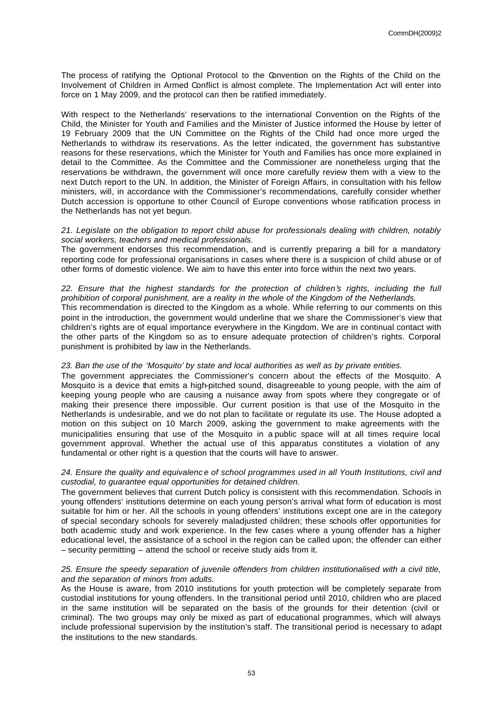The process of ratifying the Optional Protocol to the Convention on the Rights of the Child on the Involvement of Children in Armed Conflict is almost complete. The Implementation Act will enter into force on 1 May 2009, and the protocol can then be ratified immediately.

With respect to the Netherlands' reservations to the international Convention on the Rights of the Child, the Minister for Youth and Families and the Minister of Justice informed the House by letter of 19 February 2009 that the UN Committee on the Rights of the Child had once more urged the Netherlands to withdraw its reservations. As the letter indicated, the government has substantive reasons for these reservations, which the Minister for Youth and Families has once more explained in detail to the Committee. As the Committee and the Commissioner are nonetheless urging that the reservations be withdrawn, the government will once more carefully review them with a view to the next Dutch report to the UN. In addition, the Minister of Foreign Affairs, in consultation with his fellow ministers, will, in accordance with the Commissioner's recommendations, carefully consider whether Dutch accession is opportune to other Council of Europe conventions whose ratification process in the Netherlands has not yet begun.

## *21. Legislate on the obligation to report child abuse for professionals dealing with children, notably social workers, teachers and medical professionals.*

The government endorses this recommendation, and is currently preparing a bill for a mandatory reporting code for professional organisations in cases where there is a suspicion of child abuse or of other forms of domestic violence. We aim to have this enter into force within the next two years.

## *22. Ensure that the highest standards for the protection of children's rights, including the full prohibition of corporal punishment, are a reality in the whole of the Kingdom of the Netherlands.*

This recommendation is directed to the Kingdom as a whole. While referring to our comments on this point in the introduction, the government would underline that we share the Commissioner's view that children's rights are of equal importance everywhere in the Kingdom. We are in continual contact with the other parts of the Kingdom so as to ensure adequate protection of children's rights. Corporal punishment is prohibited by law in the Netherlands.

## *23. Ban the use of the 'Mosquito' by state and local authorities as well as by private entities.*

The government appreciates the Commissioner's concern about the effects of the Mosquito. A Mosquito is a device that emits a high-pitched sound, disagreeable to young people, with the aim of keeping young people who are causing a nuisance away from spots where they congregate or of making their presence there impossible. Our current position is that use of the Mosquito in the Netherlands is undesirable, and we do not plan to facilitate or regulate its use. The House adopted a motion on this subject on 10 March 2009, asking the government to make agreements with the municipalities ensuring that use of the Mosquito in a public space will at all times require local government approval. Whether the actual use of this apparatus constitutes a violation of any fundamental or other right is a question that the courts will have to answer.

## *24. Ensure the quality and equivalenc e of school programmes used in all Youth Institutions, civil and custodial, to guarantee equal opportunities for detained children.*

The government believes that current Dutch policy is consistent with this recommendation. Schools in young offenders' institutions determine on each young person's arrival what form of education is most suitable for him or her. All the schools in young offenders' institutions except one are in the category of special secondary schools for severely maladjusted children; these schools offer opportunities for both academic study and work experience. In the few cases where a young offender has a higher educational level, the assistance of a school in the region can be called upon; the offender can either – security permitting – attend the school or receive study aids from it.

## *25. Ensure the speedy separation of juvenile offenders from children institutionalised with a civil title, and the separation of minors from adults.*

As the House is aware, from 2010 institutions for youth protection will be completely separate from custodial institutions for young offenders. In the transitional period until 2010, children who are placed in the same institution will be separated on the basis of the grounds for their detention (civil or criminal). The two groups may only be mixed as part of educational programmes, which will always include professional supervision by the institution's staff. The transitional period is necessary to adapt the institutions to the new standards.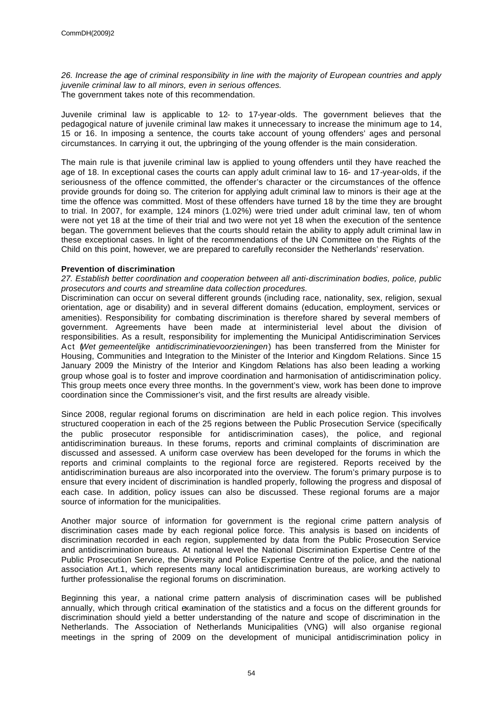*26. Increase the age of criminal responsibility in line with the majority of European countries and apply juvenile criminal law to all minors, even in serious offences.* The government takes note of this recommendation.

Juvenile criminal law is applicable to 12- to 17-year-olds. The government believes that the pedagogical nature of juvenile criminal law makes it unnecessary to increase the minimum age to 14, 15 or 16. In imposing a sentence, the courts take account of young offenders' ages and personal circumstances. In carrying it out, the upbringing of the young offender is the main consideration.

The main rule is that juvenile criminal law is applied to young offenders until they have reached the age of 18. In exceptional cases the courts can apply adult criminal law to 16- and 17-year-olds, if the seriousness of the offence committed, the offender's character or the circumstances of the offence provide grounds for doing so. The criterion for applying adult criminal law to minors is their age at the time the offence was committed. Most of these offenders have turned 18 by the time they are brought to trial. In 2007, for example, 124 minors (1.02%) were tried under adult criminal law, ten of whom were not yet 18 at the time of their trial and two were not yet 18 when the execution of the sentence began. The government believes that the courts should retain the ability to apply adult criminal law in these exceptional cases. In light of the recommendations of the UN Committee on the Rights of the Child on this point, however, we are prepared to carefully reconsider the Netherlands' reservation.

## **Prevention of discrimination**

*27. Establish better coordination and cooperation between all anti-discrimination bodies, police, public prosecutors and courts and streamline data collection procedures.*

Discrimination can occur on several different grounds (including race, nationality, sex, religion, sexual orientation, age or disability) and in several different domains (education, employment, services or amenities). Responsibility for combating discrimination is therefore shared by several members of government. Agreements have been made at interministerial level about the division of responsibilities. As a result, responsibility for implementing the Municipal Antidiscrimination Services Act (*Wet gemeentelijke antidiscriminatievoorzieningen*) has been transferred from the Minister for Housing, Communities and Integration to the Minister of the Interior and Kingdom Relations. Since 15 January 2009 the Ministry of the Interior and Kingdom Relations has also been leading a working group whose goal is to foster and improve coordination and harmonisation of antidiscrimination policy. This group meets once every three months. In the government's view, work has been done to improve coordination since the Commissioner's visit, and the first results are already visible.

Since 2008, regular regional forums on discrimination are held in each police region. This involves structured cooperation in each of the 25 regions between the Public Prosecution Service (specifically the public prosecutor responsible for antidiscrimination cases), the police, and regional antidiscrimination bureaus. In these forums, reports and criminal complaints of discrimination are discussed and assessed. A uniform case overview has been developed for the forums in which the reports and criminal complaints to the regional force are registered. Reports received by the antidiscrimination bureaus are also incorporated into the overview. The forum's primary purpose is to ensure that every incident of discrimination is handled properly, following the progress and disposal of each case. In addition, policy issues can also be discussed. These regional forums are a major source of information for the municipalities.

Another major source of information for government is the regional crime pattern analysis of discrimination cases made by each regional police force. This analysis is based on incidents of discrimination recorded in each region, supplemented by data from the Public Prosecution Service and antidiscrimination bureaus. At national level the National Discrimination Expertise Centre of the Public Prosecution Service, the Diversity and Police Expertise Centre of the police, and the national association Art.1, which represents many local antidiscrimination bureaus, are working actively to further professionalise the regional forums on discrimination.

Beginning this year, a national crime pattern analysis of discrimination cases will be published annually, which through critical examination of the statistics and a focus on the different grounds for discrimination should yield a better understanding of the nature and scope of discrimination in the Netherlands. The Association of Netherlands Municipalities (VNG) will also organise regional meetings in the spring of 2009 on the development of municipal antidiscrimination policy in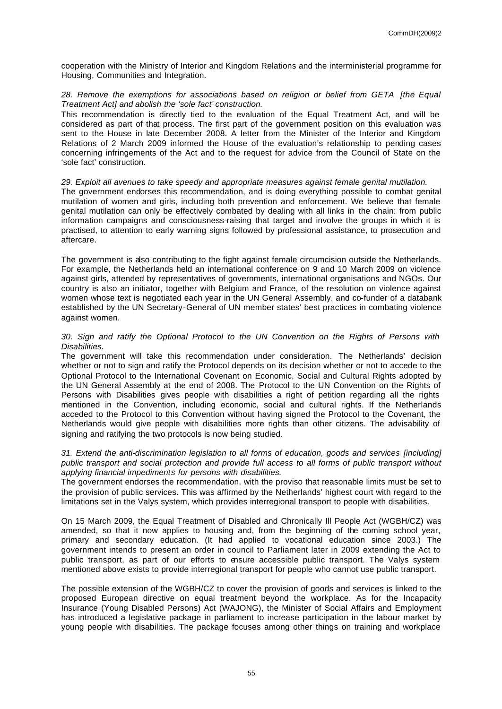cooperation with the Ministry of Interior and Kingdom Relations and the interministerial programme for Housing, Communities and Integration.

## 28. Remove the exemptions for associations based on religion or belief from GETA [the Equal *Treatment Act] and abolish the 'sole fact' construction.*

This recommendation is directly tied to the evaluation of the Equal Treatment Act, and will be considered as part of that process. The first part of the government position on this evaluation was sent to the House in late December 2008. A letter from the Minister of the Interior and Kingdom Relations of 2 March 2009 informed the House of the evaluation's relationship to pending cases concerning infringements of the Act and to the request for advice from the Council of State on the 'sole fact' construction.

## *29. Exploit all avenues to take speedy and appropriate measures against female genital mutilation.*

The government endorses this recommendation, and is doing everything possible to combat genital mutilation of women and girls, including both prevention and enforcement. We believe that female genital mutilation can only be effectively combated by dealing with all links in the chain: from public information campaigns and consciousness-raising that target and involve the groups in which it is practised, to attention to early warning signs followed by professional assistance, to prosecution and aftercare.

The government is also contributing to the fight against female circumcision outside the Netherlands. For example, the Netherlands held an international conference on 9 and 10 March 2009 on violence against girls, attended by representatives of governments, international organisations and NGOs. Our country is also an initiator, together with Belgium and France, of the resolution on violence against women whose text is negotiated each year in the UN General Assembly, and co-funder of a databank established by the UN Secretary-General of UN member states' best practices in combating violence against women.

## *30. Sign and ratify the Optional Protocol to the UN Convention on the Rights of Persons with Disabilities.*

The government will take this recommendation under consideration. The Netherlands' decision whether or not to sign and ratify the Protocol depends on its decision whether or not to accede to the Optional Protocol to the International Covenant on Economic, Social and Cultural Rights adopted by the UN General Assembly at the end of 2008. The Protocol to the UN Convention on the Rights of Persons with Disabilities gives people with disabilities a right of petition regarding all the rights mentioned in the Convention, including economic, social and cultural rights. If the Netherlands acceded to the Protocol to this Convention without having signed the Protocol to the Covenant, the Netherlands would give people with disabilities more rights than other citizens. The advisability of signing and ratifying the two protocols is now being studied.

## *31. Extend the anti-discrimination legislation to all forms of education, goods and services [including] public transport and social protection and provide full access to all forms of public transport without applying financial impediments for persons with disabilities.*

The government endorses the recommendation, with the proviso that reasonable limits must be set to the provision of public services. This was affirmed by the Netherlands' highest court with regard to the limitations set in the Valys system, which provides interregional transport to people with disabilities.

On 15 March 2009, the Equal Treatment of Disabled and Chronically Ill People Act (WGBH/CZ) was amended, so that it now applies to housing and, from the beginning of the coming school vear, primary and secondary education. (It had applied to vocational education since 2003.) The government intends to present an order in council to Parliament later in 2009 extending the Act to public transport, as part of our efforts to ensure accessible public transport. The Valys system mentioned above exists to provide interregional transport for people who cannot use public transport.

The possible extension of the WGBH/CZ to cover the provision of goods and services is linked to the proposed European directive on equal treatment beyond the workplace. As for the Incapacity Insurance (Young Disabled Persons) Act (WAJONG), the Minister of Social Affairs and Employment has introduced a legislative package in parliament to increase participation in the labour market by young people with disabilities. The package focuses among other things on training and workplace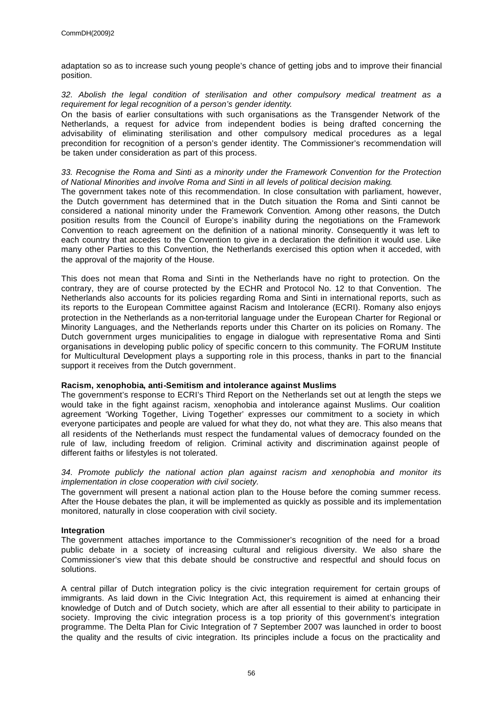adaptation so as to increase such young people's chance of getting jobs and to improve their financial position.

## *32. Abolish the legal condition of sterilisation and other compulsory medical treatment as a requirement for legal recognition of a person's gender identity.*

On the basis of earlier consultations with such organisations as the Transgender Network of the Netherlands, a request for advice from independent bodies is being drafted concerning the advisability of eliminating sterilisation and other compulsory medical procedures as a legal precondition for recognition of a person's gender identity. The Commissioner's recommendation will be taken under consideration as part of this process.

## *33. Recognise the Roma and Sinti as a minority under the Framework Convention for the Protection of National Minorities and involve Roma and Sinti in all levels of political decision making.*

The government takes note of this recommendation. In close consultation with parliament, however, the Dutch government has determined that in the Dutch situation the Roma and Sinti cannot be considered a national minority under the Framework Convention. Among other reasons, the Dutch position results from the Council of Europe's inability during the negotiations on the Framework Convention to reach agreement on the definition of a national minority. Consequently it was left to each country that accedes to the Convention to give in a declaration the definition it would use. Like many other Parties to this Convention, the Netherlands exercised this option when it acceded, with the approval of the majority of the House.

This does not mean that Roma and Sinti in the Netherlands have no right to protection. On the contrary, they are of course protected by the ECHR and Protocol No. 12 to that Convention. The Netherlands also accounts for its policies regarding Roma and Sinti in international reports, such as its reports to the European Committee against Racism and Intolerance (ECRI). Romany also enjoys protection in the Netherlands as a non-territorial language under the European Charter for Regional or Minority Languages, and the Netherlands reports under this Charter on its policies on Romany. The Dutch government urges municipalities to engage in dialogue with representative Roma and Sinti organisations in developing public policy of specific concern to this community. The FORUM Institute for Multicultural Development plays a supporting role in this process, thanks in part to the financial support it receives from the Dutch government.

## **Racism, xenophobia, anti-Semitism and intolerance against Muslims**

The government's response to ECRI's Third Report on the Netherlands set out at length the steps we would take in the fight against racism, xenophobia and intolerance against Muslims. Our coalition agreement 'Working Together, Living Together' expresses our commitment to a society in which everyone participates and people are valued for what they do, not what they are. This also means that all residents of the Netherlands must respect the fundamental values of democracy founded on the rule of law, including freedom of religion. Criminal activity and discrimination against people of different faiths or lifestyles is not tolerated.

## *34. Promote publicly the national action plan against racism and xenophobia and monitor its implementation in close cooperation with civil society.*

The government will present a national action plan to the House before the coming summer recess. After the House debates the plan, it will be implemented as quickly as possible and its implementation monitored, naturally in close cooperation with civil society.

## **Integration**

The government attaches importance to the Commissioner's recognition of the need for a broad public debate in a society of increasing cultural and religious diversity. We also share the Commissioner's view that this debate should be constructive and respectful and should focus on solutions.

A central pillar of Dutch integration policy is the civic integration requirement for certain groups of immigrants. As laid down in the Civic Integration Act, this requirement is aimed at enhancing their knowledge of Dutch and of Dutch society, which are after all essential to their ability to participate in society. Improving the civic integration process is a top priority of this government's integration programme. The Delta Plan for Civic Integration of 7 September 2007 was launched in order to boost the quality and the results of civic integration. Its principles include a focus on the practicality and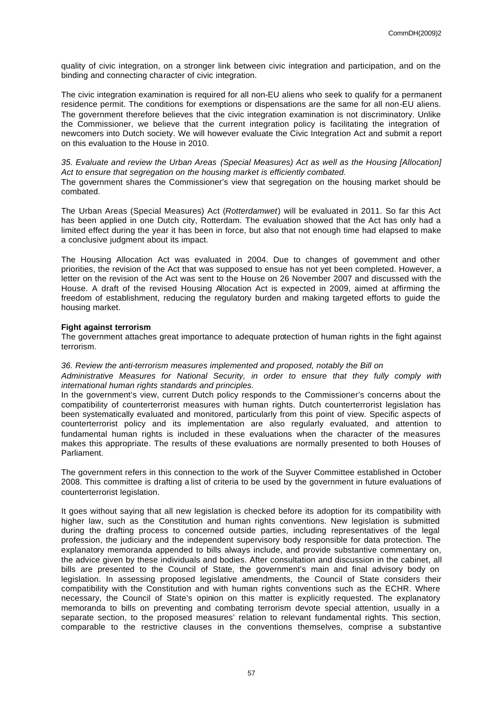quality of civic integration, on a stronger link between civic integration and participation, and on the binding and connecting character of civic integration.

The civic integration examination is required for all non-EU aliens who seek to qualify for a permanent residence permit. The conditions for exemptions or dispensations are the same for all non-EU aliens. The government therefore believes that the civic integration examination is not discriminatory. Unlike the Commissioner, we believe that the current integration policy is facilitating the integration of newcomers into Dutch society. We will however evaluate the Civic Integration Act and submit a report on this evaluation to the House in 2010.

*35. Evaluate and review the Urban Areas (Special Measures) Act as well as the Housing [Allocation] Act to ensure that segregation on the housing market is efficiently combated.*

The government shares the Commissioner's view that segregation on the housing market should be combated.

The Urban Areas (Special Measures) Act (*Rotterdamwet*) will be evaluated in 2011. So far this Act has been applied in one Dutch city, Rotterdam. The evaluation showed that the Act has only had a limited effect during the year it has been in force, but also that not enough time had elapsed to make a conclusive judgment about its impact.

The Housing Allocation Act was evaluated in 2004. Due to changes of government and other priorities, the revision of the Act that was supposed to ensue has not yet been completed. However, a letter on the revision of the Act was sent to the House on 26 November 2007 and discussed with the House. A draft of the revised Housing Allocation Act is expected in 2009, aimed at affirming the freedom of establishment, reducing the regulatory burden and making targeted efforts to guide the housing market.

## **Fight against terrorism**

The government attaches great importance to adequate protection of human rights in the fight against terrorism.

#### *36. Review the anti-terrorism measures implemented and proposed, notably the Bill on*

*Administrative Measures for National Security, in order to ensure that they fully comply with international human rights standards and principles.*

In the government's view, current Dutch policy responds to the Commissioner's concerns about the compatibility of counterterrorist measures with human rights. Dutch counterterrorist legislation has been systematically evaluated and monitored, particularly from this point of view. Specific aspects of counterterrorist policy and its implementation are also regularly evaluated, and attention to fundamental human rights is included in these evaluations when the character of the measures makes this appropriate. The results of these evaluations are normally presented to both Houses of Parliament.

The government refers in this connection to the work of the Suyver Committee established in October 2008. This committee is drafting a list of criteria to be used by the government in future evaluations of counterterrorist legislation.

It goes without saying that all new legislation is checked before its adoption for its compatibility with higher law, such as the Constitution and human rights conventions. New legislation is submitted during the drafting process to concerned outside parties, including representatives of the legal profession, the judiciary and the independent supervisory body responsible for data protection. The explanatory memoranda appended to bills always include, and provide substantive commentary on, the advice given by these individuals and bodies. After consultation and discussion in the cabinet, all bills are presented to the Council of State, the government's main and final advisory body on legislation. In assessing proposed legislative amendments, the Council of State considers their compatibility with the Constitution and with human rights conventions such as the ECHR. Where necessary, the Council of State's opinion on this matter is explicitly requested. The explanatory memoranda to bills on preventing and combating terrorism devote special attention, usually in a separate section, to the proposed measures' relation to relevant fundamental rights. This section, comparable to the restrictive clauses in the conventions themselves, comprise a substantive